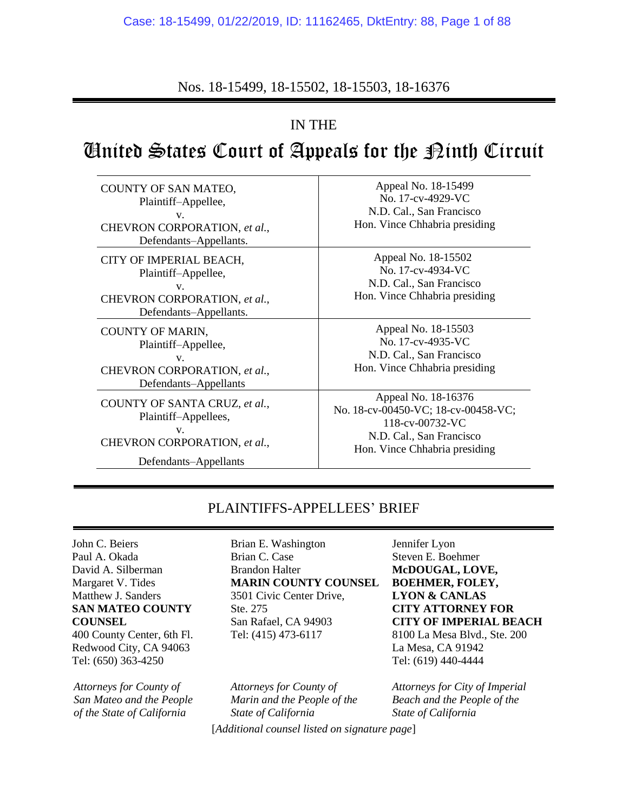## Nos. 18-15499, 18-15502, 18-15503, 18-16376

## IN THE

# United States Court of Appeals for the Ninth Circuit

| COUNTY OF SAN MATEO,<br>Plaintiff-Appellee,<br>V.<br>CHEVRON CORPORATION, et al.,<br>Defendants-Appellants.          | Appeal No. 18-15499<br>No. 17-cv-4929-VC<br>N.D. Cal., San Francisco<br>Hon. Vince Chhabria presiding                                      |
|----------------------------------------------------------------------------------------------------------------------|--------------------------------------------------------------------------------------------------------------------------------------------|
| CITY OF IMPERIAL BEACH,<br>Plaintiff-Appellee,<br>V.<br>CHEVRON CORPORATION, et al.,<br>Defendants-Appellants.       | Appeal No. 18-15502<br>No. 17-cv-4934-VC<br>N.D. Cal., San Francisco<br>Hon. Vince Chhabria presiding                                      |
| COUNTY OF MARIN,<br>Plaintiff-Appellee,<br>$V_{\star}$<br>CHEVRON CORPORATION, et al.,<br>Defendants-Appellants      | Appeal No. 18-15503<br>No. 17-cv-4935-VC<br>N.D. Cal., San Francisco<br>Hon. Vince Chhabria presiding                                      |
| COUNTY OF SANTA CRUZ, et al.,<br>Plaintiff-Appellees,<br>V.<br>CHEVRON CORPORATION, et al.,<br>Defendants-Appellants | Appeal No. 18-16376<br>No. 18-cv-00450-VC; 18-cv-00458-VC;<br>118-cv-00732-VC<br>N.D. Cal., San Francisco<br>Hon. Vince Chhabria presiding |

### PLAINTIFFS-APPELLEES' BRIEF

John C. Beiers Paul A. Okada David A. Silberman Margaret V. Tides Matthew J. Sanders **SAN MATEO COUNTY COUNSEL**

400 County Center, 6th Fl. Redwood City, CA 94063 Tel: (650) 363-4250

*Attorneys for County of San Mateo and the People of the State of California*

Brian E. Washington Brian C. Case Brandon Halter **MARIN COUNTY COUNSEL** 3501 Civic Center Drive, Ste. 275 San Rafael, CA 94903 Tel: (415) 473-6117

*Attorneys for County of Marin and the People of the State of California*

[*Additional counsel listed on signature page*]

Jennifer Lyon Steven E. Boehmer **McDOUGAL, LOVE, BOEHMER, FOLEY, LYON & CANLAS CITY ATTORNEY FOR CITY OF IMPERIAL BEACH** 8100 La Mesa Blvd., Ste. 200 La Mesa, CA 91942 Tel: (619) 440-4444

*Attorneys for City of Imperial Beach and the People of the State of California*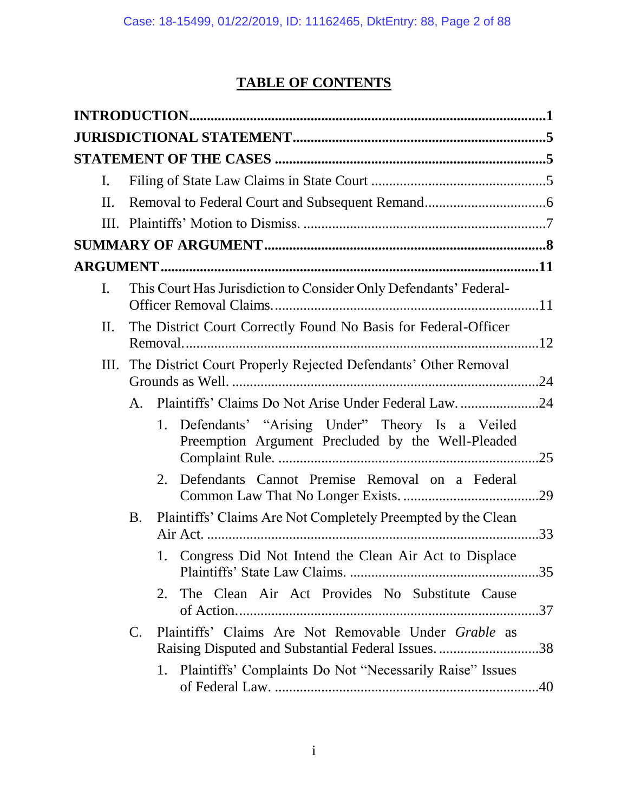# **TABLE OF CONTENTS**

| $\mathbf{I}$ . |                                                                     |                                                                                                        |     |
|----------------|---------------------------------------------------------------------|--------------------------------------------------------------------------------------------------------|-----|
| II.            |                                                                     |                                                                                                        |     |
|                |                                                                     |                                                                                                        |     |
|                |                                                                     |                                                                                                        |     |
|                |                                                                     |                                                                                                        |     |
| I.             | This Court Has Jurisdiction to Consider Only Defendants' Federal-   |                                                                                                        |     |
| Π.             |                                                                     | The District Court Correctly Found No Basis for Federal-Officer                                        |     |
|                | III. The District Court Properly Rejected Defendants' Other Removal |                                                                                                        |     |
|                | A.                                                                  | Plaintiffs' Claims Do Not Arise Under Federal Law24                                                    |     |
|                |                                                                     | 1. Defendants' "Arising Under" Theory Is a Veiled<br>Preemption Argument Precluded by the Well-Pleaded | .25 |
|                |                                                                     | Defendants Cannot Premise Removal on a Federal<br>2.                                                   |     |
|                | <b>B.</b>                                                           | Plaintiffs' Claims Are Not Completely Preempted by the Clean                                           |     |
|                |                                                                     | 1. Congress Did Not Intend the Clean Air Act to Displace                                               | .35 |
|                |                                                                     | The Clean Air Act Provides No Substitute Cause<br>2.                                                   |     |
|                | $\mathbf{C}$ .                                                      | Plaintiffs' Claims Are Not Removable Under Grable as                                                   | .38 |
|                |                                                                     | Plaintiffs' Complaints Do Not "Necessarily Raise" Issues<br>1.                                         |     |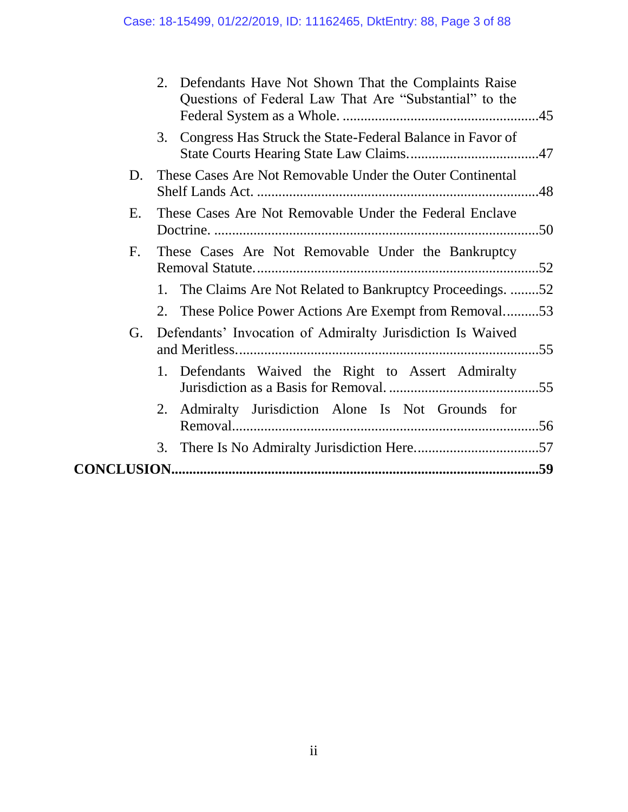|             | 2.<br>Defendants Have Not Shown That the Complaints Raise<br>Questions of Federal Law That Are "Substantial" to the |  |
|-------------|---------------------------------------------------------------------------------------------------------------------|--|
|             | Congress Has Struck the State-Federal Balance in Favor of<br>3.                                                     |  |
| D.          | These Cases Are Not Removable Under the Outer Continental                                                           |  |
| E.          | These Cases Are Not Removable Under the Federal Enclave                                                             |  |
| $F_{\cdot}$ | These Cases Are Not Removable Under the Bankruptcy                                                                  |  |
|             | 1. The Claims Are Not Related to Bankruptcy Proceedings. 52                                                         |  |
|             | 2. These Police Power Actions Are Exempt from Removal53                                                             |  |
| G.          | Defendants' Invocation of Admiralty Jurisdiction Is Waived                                                          |  |
|             | 1. Defendants Waived the Right to Assert Admiralty                                                                  |  |
|             | Admiralty Jurisdiction Alone Is Not Grounds for<br>2.                                                               |  |
|             | 3.                                                                                                                  |  |
|             |                                                                                                                     |  |
|             |                                                                                                                     |  |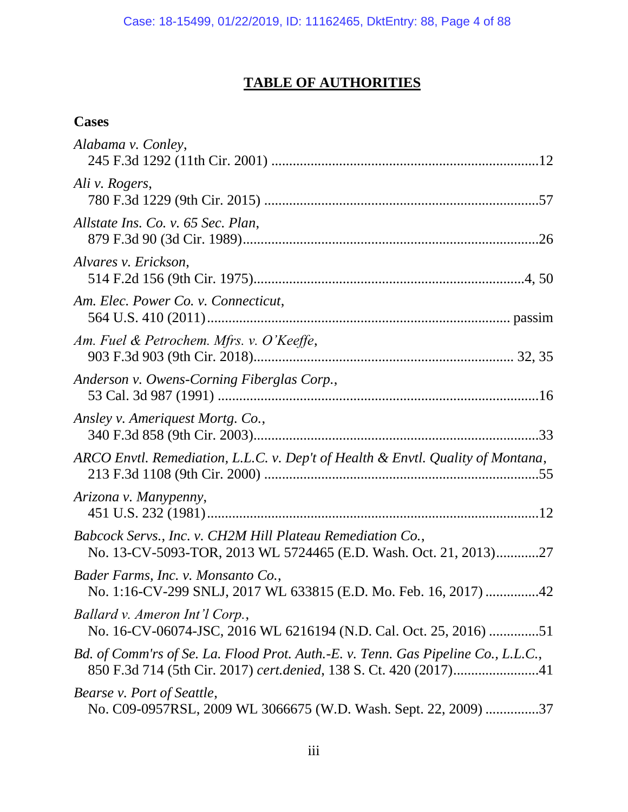## **TABLE OF AUTHORITIES**

## **Cases**

| Alabama v. Conley,                                                                                                             |
|--------------------------------------------------------------------------------------------------------------------------------|
| Ali v. Rogers,                                                                                                                 |
| Allstate Ins. Co. v. 65 Sec. Plan,                                                                                             |
| Alvares v. Erickson,                                                                                                           |
| Am. Elec. Power Co. v. Connecticut,                                                                                            |
| Am. Fuel & Petrochem. Mfrs. v. O'Keeffe,                                                                                       |
| Anderson v. Owens-Corning Fiberglas Corp.,                                                                                     |
| Ansley v. Ameriquest Mortg. Co.,                                                                                               |
| ARCO Envtl. Remediation, L.L.C. v. Dep't of Health & Envtl. Quality of Montana,                                                |
| Arizona v. Manypenny,                                                                                                          |
| Babcock Servs., Inc. v. CH2M Hill Plateau Remediation Co.,<br>No. 13-CV-5093-TOR, 2013 WL 5724465 (E.D. Wash. Oct. 21, 2013)27 |
| Bader Farms, Inc. v. Monsanto Co.,<br>No. 1:16-CV-299 SNLJ, 2017 WL 633815 (E.D. Mo. Feb. 16, 2017) 42                         |
| Ballard v. Ameron Int'l Corp.,<br>No. 16-CV-06074-JSC, 2016 WL 6216194 (N.D. Cal. Oct. 25, 2016) 51                            |
| Bd. of Comm'rs of Se. La. Flood Prot. Auth.-E. v. Tenn. Gas Pipeline Co., L.L.C.,                                              |
| Bearse v. Port of Seattle,<br>No. C09-0957RSL, 2009 WL 3066675 (W.D. Wash. Sept. 22, 2009) 37                                  |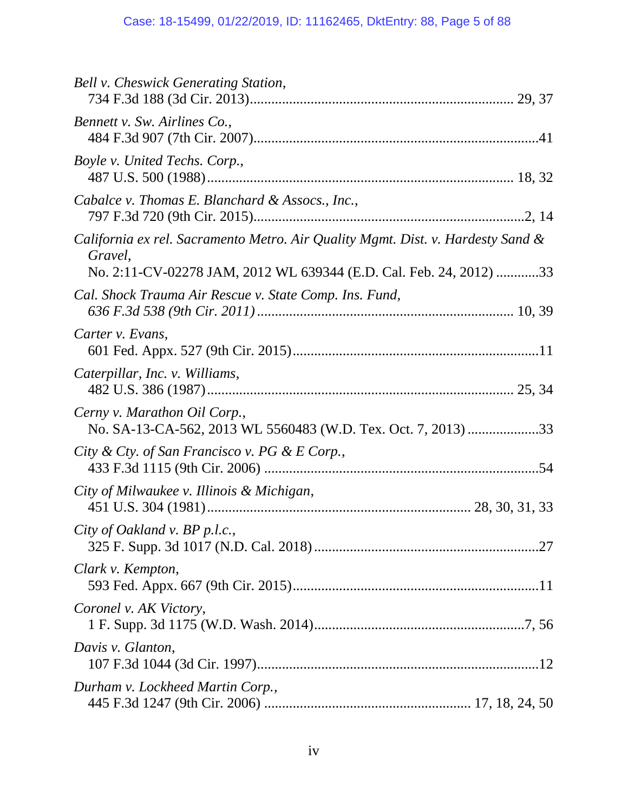| Bell v. Cheswick Generating Station,                                                          |
|-----------------------------------------------------------------------------------------------|
| Bennett v. Sw. Airlines Co.,                                                                  |
| Boyle v. United Techs. Corp.,                                                                 |
| Cabalce v. Thomas E. Blanchard & Assocs., Inc.,                                               |
| California ex rel. Sacramento Metro. Air Quality Mgmt. Dist. v. Hardesty Sand &<br>Gravel,    |
| No. 2:11-CV-02278 JAM, 2012 WL 639344 (E.D. Cal. Feb. 24, 2012) 33                            |
| Cal. Shock Trauma Air Rescue v. State Comp. Ins. Fund,                                        |
| Carter v. Evans,                                                                              |
| Caterpillar, Inc. v. Williams,                                                                |
| Cerny v. Marathon Oil Corp.,<br>No. SA-13-CA-562, 2013 WL 5560483 (W.D. Tex. Oct. 7, 2013) 33 |
| City & Cty. of San Francisco v. PG & E Corp.,                                                 |
| City of Milwaukee v. Illinois & Michigan,                                                     |
| City of Oakland v. BP p.l.c.,                                                                 |
| Clark v. Kempton,                                                                             |
| Coronel v. AK Victory,                                                                        |
| Davis v. Glanton,                                                                             |
| Durham v. Lockheed Martin Corp.,                                                              |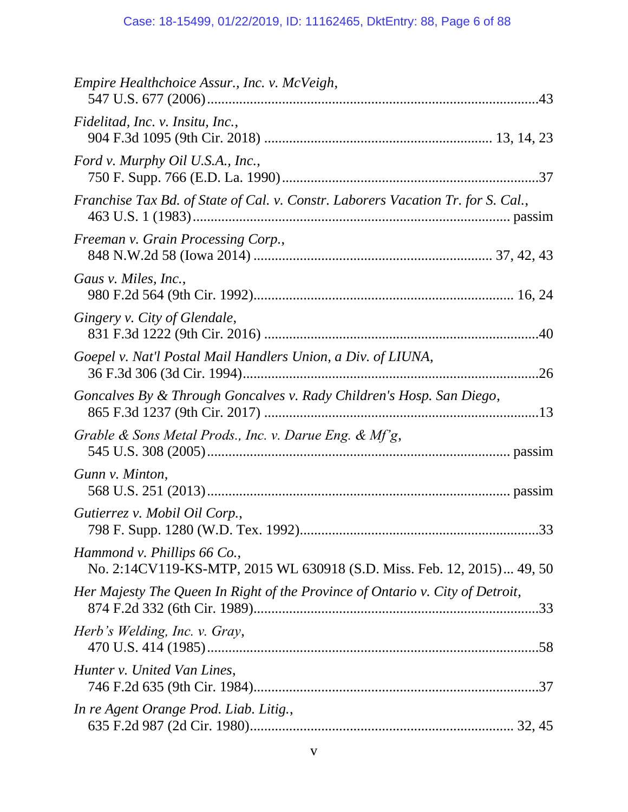| Empire Healthchoice Assur., Inc. v. McVeigh,                                                          |
|-------------------------------------------------------------------------------------------------------|
| Fidelitad, Inc. v. Insitu, Inc.,                                                                      |
| Ford v. Murphy Oil U.S.A., Inc.,                                                                      |
| Franchise Tax Bd. of State of Cal. v. Constr. Laborers Vacation Tr. for S. Cal.,                      |
| Freeman v. Grain Processing Corp.,                                                                    |
| Gaus v. Miles, Inc.,                                                                                  |
| Gingery v. City of Glendale,                                                                          |
| Goepel v. Nat'l Postal Mail Handlers Union, a Div. of LIUNA,                                          |
| Goncalves By & Through Goncalves v. Rady Children's Hosp. San Diego,                                  |
| Grable & Sons Metal Prods., Inc. v. Darue Eng. & Mf'g,                                                |
| Gunn v. Minton,                                                                                       |
| Gutierrez v. Mobil Oil Corp.,                                                                         |
| Hammond v. Phillips 66 Co.,<br>No. 2:14CV119-KS-MTP, 2015 WL 630918 (S.D. Miss. Feb. 12, 2015) 49, 50 |
| Her Majesty The Queen In Right of the Province of Ontario v. City of Detroit,                         |
| Herb's Welding, Inc. v. Gray,                                                                         |
| Hunter v. United Van Lines,                                                                           |
| In re Agent Orange Prod. Liab. Litig.,                                                                |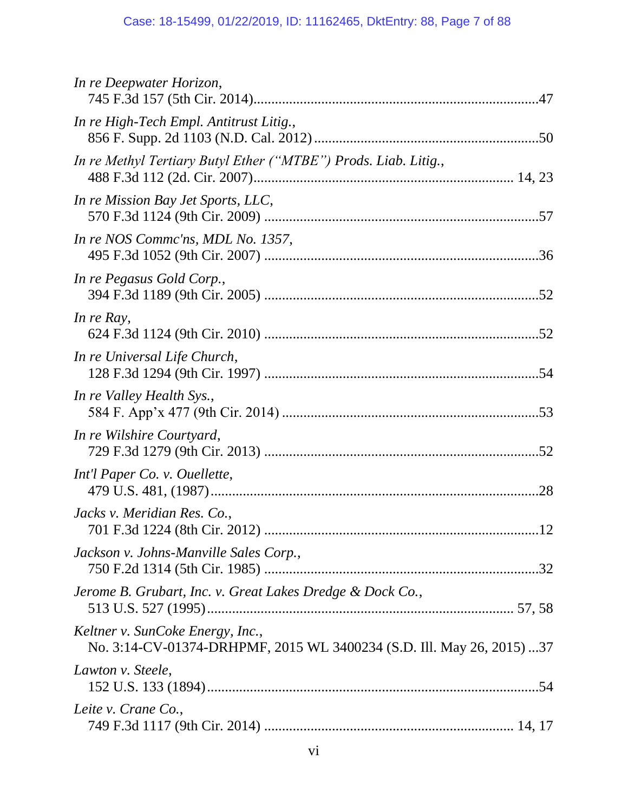| In re Deepwater Horizon,                                                                                  |  |
|-----------------------------------------------------------------------------------------------------------|--|
| In re High-Tech Empl. Antitrust Litig.,                                                                   |  |
| In re Methyl Tertiary Butyl Ether ("MTBE") Prods. Liab. Litig.,                                           |  |
| In re Mission Bay Jet Sports, LLC,                                                                        |  |
| In re NOS Commc'ns, MDL No. 1357,                                                                         |  |
| In re Pegasus Gold Corp.,                                                                                 |  |
| In re Ray,                                                                                                |  |
| In re Universal Life Church,                                                                              |  |
| In re Valley Health Sys.,                                                                                 |  |
| In re Wilshire Courtyard,                                                                                 |  |
| Int'l Paper Co. v. Ouellette,                                                                             |  |
| Jacks v. Meridian Res. Co.,                                                                               |  |
| Jackson v. Johns-Manville Sales Corp.,                                                                    |  |
| Jerome B. Grubart, Inc. v. Great Lakes Dredge & Dock Co.,                                                 |  |
| Keltner v. SunCoke Energy, Inc.,<br>No. 3:14-CV-01374-DRHPMF, 2015 WL 3400234 (S.D. Ill. May 26, 2015) 37 |  |
| Lawton v. Steele,                                                                                         |  |
| Leite v. Crane Co.,                                                                                       |  |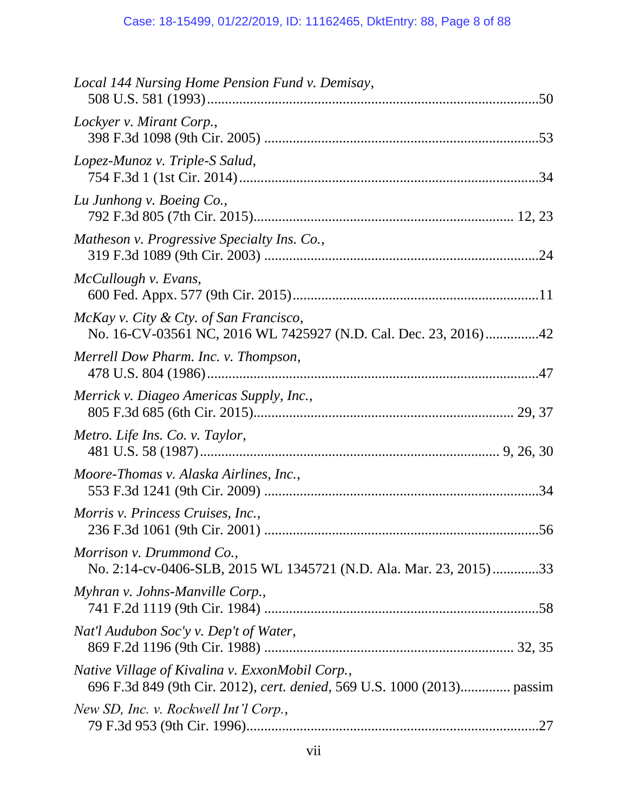| Local 144 Nursing Home Pension Fund v. Demisay,                                                                            |  |
|----------------------------------------------------------------------------------------------------------------------------|--|
| Lockyer v. Mirant Corp.,                                                                                                   |  |
| Lopez-Munoz v. Triple-S Salud,                                                                                             |  |
| Lu Junhong v. Boeing Co.,                                                                                                  |  |
| Matheson v. Progressive Specialty Ins. Co.,                                                                                |  |
| McCullough v. Evans,                                                                                                       |  |
| McKay v. City & Cty. of San Francisco,<br>No. 16-CV-03561 NC, 2016 WL 7425927 (N.D. Cal. Dec. 23, 2016)42                  |  |
| Merrell Dow Pharm. Inc. v. Thompson,                                                                                       |  |
| Merrick v. Diageo Americas Supply, Inc.,                                                                                   |  |
| Metro. Life Ins. Co. v. Taylor,                                                                                            |  |
| Moore-Thomas v. Alaska Airlines, Inc.,                                                                                     |  |
| Morris v. Princess Cruises, Inc.,                                                                                          |  |
| Morrison v. Drummond Co.,<br>No. 2:14-cv-0406-SLB, 2015 WL 1345721 (N.D. Ala. Mar. 23, 2015)33                             |  |
| Myhran v. Johns-Manville Corp.,                                                                                            |  |
| Nat'l Audubon Soc'y v. Dep't of Water,                                                                                     |  |
| Native Village of Kivalina v. ExxonMobil Corp.,<br>696 F.3d 849 (9th Cir. 2012), cert. denied, 569 U.S. 1000 (2013) passim |  |
| New SD, Inc. v. Rockwell Int'l Corp.,                                                                                      |  |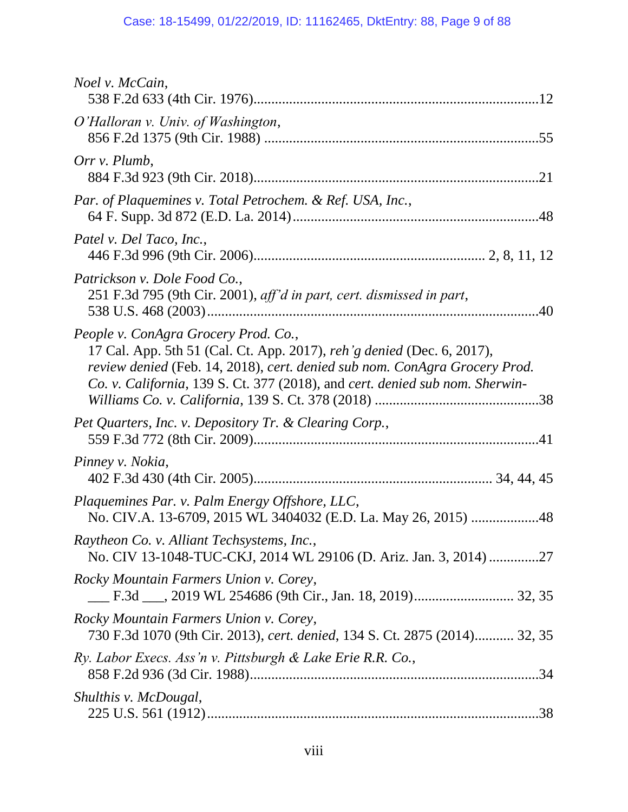| <i>Noel v. McCain,</i>                                                                                                                                                                                                                                                       |
|------------------------------------------------------------------------------------------------------------------------------------------------------------------------------------------------------------------------------------------------------------------------------|
| O'Halloran v. Univ. of Washington,                                                                                                                                                                                                                                           |
| Orr v. Plumb,                                                                                                                                                                                                                                                                |
| Par. of Plaquemines v. Total Petrochem. & Ref. USA, Inc.,                                                                                                                                                                                                                    |
| Patel v. Del Taco, Inc.,                                                                                                                                                                                                                                                     |
| Patrickson v. Dole Food Co.,<br>251 F.3d 795 (9th Cir. 2001), aff'd in part, cert. dismissed in part,                                                                                                                                                                        |
| People v. ConAgra Grocery Prod. Co.,<br>17 Cal. App. 5th 51 (Cal. Ct. App. 2017), reh'g denied (Dec. 6, 2017),<br>review denied (Feb. 14, 2018), cert. denied sub nom. ConAgra Grocery Prod.<br>Co. v. California, 139 S. Ct. 377 (2018), and cert. denied sub nom. Sherwin- |
| Pet Quarters, Inc. v. Depository Tr. & Clearing Corp.,                                                                                                                                                                                                                       |
| Pinney v. Nokia,                                                                                                                                                                                                                                                             |
| Plaquemines Par. v. Palm Energy Offshore, LLC,<br>No. CIV.A. 13-6709, 2015 WL 3404032 (E.D. La. May 26, 2015) 48                                                                                                                                                             |
| Raytheon Co. v. Alliant Techsystems, Inc.,<br>No. CIV 13-1048-TUC-CKJ, 2014 WL 29106 (D. Ariz. Jan. 3, 2014) 27                                                                                                                                                              |
| Rocky Mountain Farmers Union v. Corey,                                                                                                                                                                                                                                       |
| Rocky Mountain Farmers Union v. Corey,<br>730 F.3d 1070 (9th Cir. 2013), cert. denied, 134 S. Ct. 2875 (2014) 32, 35                                                                                                                                                         |
| Ry. Labor Execs. Ass'n v. Pittsburgh & Lake Erie R.R. Co.,                                                                                                                                                                                                                   |
| Shulthis v. McDougal,                                                                                                                                                                                                                                                        |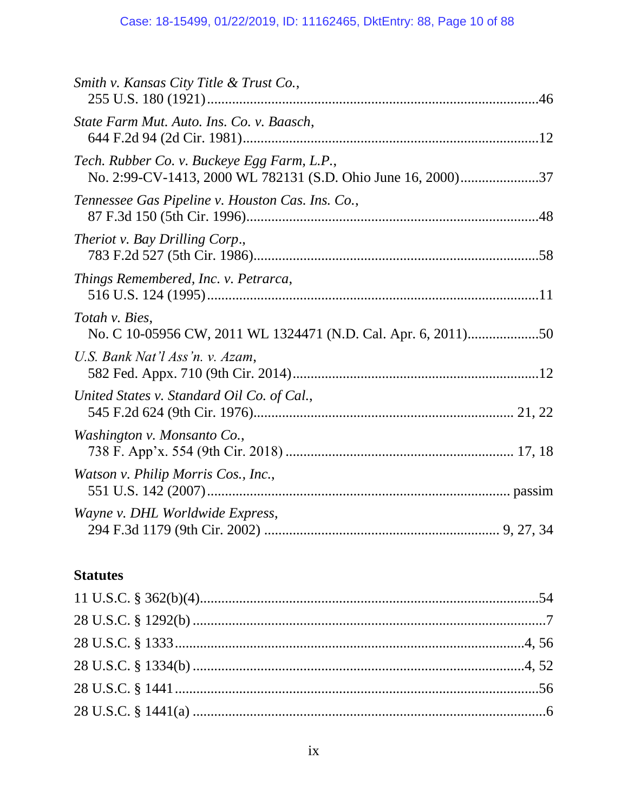| Smith v. Kansas City Title & Trust Co.,                                                                     |  |
|-------------------------------------------------------------------------------------------------------------|--|
| State Farm Mut. Auto. Ins. Co. v. Baasch,                                                                   |  |
| Tech. Rubber Co. v. Buckeye Egg Farm, L.P.,<br>No. 2:99-CV-1413, 2000 WL 782131 (S.D. Ohio June 16, 2000)37 |  |
| Tennessee Gas Pipeline v. Houston Cas. Ins. Co.,                                                            |  |
| Theriot v. Bay Drilling Corp.,                                                                              |  |
| Things Remembered, Inc. v. Petrarca,                                                                        |  |
| Totah v. Bies,<br>No. C 10-05956 CW, 2011 WL 1324471 (N.D. Cal. Apr. 6, 2011)50                             |  |
| U.S. Bank Nat'l Ass'n. v. Azam,                                                                             |  |
| United States v. Standard Oil Co. of Cal.,                                                                  |  |
| Washington v. Monsanto Co.,                                                                                 |  |
| Watson v. Philip Morris Cos., Inc.,                                                                         |  |
| Wayne v. DHL Worldwide Express,                                                                             |  |

## **Statutes**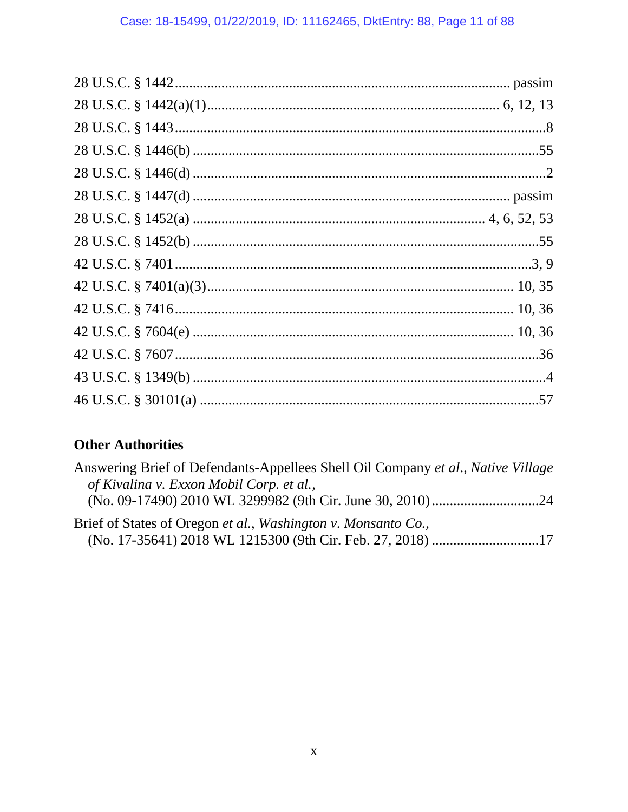## **Other Authorities**

| Answering Brief of Defendants-Appellees Shell Oil Company et al., Native Village |  |
|----------------------------------------------------------------------------------|--|
| of Kivalina v. Exxon Mobil Corp. et al.,                                         |  |
|                                                                                  |  |
| Brief of States of Oregon et al., Washington v. Monsanto Co.,                    |  |
| (No. 17-35641) 2018 WL 1215300 (9th Cir. Feb. 27, 2018) 17                       |  |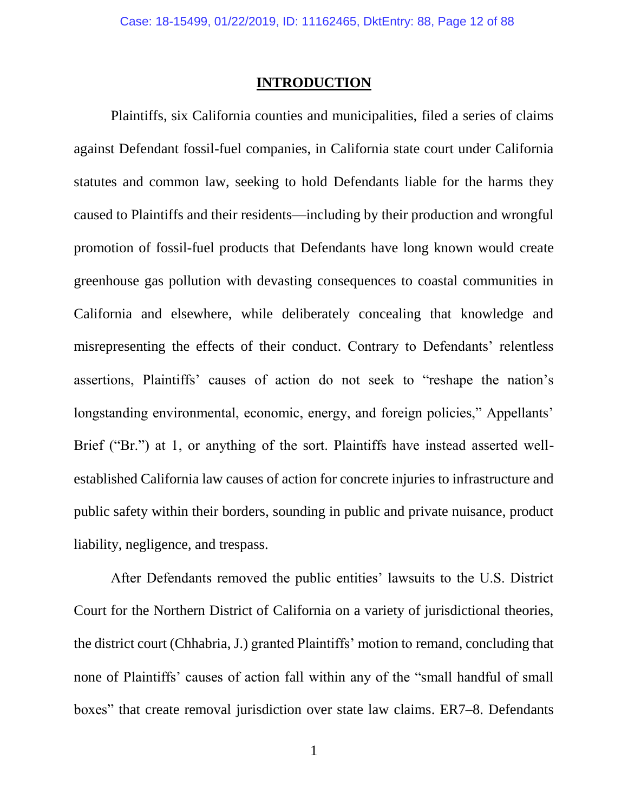#### **INTRODUCTION**

Plaintiffs, six California counties and municipalities, filed a series of claims against Defendant fossil-fuel companies, in California state court under California statutes and common law, seeking to hold Defendants liable for the harms they caused to Plaintiffs and their residents—including by their production and wrongful promotion of fossil-fuel products that Defendants have long known would create greenhouse gas pollution with devasting consequences to coastal communities in California and elsewhere, while deliberately concealing that knowledge and misrepresenting the effects of their conduct. Contrary to Defendants' relentless assertions, Plaintiffs' causes of action do not seek to "reshape the nation's longstanding environmental, economic, energy, and foreign policies," Appellants' Brief ("Br.") at 1, or anything of the sort. Plaintiffs have instead asserted wellestablished California law causes of action for concrete injuries to infrastructure and public safety within their borders, sounding in public and private nuisance, product liability, negligence, and trespass.

After Defendants removed the public entities' lawsuits to the U.S. District Court for the Northern District of California on a variety of jurisdictional theories, the district court (Chhabria, J.) granted Plaintiffs' motion to remand, concluding that none of Plaintiffs' causes of action fall within any of the "small handful of small boxes" that create removal jurisdiction over state law claims. ER7–8. Defendants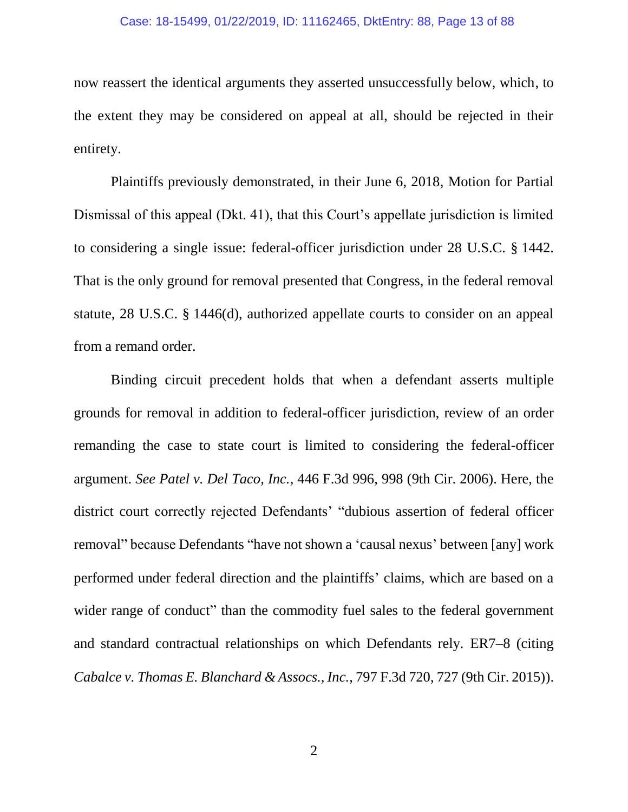now reassert the identical arguments they asserted unsuccessfully below, which, to the extent they may be considered on appeal at all, should be rejected in their entirety.

Plaintiffs previously demonstrated, in their June 6, 2018, Motion for Partial Dismissal of this appeal (Dkt. 41), that this Court's appellate jurisdiction is limited to considering a single issue: federal-officer jurisdiction under 28 U.S.C. § 1442. That is the only ground for removal presented that Congress, in the federal removal statute, 28 U.S.C. § 1446(d), authorized appellate courts to consider on an appeal from a remand order.

Binding circuit precedent holds that when a defendant asserts multiple grounds for removal in addition to federal-officer jurisdiction, review of an order remanding the case to state court is limited to considering the federal-officer argument. *See Patel v. Del Taco, Inc.*, 446 F.3d 996, 998 (9th Cir. 2006). Here, the district court correctly rejected Defendants' "dubious assertion of federal officer removal" because Defendants "have not shown a 'causal nexus' between [any] work performed under federal direction and the plaintiffs' claims, which are based on a wider range of conduct" than the commodity fuel sales to the federal government and standard contractual relationships on which Defendants rely. ER7–8 (citing *Cabalce v. Thomas E. Blanchard & Assocs., Inc.*, 797 F.3d 720, 727 (9th Cir. 2015)).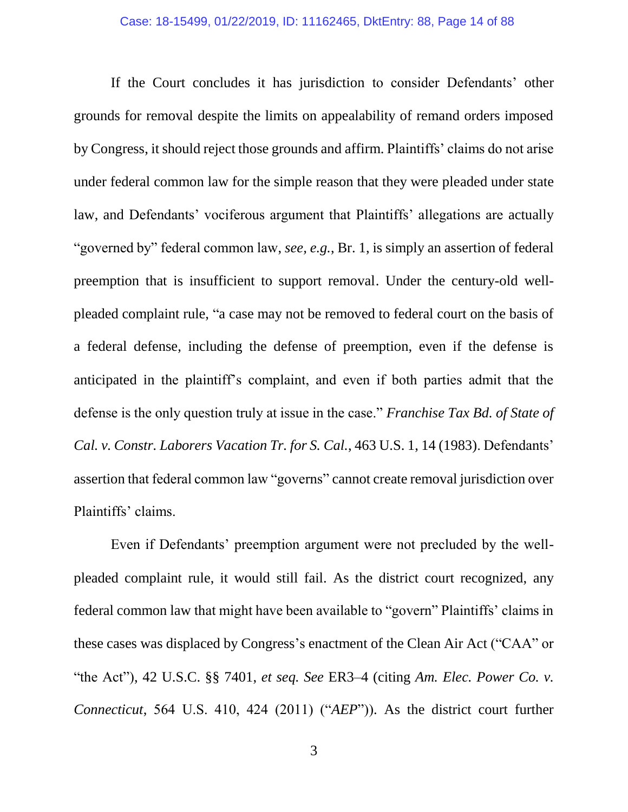If the Court concludes it has jurisdiction to consider Defendants' other grounds for removal despite the limits on appealability of remand orders imposed by Congress, it should reject those grounds and affirm. Plaintiffs' claims do not arise under federal common law for the simple reason that they were pleaded under state law, and Defendants' vociferous argument that Plaintiffs' allegations are actually "governed by" federal common law, *see, e.g.*, Br. 1, is simply an assertion of federal preemption that is insufficient to support removal. Under the century-old wellpleaded complaint rule, "a case may not be removed to federal court on the basis of a federal defense, including the defense of preemption, even if the defense is anticipated in the plaintiff's complaint, and even if both parties admit that the defense is the only question truly at issue in the case." *Franchise Tax Bd. of State of Cal. v. Constr. Laborers Vacation Tr. for S. Cal.*, 463 U.S. 1, 14 (1983). Defendants' assertion that federal common law "governs" cannot create removal jurisdiction over Plaintiffs' claims.

Even if Defendants' preemption argument were not precluded by the wellpleaded complaint rule, it would still fail. As the district court recognized, any federal common law that might have been available to "govern" Plaintiffs' claims in these cases was displaced by Congress's enactment of the Clean Air Act ("CAA" or "the Act"), 42 U.S.C. §§ 7401, *et seq. See* ER3–4 (citing *Am. Elec. Power Co. v. Connecticut*, 564 U.S. 410, 424 (2011) ("*AEP*")). As the district court further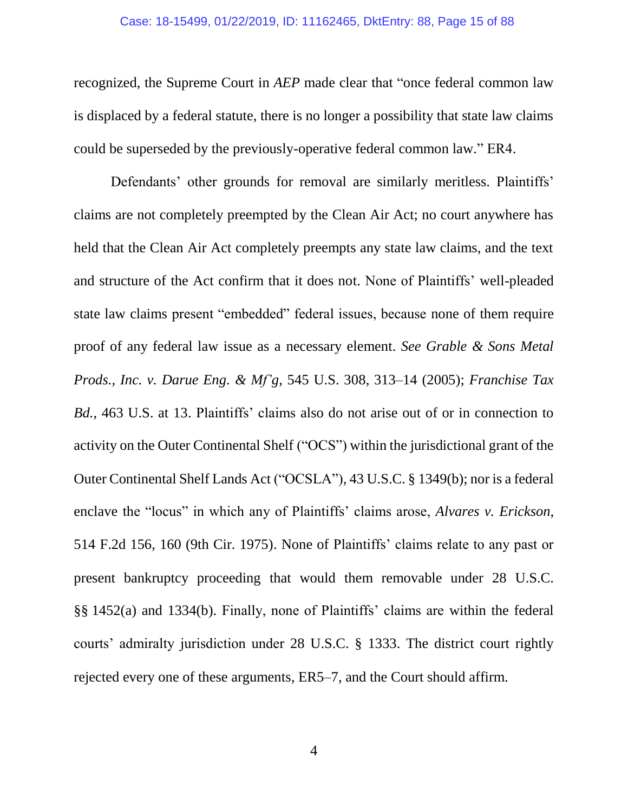#### Case: 18-15499, 01/22/2019, ID: 11162465, DktEntry: 88, Page 15 of 88

recognized, the Supreme Court in *AEP* made clear that "once federal common law is displaced by a federal statute, there is no longer a possibility that state law claims could be superseded by the previously-operative federal common law." ER4.

Defendants' other grounds for removal are similarly meritless. Plaintiffs' claims are not completely preempted by the Clean Air Act; no court anywhere has held that the Clean Air Act completely preempts any state law claims, and the text and structure of the Act confirm that it does not. None of Plaintiffs' well-pleaded state law claims present "embedded" federal issues, because none of them require proof of any federal law issue as a necessary element. *See Grable & Sons Metal Prods., Inc. v. Darue Eng. & Mf'g*, 545 U.S. 308, 313–14 (2005); *Franchise Tax Bd.*, 463 U.S. at 13. Plaintiffs' claims also do not arise out of or in connection to activity on the Outer Continental Shelf ("OCS") within the jurisdictional grant of the Outer Continental Shelf Lands Act ("OCSLA"), 43 U.S.C. § 1349(b); nor is a federal enclave the "locus" in which any of Plaintiffs' claims arose, *Alvares v. Erickson*, 514 F.2d 156, 160 (9th Cir. 1975). None of Plaintiffs' claims relate to any past or present bankruptcy proceeding that would them removable under 28 U.S.C. §§ 1452(a) and 1334(b). Finally, none of Plaintiffs' claims are within the federal courts' admiralty jurisdiction under 28 U.S.C. § 1333. The district court rightly rejected every one of these arguments, ER5–7, and the Court should affirm.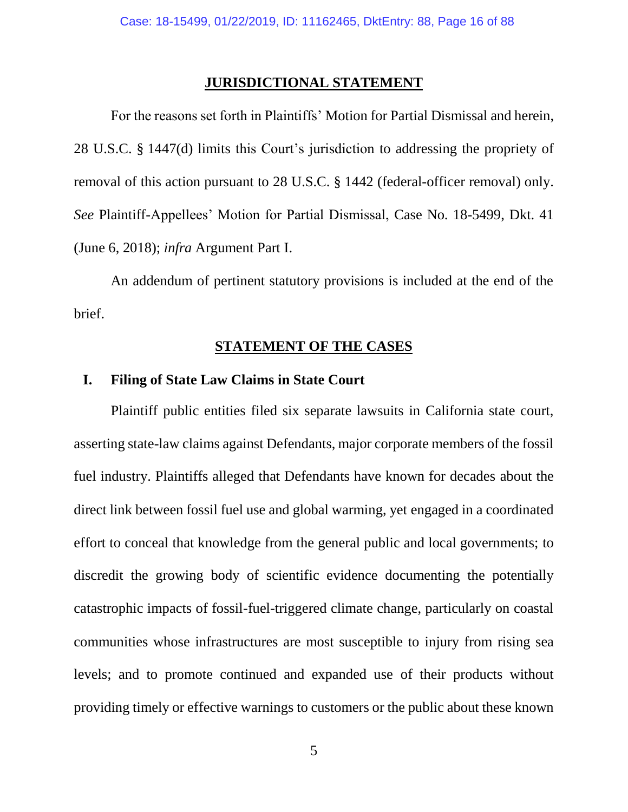### **JURISDICTIONAL STATEMENT**

For the reasons set forth in Plaintiffs' Motion for Partial Dismissal and herein, 28 U.S.C. § 1447(d) limits this Court's jurisdiction to addressing the propriety of removal of this action pursuant to 28 U.S.C. § 1442 (federal-officer removal) only. *See* Plaintiff-Appellees' Motion for Partial Dismissal, Case No. 18-5499, Dkt. 41 (June 6, 2018); *infra* Argument Part I.

An addendum of pertinent statutory provisions is included at the end of the brief.

## **STATEMENT OF THE CASES**

## **I. Filing of State Law Claims in State Court**

Plaintiff public entities filed six separate lawsuits in California state court, asserting state-law claims against Defendants, major corporate members of the fossil fuel industry. Plaintiffs alleged that Defendants have known for decades about the direct link between fossil fuel use and global warming, yet engaged in a coordinated effort to conceal that knowledge from the general public and local governments; to discredit the growing body of scientific evidence documenting the potentially catastrophic impacts of fossil-fuel-triggered climate change, particularly on coastal communities whose infrastructures are most susceptible to injury from rising sea levels; and to promote continued and expanded use of their products without providing timely or effective warnings to customers or the public about these known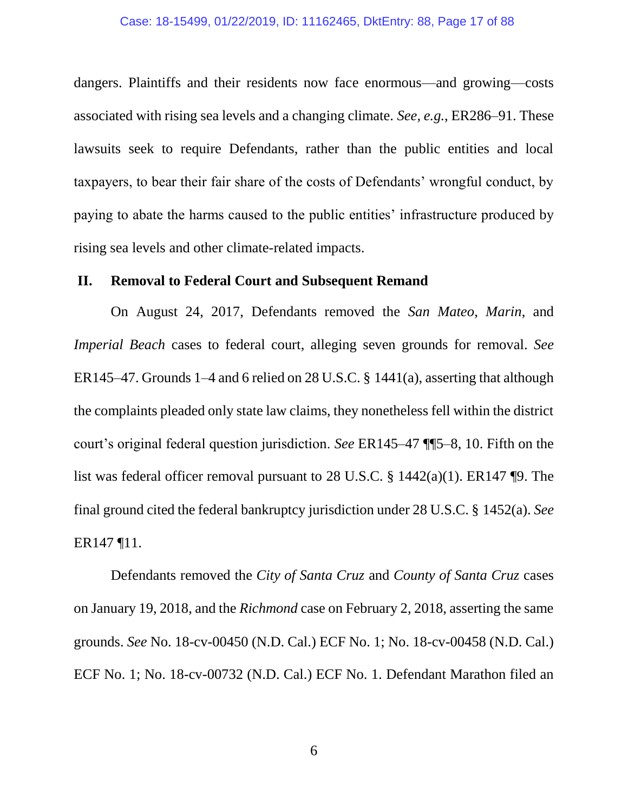dangers. Plaintiffs and their residents now face enormous—and growing—costs associated with rising sea levels and a changing climate. *See, e.g.*, ER286–91. These lawsuits seek to require Defendants, rather than the public entities and local taxpayers, to bear their fair share of the costs of Defendants' wrongful conduct, by paying to abate the harms caused to the public entities' infrastructure produced by rising sea levels and other climate-related impacts.

### **II. Removal to Federal Court and Subsequent Remand**

On August 24, 2017, Defendants removed the *San Mateo*, *Marin*, and *Imperial Beach* cases to federal court, alleging seven grounds for removal. *See*  ER145–47. Grounds 1–4 and 6 relied on 28 U.S.C. § 1441(a), asserting that although the complaints pleaded only state law claims, they nonetheless fell within the district court's original federal question jurisdiction. *See* ER145–47 ¶¶5–8, 10. Fifth on the list was federal officer removal pursuant to 28 U.S.C. § 1442(a)(1). ER147 ¶9. The final ground cited the federal bankruptcy jurisdiction under 28 U.S.C. § 1452(a). *See*  ER147 ¶11.

Defendants removed the *City of Santa Cruz* and *County of Santa Cruz* cases on January 19, 2018, and the *Richmond* case on February 2, 2018, asserting the same grounds. *See* No. 18-cv-00450 (N.D. Cal.) ECF No. 1; No. 18-cv-00458 (N.D. Cal.) ECF No. 1; No. 18-cv-00732 (N.D. Cal.) ECF No. 1. Defendant Marathon filed an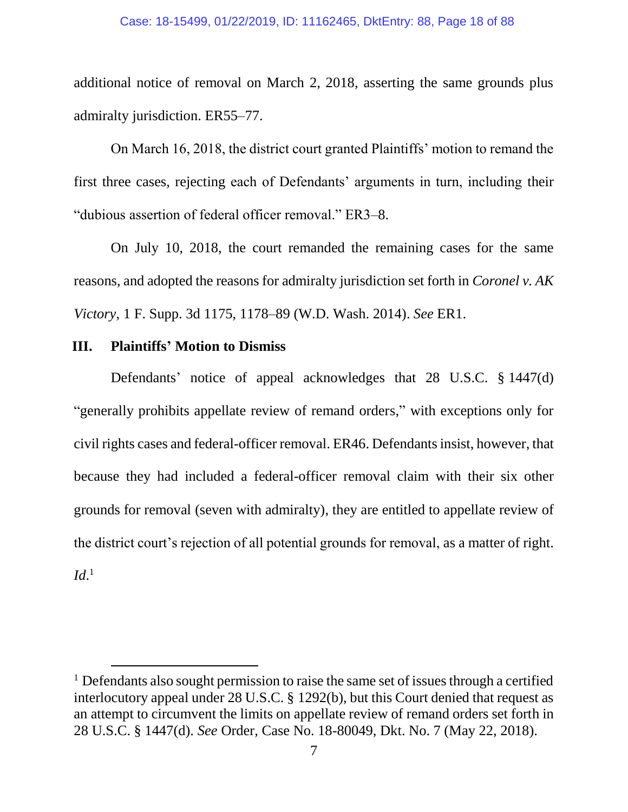additional notice of removal on March 2, 2018, asserting the same grounds plus admiralty jurisdiction. ER55–77.

On March 16, 2018, the district court granted Plaintiffs' motion to remand the first three cases, rejecting each of Defendants' arguments in turn, including their "dubious assertion of federal officer removal." ER3–8.

On July 10, 2018, the court remanded the remaining cases for the same reasons, and adopted the reasons for admiralty jurisdiction set forth in *Coronel v. AK Victory*, 1 F. Supp. 3d 1175, 1178–89 (W.D. Wash. 2014). *See* ER1.

## **III. Plaintiffs' Motion to Dismiss**

 $\overline{a}$ 

Defendants' notice of appeal acknowledges that 28 U.S.C. § 1447(d) "generally prohibits appellate review of remand orders," with exceptions only for civil rights cases and federal-officer removal. ER46. Defendants insist, however, that because they had included a federal-officer removal claim with their six other grounds for removal (seven with admiralty), they are entitled to appellate review of the district court's rejection of all potential grounds for removal, as a matter of right. *Id*. 1

<sup>&</sup>lt;sup>1</sup> Defendants also sought permission to raise the same set of issues through a certified interlocutory appeal under 28 U.S.C. § 1292(b), but this Court denied that request as an attempt to circumvent the limits on appellate review of remand orders set forth in 28 U.S.C. § 1447(d). *See* Order, Case No. 18-80049, Dkt. No. 7 (May 22, 2018).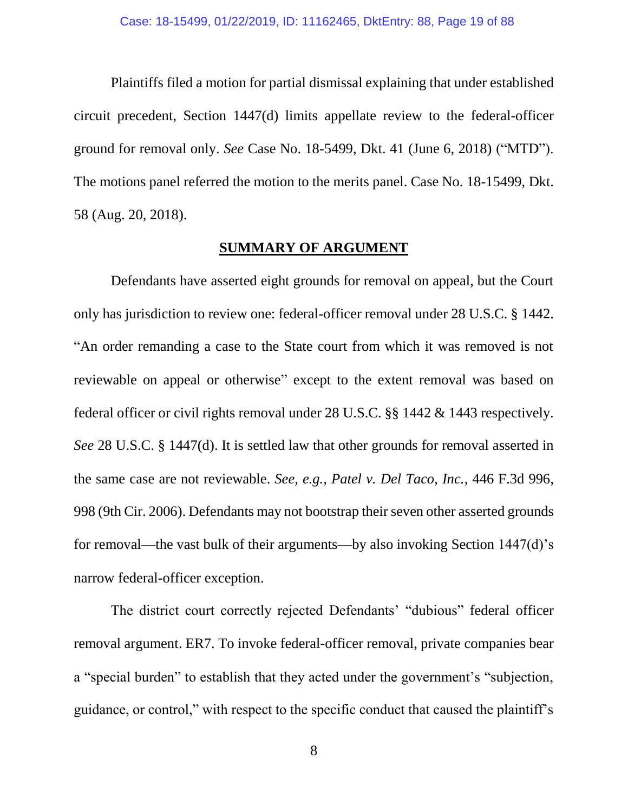Plaintiffs filed a motion for partial dismissal explaining that under established circuit precedent, Section 1447(d) limits appellate review to the federal-officer ground for removal only. *See* Case No. 18-5499, Dkt. 41 (June 6, 2018) ("MTD"). The motions panel referred the motion to the merits panel. Case No. 18-15499, Dkt. 58 (Aug. 20, 2018).

### **SUMMARY OF ARGUMENT**

Defendants have asserted eight grounds for removal on appeal, but the Court only has jurisdiction to review one: federal-officer removal under 28 U.S.C. § 1442. "An order remanding a case to the State court from which it was removed is not reviewable on appeal or otherwise" except to the extent removal was based on federal officer or civil rights removal under 28 U.S.C. §§ 1442 & 1443 respectively. *See* 28 U.S.C. § 1447(d). It is settled law that other grounds for removal asserted in the same case are not reviewable. *See, e.g., Patel v. Del Taco, Inc.*, 446 F.3d 996, 998 (9th Cir. 2006). Defendants may not bootstrap their seven other asserted grounds for removal—the vast bulk of their arguments—by also invoking Section 1447(d)'s narrow federal-officer exception.

The district court correctly rejected Defendants' "dubious" federal officer removal argument. ER7. To invoke federal-officer removal, private companies bear a "special burden" to establish that they acted under the government's "subjection, guidance, or control," with respect to the specific conduct that caused the plaintiff's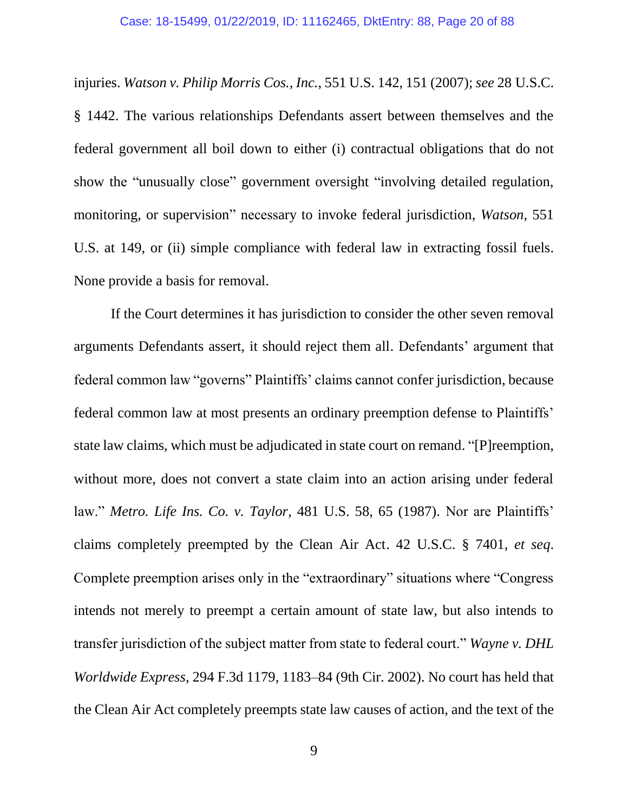injuries. *Watson v. Philip Morris Cos., Inc.*, 551 U.S. 142, 151 (2007); *see* 28 U.S.C. § 1442. The various relationships Defendants assert between themselves and the federal government all boil down to either (i) contractual obligations that do not show the "unusually close" government oversight "involving detailed regulation, monitoring, or supervision" necessary to invoke federal jurisdiction, *Watson*, 551 U.S. at 149, or (ii) simple compliance with federal law in extracting fossil fuels. None provide a basis for removal.

If the Court determines it has jurisdiction to consider the other seven removal arguments Defendants assert, it should reject them all. Defendants' argument that federal common law "governs" Plaintiffs' claims cannot confer jurisdiction, because federal common law at most presents an ordinary preemption defense to Plaintiffs' state law claims, which must be adjudicated in state court on remand. "[P]reemption, without more, does not convert a state claim into an action arising under federal law." *Metro. Life Ins. Co. v. Taylor*, 481 U.S. 58, 65 (1987). Nor are Plaintiffs' claims completely preempted by the Clean Air Act. 42 U.S.C. § 7401, *et seq*. Complete preemption arises only in the "extraordinary" situations where "Congress intends not merely to preempt a certain amount of state law, but also intends to transfer jurisdiction of the subject matter from state to federal court." *Wayne v. DHL Worldwide Express*, 294 F.3d 1179, 1183–84 (9th Cir. 2002). No court has held that the Clean Air Act completely preempts state law causes of action, and the text of the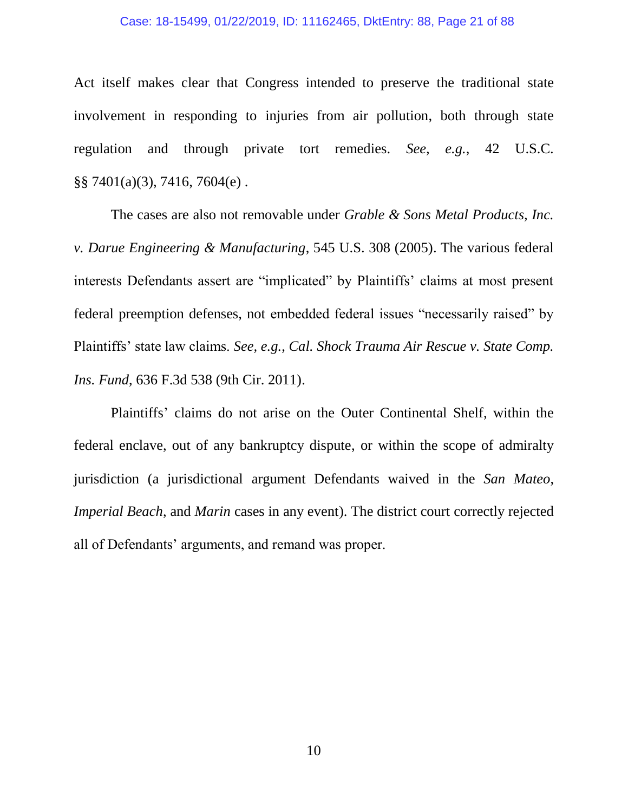#### Case: 18-15499, 01/22/2019, ID: 11162465, DktEntry: 88, Page 21 of 88

Act itself makes clear that Congress intended to preserve the traditional state involvement in responding to injuries from air pollution, both through state regulation and through private tort remedies. *See, e.g.*, 42 U.S.C. §§ 7401(a)(3), 7416, 7604(e) .

The cases are also not removable under *Grable & Sons Metal Products, Inc. v. Darue Engineering & Manufacturing*, 545 U.S. 308 (2005). The various federal interests Defendants assert are "implicated" by Plaintiffs' claims at most present federal preemption defenses, not embedded federal issues "necessarily raised" by Plaintiffs' state law claims. *See, e.g.*, *Cal. Shock Trauma Air Rescue v. State Comp. Ins. Fund*, 636 F.3d 538 (9th Cir. 2011).

Plaintiffs' claims do not arise on the Outer Continental Shelf, within the federal enclave, out of any bankruptcy dispute, or within the scope of admiralty jurisdiction (a jurisdictional argument Defendants waived in the *San Mateo*, *Imperial Beach*, and *Marin* cases in any event). The district court correctly rejected all of Defendants' arguments, and remand was proper.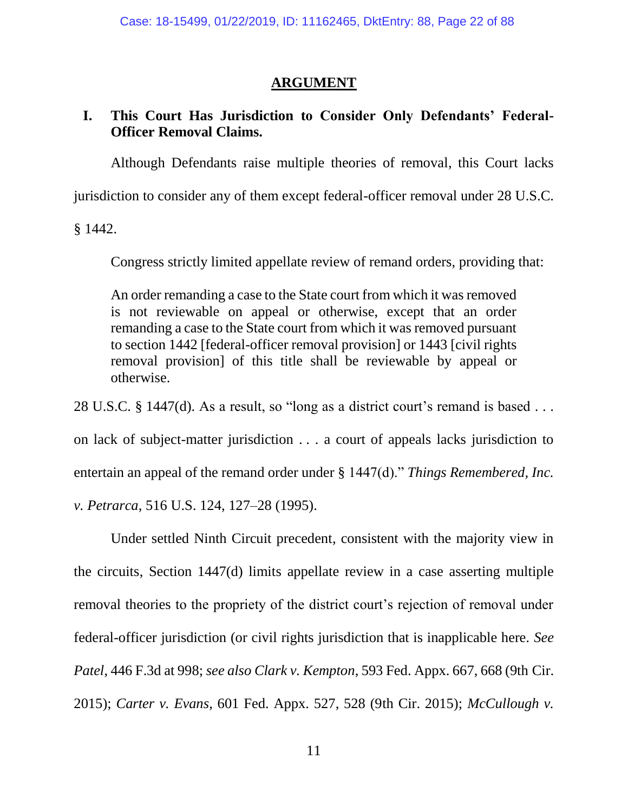## **ARGUMENT**

## **I. This Court Has Jurisdiction to Consider Only Defendants' Federal-Officer Removal Claims.**

Although Defendants raise multiple theories of removal, this Court lacks

jurisdiction to consider any of them except federal-officer removal under 28 U.S.C.

§ 1442.

Congress strictly limited appellate review of remand orders, providing that:

An order remanding a case to the State court from which it was removed is not reviewable on appeal or otherwise, except that an order remanding a case to the State court from which it was removed pursuant to section 1442 [federal-officer removal provision] or 1443 [civil rights removal provision] of this title shall be reviewable by appeal or otherwise.

28 U.S.C. § 1447(d). As a result, so "long as a district court's remand is based . . .

on lack of subject-matter jurisdiction . . . a court of appeals lacks jurisdiction to entertain an appeal of the remand order under § 1447(d)." *Things Remembered, Inc. v. Petrarca*, 516 U.S. 124, 127–28 (1995).

Under settled Ninth Circuit precedent, consistent with the majority view in the circuits, Section 1447(d) limits appellate review in a case asserting multiple removal theories to the propriety of the district court's rejection of removal under federal-officer jurisdiction (or civil rights jurisdiction that is inapplicable here*. See Patel*, 446 F.3d at 998; *see also Clark v. Kempton*, 593 Fed. Appx. 667, 668 (9th Cir. 2015); *Carter v. Evans*, 601 Fed. Appx. 527, 528 (9th Cir. 2015); *McCullough v.*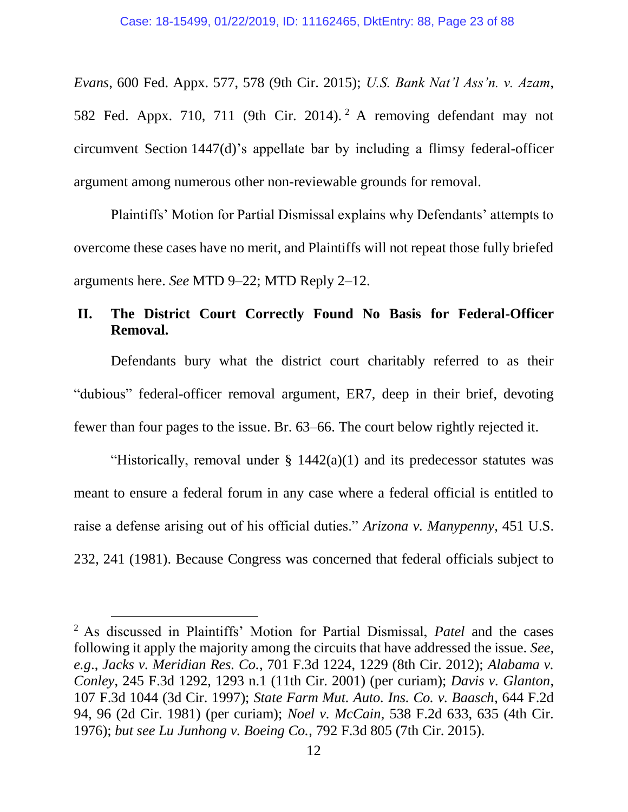*Evans*, 600 Fed. Appx. 577, 578 (9th Cir. 2015); *U.S. Bank Nat'l Ass'n. v. Azam*, 582 Fed. Appx. 710, 711 (9th Cir. 2014). <sup>2</sup> A removing defendant may not circumvent Section 1447(d)'s appellate bar by including a flimsy federal-officer argument among numerous other non-reviewable grounds for removal.

Plaintiffs' Motion for Partial Dismissal explains why Defendants' attempts to overcome these cases have no merit, and Plaintiffs will not repeat those fully briefed arguments here. *See* MTD 9–22; MTD Reply 2–12.

## **II. The District Court Correctly Found No Basis for Federal-Officer Removal.**

Defendants bury what the district court charitably referred to as their "dubious" federal-officer removal argument, ER7, deep in their brief, devoting fewer than four pages to the issue. Br. 63–66. The court below rightly rejected it.

"Historically, removal under  $\S$  1442(a)(1) and its predecessor statutes was meant to ensure a federal forum in any case where a federal official is entitled to raise a defense arising out of his official duties." *Arizona v. Manypenny*, 451 U.S. 232, 241 (1981). Because Congress was concerned that federal officials subject to

l

<sup>2</sup> As discussed in Plaintiffs' Motion for Partial Dismissal, *Patel* and the cases following it apply the majority among the circuits that have addressed the issue. *See, e.g*., *Jacks v. Meridian Res. Co.*, 701 F.3d 1224, 1229 (8th Cir. 2012); *Alabama v. Conley*, 245 F.3d 1292, 1293 n.1 (11th Cir. 2001) (per curiam); *Davis v. Glanton*, 107 F.3d 1044 (3d Cir. 1997); *State Farm Mut. Auto. Ins. Co. v. Baasch*, 644 F.2d 94, 96 (2d Cir. 1981) (per curiam); *Noel v. McCain*, 538 F.2d 633, 635 (4th Cir. 1976); *but see Lu Junhong v. Boeing Co.*, 792 F.3d 805 (7th Cir. 2015).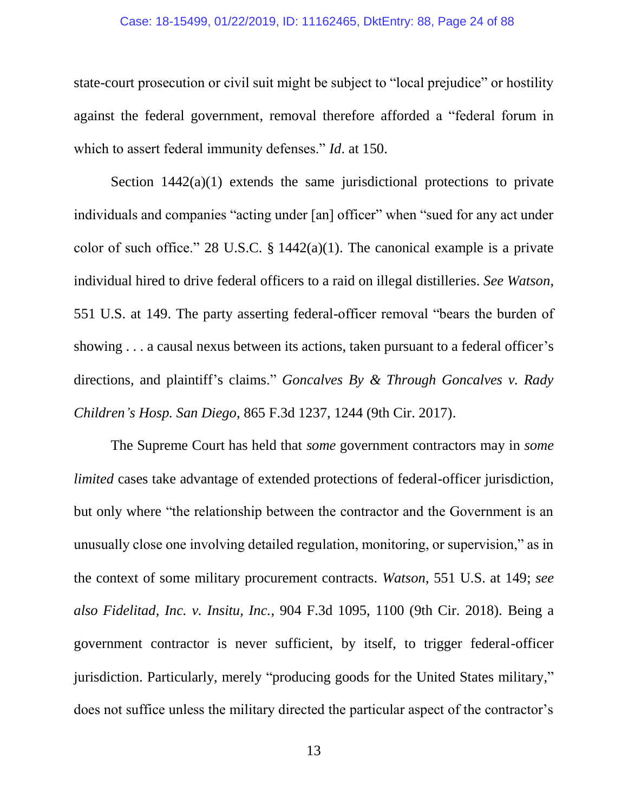#### Case: 18-15499, 01/22/2019, ID: 11162465, DktEntry: 88, Page 24 of 88

state-court prosecution or civil suit might be subject to "local prejudice" or hostility against the federal government, removal therefore afforded a "federal forum in which to assert federal immunity defenses." *Id*. at 150.

Section  $1442(a)(1)$  extends the same jurisdictional protections to private individuals and companies "acting under [an] officer" when "sued for any act under color of such office." 28 U.S.C.  $\S$  1442(a)(1). The canonical example is a private individual hired to drive federal officers to a raid on illegal distilleries. *See Watson*, 551 U.S. at 149. The party asserting federal-officer removal "bears the burden of showing . . . a causal nexus between its actions, taken pursuant to a federal officer's directions, and plaintiff's claims." *Goncalves By & Through Goncalves v. Rady Children's Hosp. San Diego*, 865 F.3d 1237, 1244 (9th Cir. 2017).

The Supreme Court has held that *some* government contractors may in *some limited* cases take advantage of extended protections of federal-officer jurisdiction, but only where "the relationship between the contractor and the Government is an unusually close one involving detailed regulation, monitoring, or supervision," as in the context of some military procurement contracts. *Watson*, 551 U.S. at 149; *see also Fidelitad, Inc. v. Insitu, Inc.*, 904 F.3d 1095, 1100 (9th Cir. 2018). Being a government contractor is never sufficient, by itself, to trigger federal-officer jurisdiction. Particularly, merely "producing goods for the United States military," does not suffice unless the military directed the particular aspect of the contractor's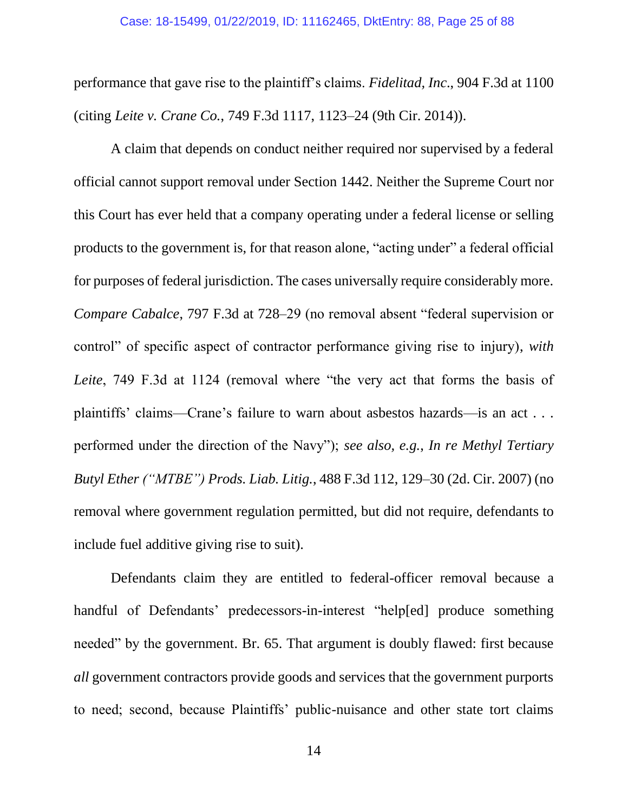performance that gave rise to the plaintiff's claims. *Fidelitad, Inc*., 904 F.3d at 1100 (citing *Leite v. Crane Co.*, 749 F.3d 1117, 1123–24 (9th Cir. 2014)).

A claim that depends on conduct neither required nor supervised by a federal official cannot support removal under Section 1442. Neither the Supreme Court nor this Court has ever held that a company operating under a federal license or selling products to the government is, for that reason alone, "acting under" a federal official for purposes of federal jurisdiction. The cases universally require considerably more. *Compare Cabalce*, 797 F.3d at 728–29 (no removal absent "federal supervision or control" of specific aspect of contractor performance giving rise to injury), *with Leite*, 749 F.3d at 1124 (removal where "the very act that forms the basis of plaintiffs' claims—Crane's failure to warn about asbestos hazards—is an act . . . performed under the direction of the Navy"); *see also, e.g.*, *In re Methyl Tertiary Butyl Ether ("MTBE") Prods. Liab. Litig.*, 488 F.3d 112, 129–30 (2d. Cir. 2007) (no removal where government regulation permitted, but did not require, defendants to include fuel additive giving rise to suit).

Defendants claim they are entitled to federal-officer removal because a handful of Defendants' predecessors-in-interest "help[ed] produce something needed" by the government. Br. 65. That argument is doubly flawed: first because *all* government contractors provide goods and services that the government purports to need; second, because Plaintiffs' public-nuisance and other state tort claims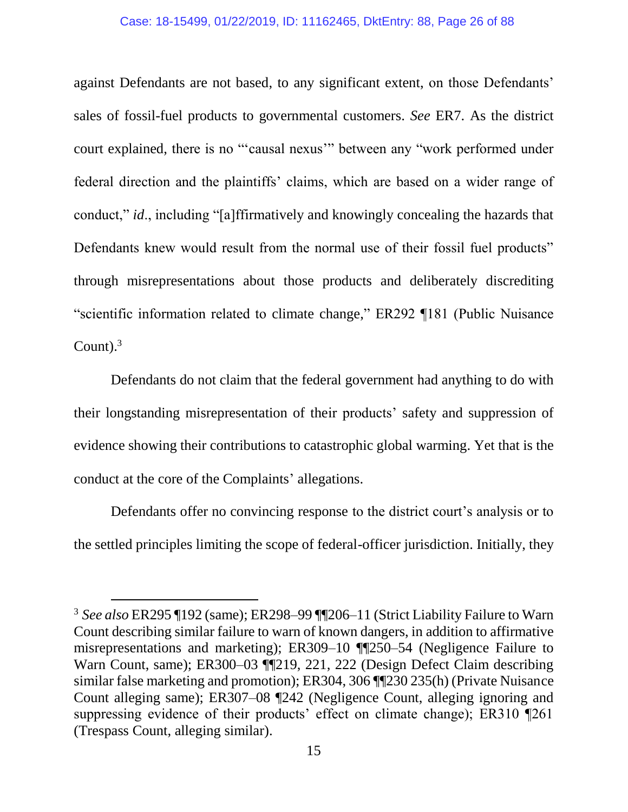#### Case: 18-15499, 01/22/2019, ID: 11162465, DktEntry: 88, Page 26 of 88

against Defendants are not based, to any significant extent, on those Defendants' sales of fossil-fuel products to governmental customers. *See* ER7. As the district court explained, there is no "'causal nexus'" between any "work performed under federal direction and the plaintiffs' claims, which are based on a wider range of conduct," *id*., including "[a]ffirmatively and knowingly concealing the hazards that Defendants knew would result from the normal use of their fossil fuel products" through misrepresentations about those products and deliberately discrediting "scientific information related to climate change," ER292 ¶181 (Public Nuisance Count). $3$ 

Defendants do not claim that the federal government had anything to do with their longstanding misrepresentation of their products' safety and suppression of evidence showing their contributions to catastrophic global warming. Yet that is the conduct at the core of the Complaints' allegations.

Defendants offer no convincing response to the district court's analysis or to the settled principles limiting the scope of federal-officer jurisdiction. Initially, they

l

<sup>3</sup> *See also* ER295 ¶192 (same); ER298–99 ¶¶206–11 (Strict Liability Failure to Warn Count describing similar failure to warn of known dangers, in addition to affirmative misrepresentations and marketing); ER309–10 ¶¶250–54 (Negligence Failure to Warn Count, same); ER300–03 ¶¶219, 221, 222 (Design Defect Claim describing similar false marketing and promotion); ER304, 306 ¶¶230 235(h) (Private Nuisance Count alleging same); ER307–08 ¶242 (Negligence Count, alleging ignoring and suppressing evidence of their products' effect on climate change); ER310 ¶261 (Trespass Count, alleging similar).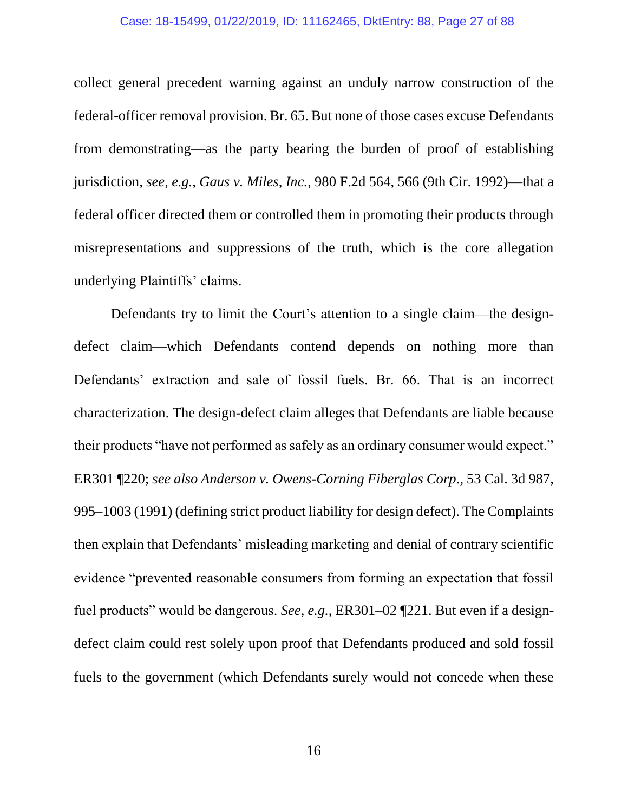#### Case: 18-15499, 01/22/2019, ID: 11162465, DktEntry: 88, Page 27 of 88

collect general precedent warning against an unduly narrow construction of the federal-officer removal provision. Br. 65. But none of those cases excuse Defendants from demonstrating—as the party bearing the burden of proof of establishing jurisdiction, *see, e.g.*, *Gaus v. Miles, Inc.*, 980 F.2d 564, 566 (9th Cir. 1992)—that a federal officer directed them or controlled them in promoting their products through misrepresentations and suppressions of the truth, which is the core allegation underlying Plaintiffs' claims.

Defendants try to limit the Court's attention to a single claim—the designdefect claim—which Defendants contend depends on nothing more than Defendants' extraction and sale of fossil fuels. Br. 66. That is an incorrect characterization. The design-defect claim alleges that Defendants are liable because their products "have not performed as safely as an ordinary consumer would expect." ER301 ¶220; *see also Anderson v. Owens-Corning Fiberglas Corp*., 53 Cal. 3d 987, 995–1003 (1991) (defining strict product liability for design defect). The Complaints then explain that Defendants' misleading marketing and denial of contrary scientific evidence "prevented reasonable consumers from forming an expectation that fossil fuel products" would be dangerous. *See, e.g.*, ER301–02 ¶221. But even if a designdefect claim could rest solely upon proof that Defendants produced and sold fossil fuels to the government (which Defendants surely would not concede when these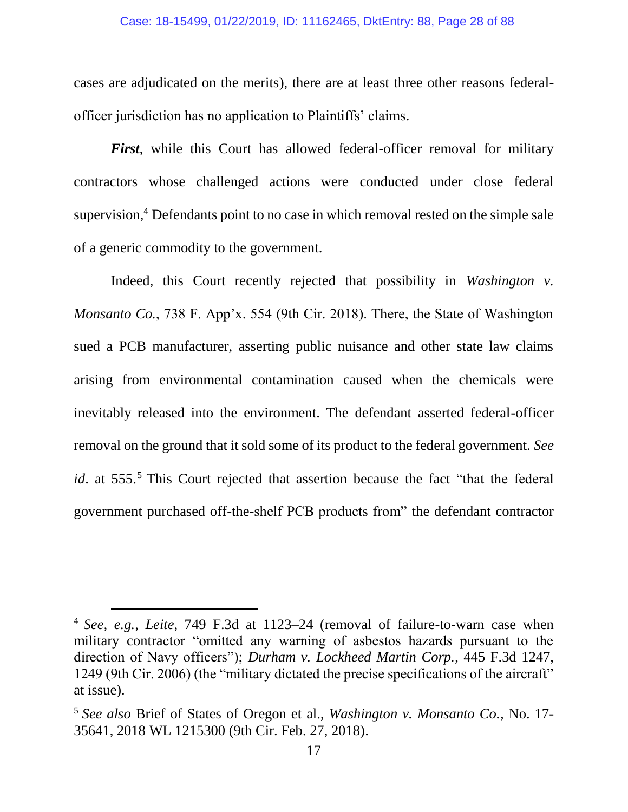#### Case: 18-15499, 01/22/2019, ID: 11162465, DktEntry: 88, Page 28 of 88

cases are adjudicated on the merits), there are at least three other reasons federalofficer jurisdiction has no application to Plaintiffs' claims.

*First*, while this Court has allowed federal-officer removal for military contractors whose challenged actions were conducted under close federal supervision, <sup>4</sup> Defendants point to no case in which removal rested on the simple sale of a generic commodity to the government.

Indeed, this Court recently rejected that possibility in *Washington v. Monsanto Co.*, 738 F. App'x. 554 (9th Cir. 2018). There, the State of Washington sued a PCB manufacturer, asserting public nuisance and other state law claims arising from environmental contamination caused when the chemicals were inevitably released into the environment. The defendant asserted federal-officer removal on the ground that it sold some of its product to the federal government. *See id*. at 555.<sup>5</sup> This Court rejected that assertion because the fact "that the federal government purchased off-the-shelf PCB products from" the defendant contractor

l

<sup>4</sup> *See, e.g.*, *Leite*, 749 F.3d at 1123–24 (removal of failure-to-warn case when military contractor "omitted any warning of asbestos hazards pursuant to the direction of Navy officers"); *Durham v. Lockheed Martin Corp.*, 445 F.3d 1247, 1249 (9th Cir. 2006) (the "military dictated the precise specifications of the aircraft" at issue).

<sup>5</sup> *See also* Brief of States of Oregon et al., *Washington v. Monsanto Co.*, No. 17- 35641, 2018 WL 1215300 (9th Cir. Feb. 27, 2018).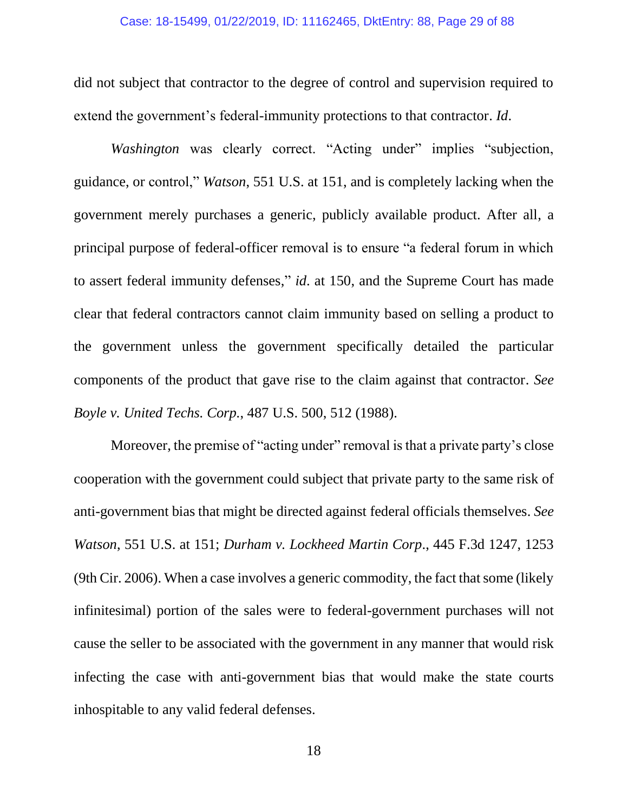did not subject that contractor to the degree of control and supervision required to extend the government's federal-immunity protections to that contractor. *Id*.

*Washington* was clearly correct. "Acting under" implies "subjection, guidance, or control," *Watson*, 551 U.S. at 151, and is completely lacking when the government merely purchases a generic, publicly available product. After all, a principal purpose of federal-officer removal is to ensure "a federal forum in which to assert federal immunity defenses," *id*. at 150, and the Supreme Court has made clear that federal contractors cannot claim immunity based on selling a product to the government unless the government specifically detailed the particular components of the product that gave rise to the claim against that contractor. *See Boyle v. United Techs. Corp.*, 487 U.S. 500, 512 (1988).

Moreover, the premise of "acting under" removal is that a private party's close cooperation with the government could subject that private party to the same risk of anti-government bias that might be directed against federal officials themselves. *See Watson*, 551 U.S. at 151; *Durham v. Lockheed Martin Corp*., 445 F.3d 1247, 1253 (9th Cir. 2006). When a case involves a generic commodity, the fact that some (likely infinitesimal) portion of the sales were to federal-government purchases will not cause the seller to be associated with the government in any manner that would risk infecting the case with anti-government bias that would make the state courts inhospitable to any valid federal defenses.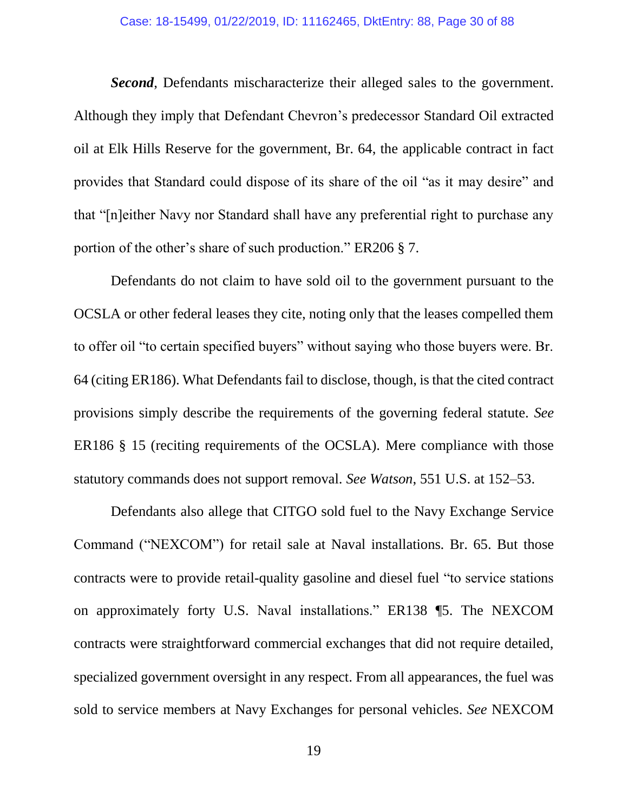*Second*, Defendants mischaracterize their alleged sales to the government. Although they imply that Defendant Chevron's predecessor Standard Oil extracted oil at Elk Hills Reserve for the government, Br. 64, the applicable contract in fact provides that Standard could dispose of its share of the oil "as it may desire" and that "[n]either Navy nor Standard shall have any preferential right to purchase any portion of the other's share of such production." ER206 § 7.

Defendants do not claim to have sold oil to the government pursuant to the OCSLA or other federal leases they cite, noting only that the leases compelled them to offer oil "to certain specified buyers" without saying who those buyers were. Br. 64 (citing ER186). What Defendants fail to disclose, though, is that the cited contract provisions simply describe the requirements of the governing federal statute. *See*  ER186 § 15 (reciting requirements of the OCSLA). Mere compliance with those statutory commands does not support removal. *See Watson*, 551 U.S. at 152–53.

Defendants also allege that CITGO sold fuel to the Navy Exchange Service Command ("NEXCOM") for retail sale at Naval installations. Br. 65. But those contracts were to provide retail-quality gasoline and diesel fuel "to service stations on approximately forty U.S. Naval installations." ER138 ¶5. The NEXCOM contracts were straightforward commercial exchanges that did not require detailed, specialized government oversight in any respect. From all appearances, the fuel was sold to service members at Navy Exchanges for personal vehicles. *See* NEXCOM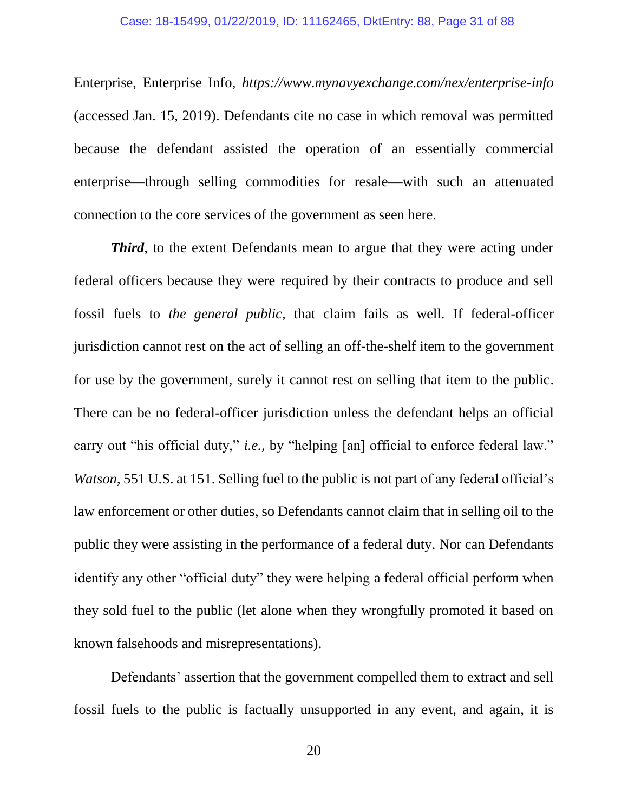Enterprise, Enterprise Info, *https://www.mynavyexchange.com/nex/enterprise-info* (accessed Jan. 15, 2019). Defendants cite no case in which removal was permitted because the defendant assisted the operation of an essentially commercial enterprise—through selling commodities for resale—with such an attenuated connection to the core services of the government as seen here.

*Third*, to the extent Defendants mean to argue that they were acting under federal officers because they were required by their contracts to produce and sell fossil fuels to *the general public*, that claim fails as well. If federal-officer jurisdiction cannot rest on the act of selling an off-the-shelf item to the government for use by the government, surely it cannot rest on selling that item to the public. There can be no federal-officer jurisdiction unless the defendant helps an official carry out "his official duty," *i.e.,* by "helping [an] official to enforce federal law." *Watson*, 551 U.S. at 151. Selling fuel to the public is not part of any federal official's law enforcement or other duties, so Defendants cannot claim that in selling oil to the public they were assisting in the performance of a federal duty. Nor can Defendants identify any other "official duty" they were helping a federal official perform when they sold fuel to the public (let alone when they wrongfully promoted it based on known falsehoods and misrepresentations).

Defendants' assertion that the government compelled them to extract and sell fossil fuels to the public is factually unsupported in any event, and again, it is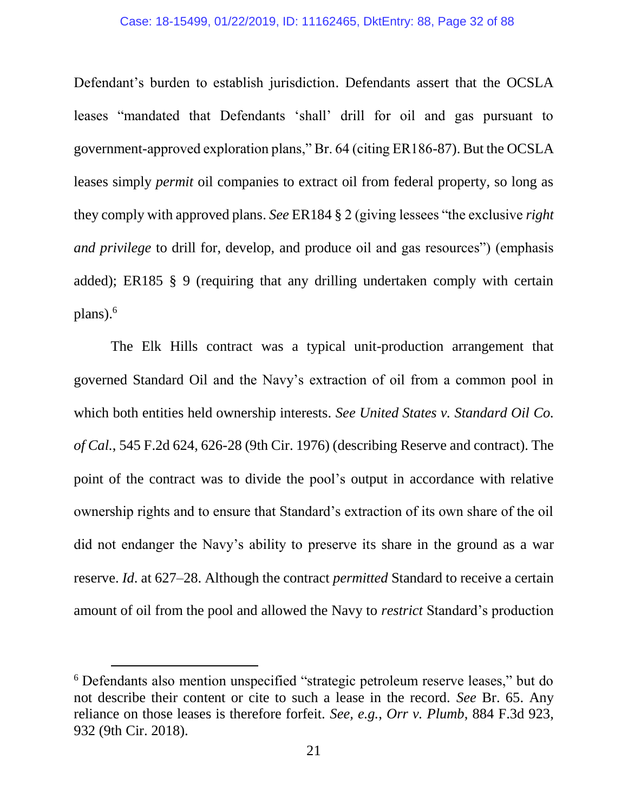#### Case: 18-15499, 01/22/2019, ID: 11162465, DktEntry: 88, Page 32 of 88

Defendant's burden to establish jurisdiction. Defendants assert that the OCSLA leases "mandated that Defendants 'shall' drill for oil and gas pursuant to government-approved exploration plans," Br. 64 (citing ER186-87). But the OCSLA leases simply *permit* oil companies to extract oil from federal property, so long as they comply with approved plans. *See* ER184 § 2 (giving lessees "the exclusive *right and privilege* to drill for, develop, and produce oil and gas resources") (emphasis added); ER185 § 9 (requiring that any drilling undertaken comply with certain plans).<sup>6</sup>

The Elk Hills contract was a typical unit-production arrangement that governed Standard Oil and the Navy's extraction of oil from a common pool in which both entities held ownership interests. *See United States v. Standard Oil Co. of Cal.*, 545 F.2d 624, 626-28 (9th Cir. 1976) (describing Reserve and contract). The point of the contract was to divide the pool's output in accordance with relative ownership rights and to ensure that Standard's extraction of its own share of the oil did not endanger the Navy's ability to preserve its share in the ground as a war reserve. *Id*. at 627–28. Although the contract *permitted* Standard to receive a certain amount of oil from the pool and allowed the Navy to *restrict* Standard's production

 $\overline{a}$ 

<sup>6</sup> Defendants also mention unspecified "strategic petroleum reserve leases," but do not describe their content or cite to such a lease in the record. *See* Br. 65. Any reliance on those leases is therefore forfeit. *See, e.g.*, *Orr v. Plumb*, 884 F.3d 923, 932 (9th Cir. 2018).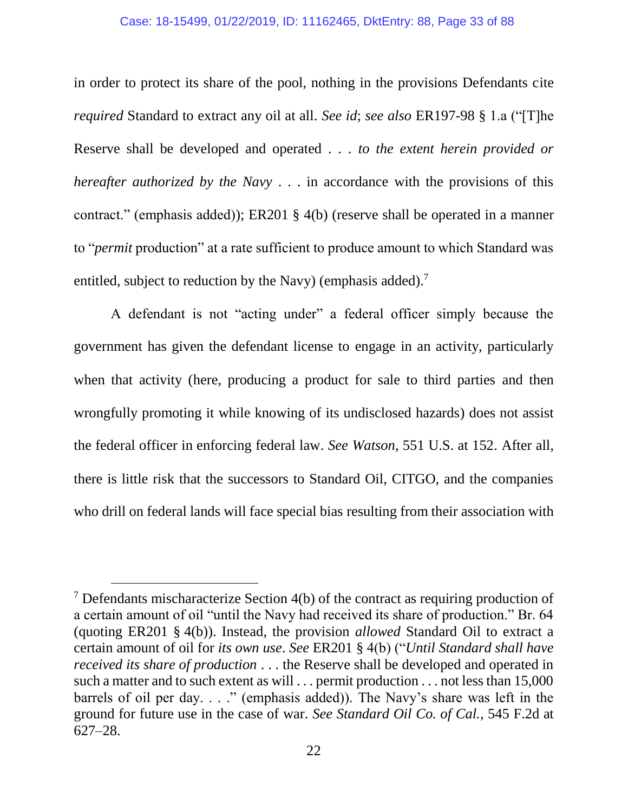#### Case: 18-15499, 01/22/2019, ID: 11162465, DktEntry: 88, Page 33 of 88

in order to protect its share of the pool, nothing in the provisions Defendants cite *required* Standard to extract any oil at all. *See id*; *see also* ER197-98 § 1.a ("[T]he Reserve shall be developed and operated . . . *to the extent herein provided or hereafter authorized by the Navy* . . . in accordance with the provisions of this contract." (emphasis added)); ER201 § 4(b) (reserve shall be operated in a manner to "*permit* production" at a rate sufficient to produce amount to which Standard was entitled, subject to reduction by the Navy) (emphasis added).<sup>7</sup>

A defendant is not "acting under" a federal officer simply because the government has given the defendant license to engage in an activity, particularly when that activity (here, producing a product for sale to third parties and then wrongfully promoting it while knowing of its undisclosed hazards) does not assist the federal officer in enforcing federal law. *See Watson*, 551 U.S. at 152. After all, there is little risk that the successors to Standard Oil, CITGO, and the companies who drill on federal lands will face special bias resulting from their association with

 $\overline{a}$ 

 $<sup>7</sup>$  Defendants mischaracterize Section 4(b) of the contract as requiring production of</sup> a certain amount of oil "until the Navy had received its share of production." Br. 64 (quoting ER201 § 4(b)). Instead, the provision *allowed* Standard Oil to extract a certain amount of oil for *its own use*. *See* ER201 § 4(b) ("*Until Standard shall have received its share of production* . . . the Reserve shall be developed and operated in such a matter and to such extent as will . . . permit production . . . not less than 15,000 barrels of oil per day. . . ." (emphasis added)). The Navy's share was left in the ground for future use in the case of war. *See Standard Oil Co. of Cal.*, 545 F.2d at 627–28.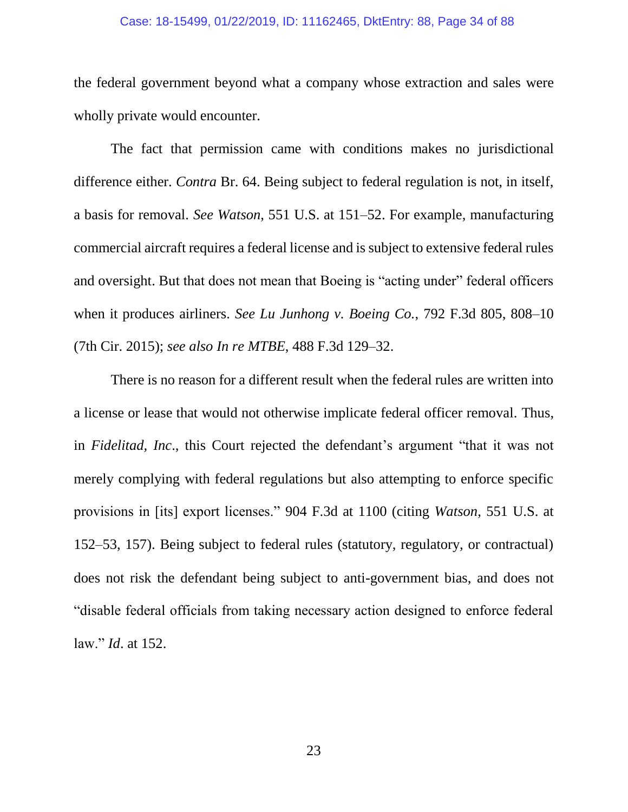#### Case: 18-15499, 01/22/2019, ID: 11162465, DktEntry: 88, Page 34 of 88

the federal government beyond what a company whose extraction and sales were wholly private would encounter.

The fact that permission came with conditions makes no jurisdictional difference either. *Contra* Br. 64. Being subject to federal regulation is not, in itself, a basis for removal. *See Watson*, 551 U.S. at 151–52. For example, manufacturing commercial aircraft requires a federal license and is subject to extensive federal rules and oversight. But that does not mean that Boeing is "acting under" federal officers when it produces airliners. *See Lu Junhong v. Boeing Co.*, 792 F.3d 805, 808–10 (7th Cir. 2015); *see also In re MTBE*, 488 F.3d 129–32.

There is no reason for a different result when the federal rules are written into a license or lease that would not otherwise implicate federal officer removal. Thus, in *Fidelitad, Inc*., this Court rejected the defendant's argument "that it was not merely complying with federal regulations but also attempting to enforce specific provisions in [its] export licenses." 904 F.3d at 1100 (citing *Watson*, 551 U.S. at 152–53, 157). Being subject to federal rules (statutory, regulatory, or contractual) does not risk the defendant being subject to anti-government bias, and does not "disable federal officials from taking necessary action designed to enforce federal law." *Id*. at 152.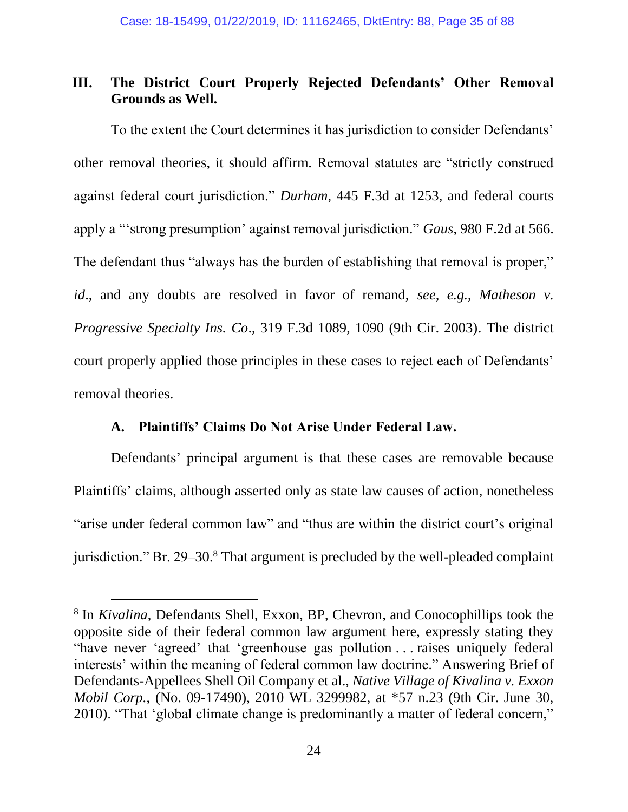## **III. The District Court Properly Rejected Defendants' Other Removal Grounds as Well.**

To the extent the Court determines it has jurisdiction to consider Defendants' other removal theories, it should affirm. Removal statutes are "strictly construed against federal court jurisdiction." *Durham*, 445 F.3d at 1253, and federal courts apply a "'strong presumption' against removal jurisdiction." *Gaus*, 980 F.2d at 566. The defendant thus "always has the burden of establishing that removal is proper," *id*., and any doubts are resolved in favor of remand, *see, e.g.*, *Matheson v. Progressive Specialty Ins. Co*., 319 F.3d 1089, 1090 (9th Cir. 2003). The district court properly applied those principles in these cases to reject each of Defendants' removal theories.

## **A. Plaintiffs' Claims Do Not Arise Under Federal Law.**

l

Defendants' principal argument is that these cases are removable because Plaintiffs' claims, although asserted only as state law causes of action, nonetheless "arise under federal common law" and "thus are within the district court's original jurisdiction." Br. 29–30.<sup>8</sup> That argument is precluded by the well-pleaded complaint

<sup>8</sup> In *Kivalina*, Defendants Shell, Exxon, BP, Chevron, and Conocophillips took the opposite side of their federal common law argument here, expressly stating they "have never 'agreed' that 'greenhouse gas pollution . . . raises uniquely federal interests' within the meaning of federal common law doctrine." Answering Brief of Defendants-Appellees Shell Oil Company et al., *Native Village of Kivalina v. Exxon Mobil Corp.*, (No. 09-17490), 2010 WL 3299982, at \*57 n.23 (9th Cir. June 30, 2010). "That 'global climate change is predominantly a matter of federal concern,"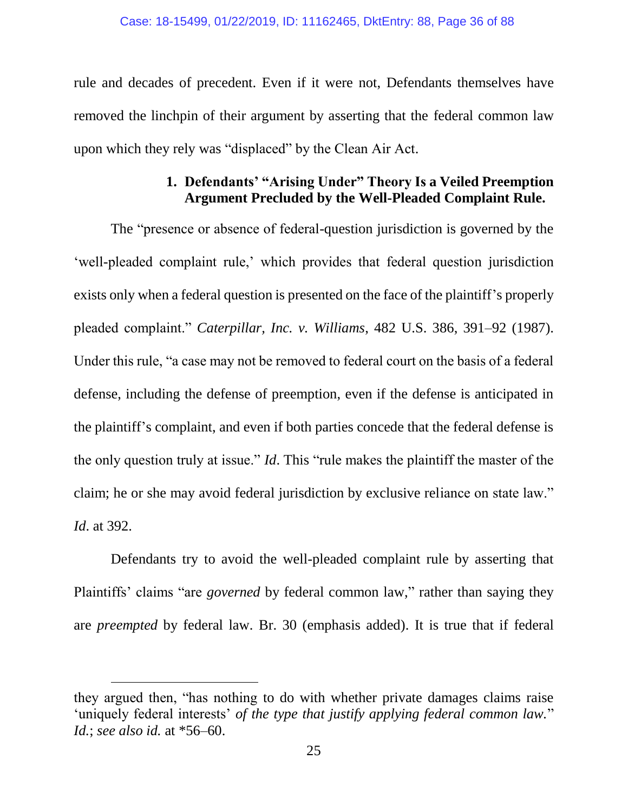rule and decades of precedent. Even if it were not, Defendants themselves have removed the linchpin of their argument by asserting that the federal common law upon which they rely was "displaced" by the Clean Air Act.

## **1. Defendants' "Arising Under" Theory Is a Veiled Preemption Argument Precluded by the Well-Pleaded Complaint Rule.**

The "presence or absence of federal-question jurisdiction is governed by the 'well-pleaded complaint rule,' which provides that federal question jurisdiction exists only when a federal question is presented on the face of the plaintiff's properly pleaded complaint." *Caterpillar, Inc. v. Williams*, 482 U.S. 386, 391–92 (1987). Under this rule, "a case may not be removed to federal court on the basis of a federal defense, including the defense of preemption, even if the defense is anticipated in the plaintiff's complaint, and even if both parties concede that the federal defense is the only question truly at issue." *Id*. This "rule makes the plaintiff the master of the claim; he or she may avoid federal jurisdiction by exclusive reliance on state law." *Id*. at 392.

Defendants try to avoid the well-pleaded complaint rule by asserting that Plaintiffs' claims "are *governed* by federal common law," rather than saying they are *preempted* by federal law. Br. 30 (emphasis added). It is true that if federal

 $\overline{a}$ 

they argued then, "has nothing to do with whether private damages claims raise 'uniquely federal interests' *of the type that justify applying federal common law.*" *Id.*; *see also id.* at \*56–60.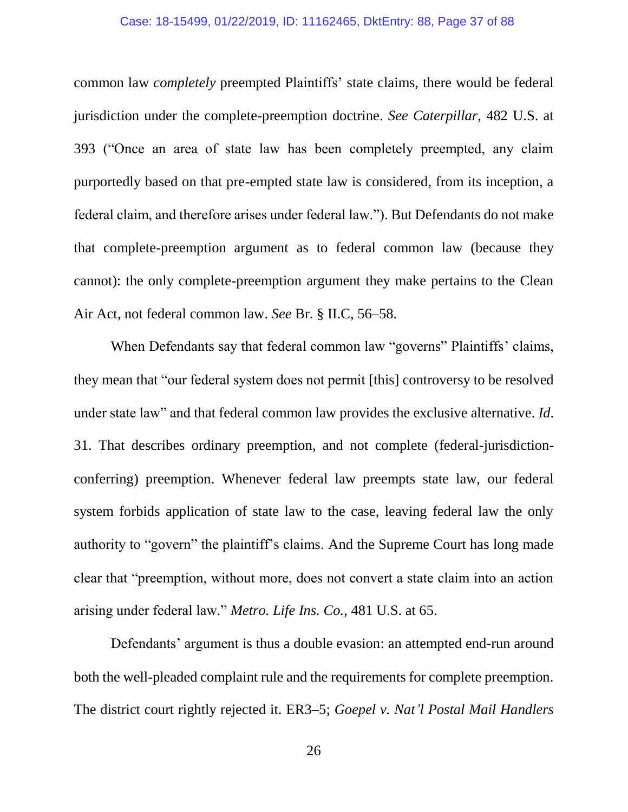#### Case: 18-15499, 01/22/2019, ID: 11162465, DktEntry: 88, Page 37 of 88

common law *completely* preempted Plaintiffs' state claims, there would be federal jurisdiction under the complete-preemption doctrine. *See Caterpillar*, 482 U.S. at 393 ("Once an area of state law has been completely preempted, any claim purportedly based on that pre-empted state law is considered, from its inception, a federal claim, and therefore arises under federal law."). But Defendants do not make that complete-preemption argument as to federal common law (because they cannot): the only complete-preemption argument they make pertains to the Clean Air Act, not federal common law. *See* Br. § II.C, 56–58.

When Defendants say that federal common law "governs" Plaintiffs' claims, they mean that "our federal system does not permit [this] controversy to be resolved under state law" and that federal common law provides the exclusive alternative. *Id*. 31. That describes ordinary preemption, and not complete (federal-jurisdictionconferring) preemption. Whenever federal law preempts state law, our federal system forbids application of state law to the case, leaving federal law the only authority to "govern" the plaintiff's claims. And the Supreme Court has long made clear that "preemption, without more, does not convert a state claim into an action arising under federal law." *Metro. Life Ins. Co.*, 481 U.S. at 65.

Defendants' argument is thus a double evasion: an attempted end-run around both the well-pleaded complaint rule and the requirements for complete preemption. The district court rightly rejected it. ER3–5; *Goepel v. Nat'l Postal Mail Handlers*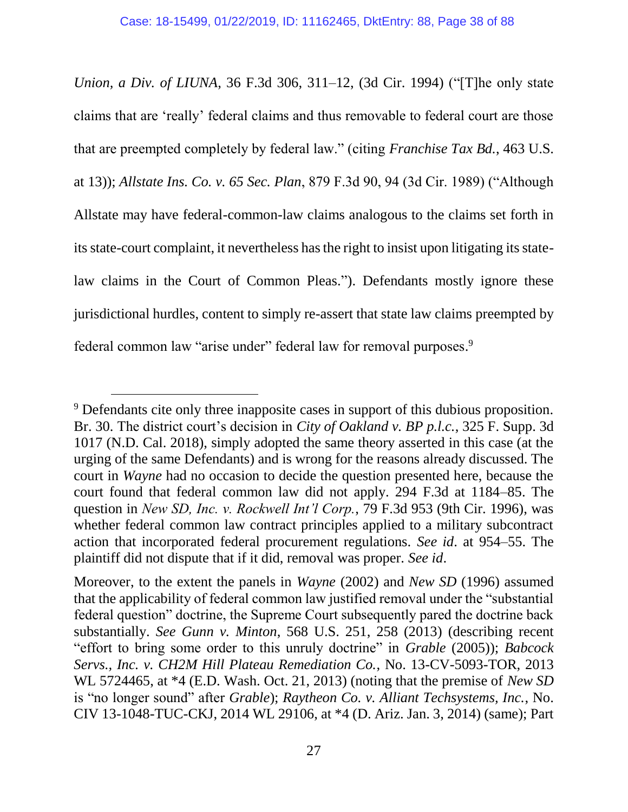*Union, a Div. of LIUNA*, 36 F.3d 306, 311–12, (3d Cir. 1994) ("[T]he only state claims that are 'really' federal claims and thus removable to federal court are those that are preempted completely by federal law." (citing *Franchise Tax Bd.*, 463 U.S. at 13)); *Allstate Ins. Co. v. 65 Sec. Plan*, 879 F.3d 90, 94 (3d Cir. 1989) ("Although Allstate may have federal-common-law claims analogous to the claims set forth in its state-court complaint, it nevertheless has the right to insist upon litigating its statelaw claims in the Court of Common Pleas."). Defendants mostly ignore these jurisdictional hurdles, content to simply re-assert that state law claims preempted by federal common law "arise under" federal law for removal purposes.<sup>9</sup>

<sup>&</sup>lt;sup>9</sup> Defendants cite only three inapposite cases in support of this dubious proposition. Br. 30. The district court's decision in *City of Oakland v. BP p.l.c.*, 325 F. Supp. 3d 1017 (N.D. Cal. 2018), simply adopted the same theory asserted in this case (at the urging of the same Defendants) and is wrong for the reasons already discussed. The court in *Wayne* had no occasion to decide the question presented here, because the court found that federal common law did not apply. 294 F.3d at 1184–85. The question in *New SD, Inc. v. Rockwell Int'l Corp.*, 79 F.3d 953 (9th Cir. 1996), was whether federal common law contract principles applied to a military subcontract action that incorporated federal procurement regulations. *See id*. at 954–55. The plaintiff did not dispute that if it did, removal was proper. *See id*.

Moreover, to the extent the panels in *Wayne* (2002) and *New SD* (1996) assumed that the applicability of federal common law justified removal under the "substantial federal question" doctrine, the Supreme Court subsequently pared the doctrine back substantially. *See Gunn v. Minton*, 568 U.S. 251, 258 (2013) (describing recent "effort to bring some order to this unruly doctrine" in *Grable* (2005)); *Babcock Servs., Inc. v. CH2M Hill Plateau Remediation Co.*, No. 13-CV-5093-TOR, 2013 WL 5724465, at \*4 (E.D. Wash. Oct. 21, 2013) (noting that the premise of *New SD*  is "no longer sound" after *Grable*); *Raytheon Co. v. Alliant Techsystems, Inc.*, No. CIV 13-1048-TUC-CKJ, 2014 WL 29106, at \*4 (D. Ariz. Jan. 3, 2014) (same); Part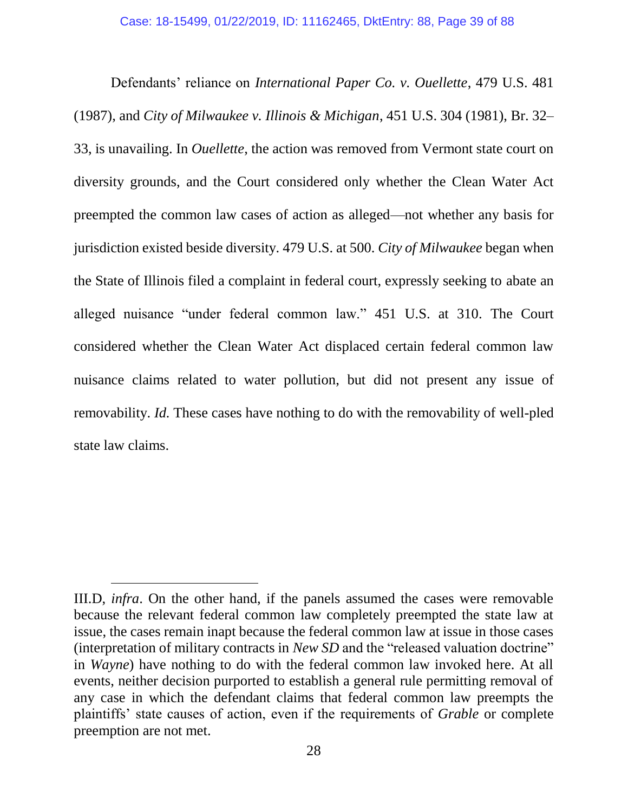Defendants' reliance on *International Paper Co. v. Ouellette*, 479 U.S. 481 (1987), and *City of Milwaukee v. Illinois & Michigan*, 451 U.S. 304 (1981), Br. 32– 33, is unavailing. In *Ouellette*, the action was removed from Vermont state court on diversity grounds, and the Court considered only whether the Clean Water Act preempted the common law cases of action as alleged—not whether any basis for jurisdiction existed beside diversity. 479 U.S. at 500. *City of Milwaukee* began when the State of Illinois filed a complaint in federal court, expressly seeking to abate an alleged nuisance "under federal common law." 451 U.S. at 310. The Court considered whether the Clean Water Act displaced certain federal common law nuisance claims related to water pollution, but did not present any issue of removability. *Id.* These cases have nothing to do with the removability of well-pled state law claims.

III.D, *infra*. On the other hand, if the panels assumed the cases were removable because the relevant federal common law completely preempted the state law at issue, the cases remain inapt because the federal common law at issue in those cases (interpretation of military contracts in *New SD* and the "released valuation doctrine" in *Wayne*) have nothing to do with the federal common law invoked here. At all events, neither decision purported to establish a general rule permitting removal of any case in which the defendant claims that federal common law preempts the plaintiffs' state causes of action, even if the requirements of *Grable* or complete preemption are not met.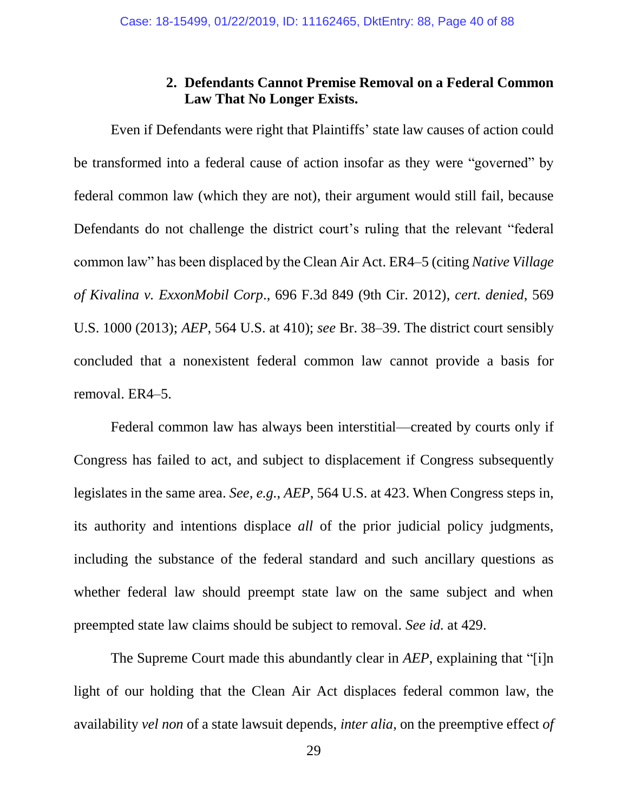## **2. Defendants Cannot Premise Removal on a Federal Common Law That No Longer Exists.**

Even if Defendants were right that Plaintiffs' state law causes of action could be transformed into a federal cause of action insofar as they were "governed" by federal common law (which they are not), their argument would still fail, because Defendants do not challenge the district court's ruling that the relevant "federal common law" has been displaced by the Clean Air Act. ER4–5 (citing *Native Village of Kivalina v. ExxonMobil Corp*., 696 F.3d 849 (9th Cir. 2012), *cert. denied*, 569 U.S. 1000 (2013); *AEP*, 564 U.S. at 410); *see* Br. 38–39. The district court sensibly concluded that a nonexistent federal common law cannot provide a basis for removal. ER4–5.

Federal common law has always been interstitial—created by courts only if Congress has failed to act, and subject to displacement if Congress subsequently legislates in the same area. *See, e.g.*, *AEP*, 564 U.S. at 423. When Congress steps in, its authority and intentions displace *all* of the prior judicial policy judgments, including the substance of the federal standard and such ancillary questions as whether federal law should preempt state law on the same subject and when preempted state law claims should be subject to removal. *See id.* at 429.

The Supreme Court made this abundantly clear in *AEP*, explaining that "[i]n light of our holding that the Clean Air Act displaces federal common law, the availability *vel non* of a state lawsuit depends, *inter alia*, on the preemptive effect *of*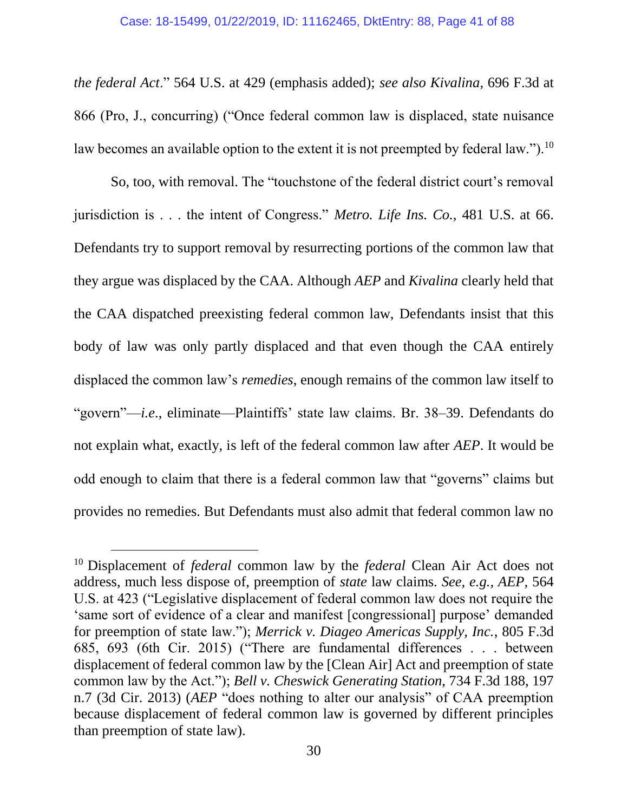*the federal Act*." 564 U.S. at 429 (emphasis added); *see also Kivalina*, 696 F.3d at 866 (Pro, J., concurring) ("Once federal common law is displaced, state nuisance law becomes an available option to the extent it is not preempted by federal law.").<sup>10</sup>

So, too, with removal. The "touchstone of the federal district court's removal jurisdiction is . . . the intent of Congress." *Metro. Life Ins. Co.*, 481 U.S. at 66. Defendants try to support removal by resurrecting portions of the common law that they argue was displaced by the CAA. Although *AEP* and *Kivalina* clearly held that the CAA dispatched preexisting federal common law, Defendants insist that this body of law was only partly displaced and that even though the CAA entirely displaced the common law's *remedies*, enough remains of the common law itself to "govern"—*i.e*., eliminate—Plaintiffs' state law claims. Br. 38–39. Defendants do not explain what, exactly, is left of the federal common law after *AEP*. It would be odd enough to claim that there is a federal common law that "governs" claims but provides no remedies. But Defendants must also admit that federal common law no

l

<sup>10</sup> Displacement of *federal* common law by the *federal* Clean Air Act does not address, much less dispose of, preemption of *state* law claims. *See, e.g., AEP,* 564 U.S. at 423 ("Legislative displacement of federal common law does not require the 'same sort of evidence of a clear and manifest [congressional] purpose' demanded for preemption of state law."); *Merrick v. Diageo Americas Supply, Inc.*, 805 F.3d 685, 693 (6th Cir. 2015) ("There are fundamental differences . . . between displacement of federal common law by the [Clean Air] Act and preemption of state common law by the Act."); *Bell v. Cheswick Generating Station*, 734 F.3d 188, 197 n.7 (3d Cir. 2013) (*AEP* "does nothing to alter our analysis" of CAA preemption because displacement of federal common law is governed by different principles than preemption of state law).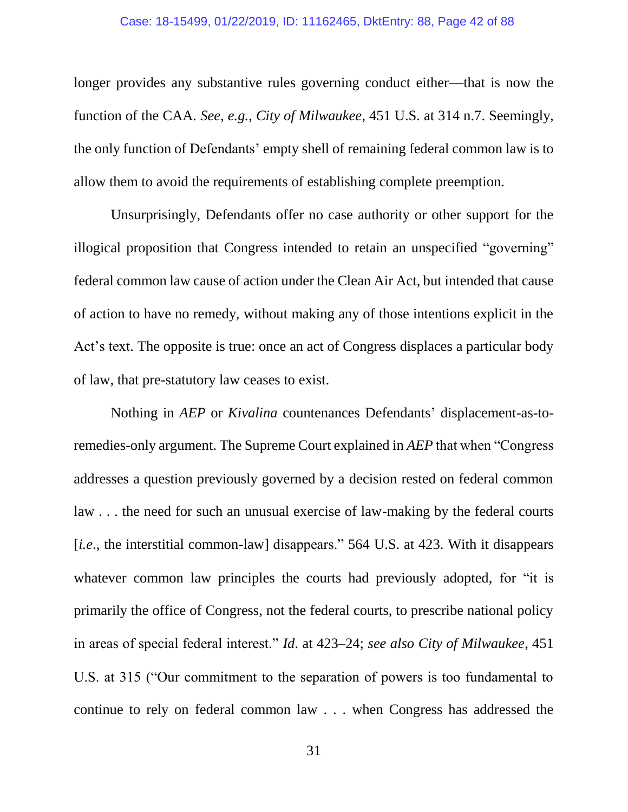#### Case: 18-15499, 01/22/2019, ID: 11162465, DktEntry: 88, Page 42 of 88

longer provides any substantive rules governing conduct either—that is now the function of the CAA. *See, e.g.*, *City of Milwaukee*, 451 U.S. at 314 n.7. Seemingly, the only function of Defendants' empty shell of remaining federal common law is to allow them to avoid the requirements of establishing complete preemption.

Unsurprisingly, Defendants offer no case authority or other support for the illogical proposition that Congress intended to retain an unspecified "governing" federal common law cause of action under the Clean Air Act, but intended that cause of action to have no remedy, without making any of those intentions explicit in the Act's text. The opposite is true: once an act of Congress displaces a particular body of law, that pre-statutory law ceases to exist.

Nothing in *AEP* or *Kivalina* countenances Defendants' displacement-as-toremedies-only argument. The Supreme Court explained in *AEP* that when "Congress addresses a question previously governed by a decision rested on federal common law . . . the need for such an unusual exercise of law-making by the federal courts [*i.e*., the interstitial common-law] disappears." 564 U.S. at 423. With it disappears whatever common law principles the courts had previously adopted, for "it is primarily the office of Congress, not the federal courts, to prescribe national policy in areas of special federal interest." *Id*. at 423–24; *see also City of Milwaukee*, 451 U.S. at 315 ("Our commitment to the separation of powers is too fundamental to continue to rely on federal common law . . . when Congress has addressed the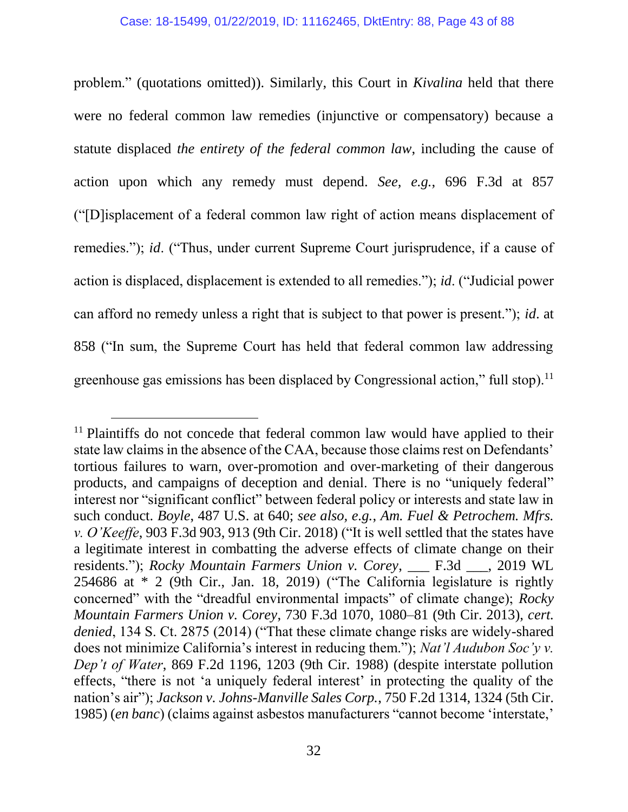problem." (quotations omitted)). Similarly, this Court in *Kivalina* held that there were no federal common law remedies (injunctive or compensatory) because a statute displaced *the entirety of the federal common law*, including the cause of action upon which any remedy must depend. *See, e.g.*, 696 F.3d at 857 ("[D]isplacement of a federal common law right of action means displacement of remedies."); *id*. ("Thus, under current Supreme Court jurisprudence, if a cause of action is displaced, displacement is extended to all remedies."); *id*. ("Judicial power can afford no remedy unless a right that is subject to that power is present."); *id*. at 858 ("In sum, the Supreme Court has held that federal common law addressing greenhouse gas emissions has been displaced by Congressional action," full stop).<sup>11</sup>

<sup>&</sup>lt;sup>11</sup> Plaintiffs do not concede that federal common law would have applied to their state law claims in the absence of the CAA, because those claims rest on Defendants' tortious failures to warn, over-promotion and over-marketing of their dangerous products, and campaigns of deception and denial. There is no "uniquely federal" interest nor "significant conflict" between federal policy or interests and state law in such conduct. *Boyle*, 487 U.S. at 640; *see also, e.g.*, *Am. Fuel & Petrochem. Mfrs. v. O'Keeffe*, 903 F.3d 903, 913 (9th Cir. 2018) ("It is well settled that the states have a legitimate interest in combatting the adverse effects of climate change on their residents."); *Rocky Mountain Farmers Union v. Corey*, \_\_\_ F.3d \_\_\_, 2019 WL 254686 at \* 2 (9th Cir., Jan. 18, 2019) ("The California legislature is rightly concerned" with the "dreadful environmental impacts" of climate change); *Rocky Mountain Farmers Union v. Corey*, 730 F.3d 1070, 1080–81 (9th Cir. 2013), *cert. denied*, 134 S. Ct. 2875 (2014) ("That these climate change risks are widely-shared does not minimize California's interest in reducing them."); *Nat'l Audubon Soc'y v. Dep't of Water*, 869 F.2d 1196, 1203 (9th Cir. 1988) (despite interstate pollution effects, "there is not 'a uniquely federal interest' in protecting the quality of the nation's air"); *Jackson v. Johns-Manville Sales Corp.*, 750 F.2d 1314, 1324 (5th Cir. 1985) (*en banc*) (claims against asbestos manufacturers "cannot become 'interstate,'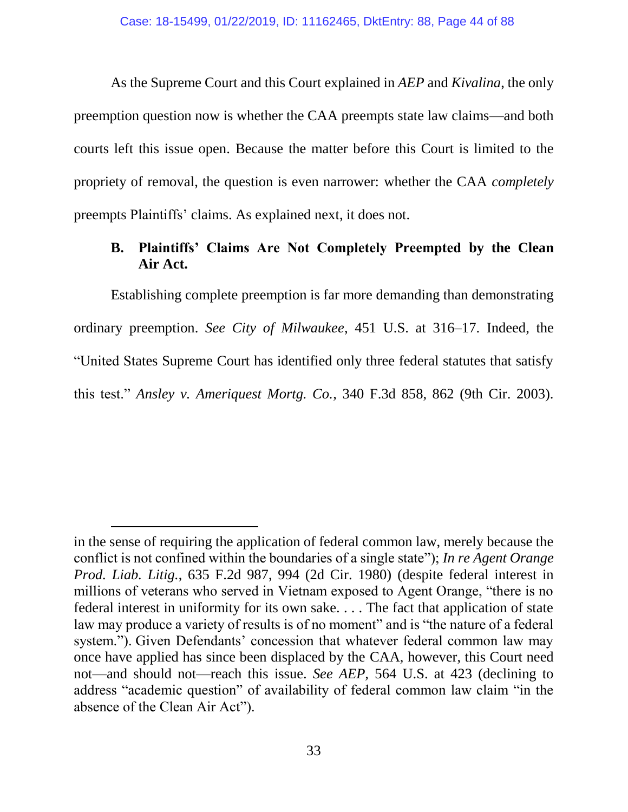As the Supreme Court and this Court explained in *AEP* and *Kivalina*, the only preemption question now is whether the CAA preempts state law claims—and both courts left this issue open. Because the matter before this Court is limited to the propriety of removal, the question is even narrower: whether the CAA *completely* preempts Plaintiffs' claims. As explained next, it does not.

# **B. Plaintiffs' Claims Are Not Completely Preempted by the Clean Air Act.**

Establishing complete preemption is far more demanding than demonstrating ordinary preemption. *See City of Milwaukee*, 451 U.S. at 316–17. Indeed, the "United States Supreme Court has identified only three federal statutes that satisfy this test." *Ansley v. Ameriquest Mortg. Co.*, 340 F.3d 858, 862 (9th Cir. 2003).

in the sense of requiring the application of federal common law, merely because the conflict is not confined within the boundaries of a single state"); *In re Agent Orange Prod. Liab. Litig.*, 635 F.2d 987, 994 (2d Cir. 1980) (despite federal interest in millions of veterans who served in Vietnam exposed to Agent Orange, "there is no federal interest in uniformity for its own sake. . . . The fact that application of state law may produce a variety of results is of no moment" and is "the nature of a federal system."). Given Defendants' concession that whatever federal common law may once have applied has since been displaced by the CAA, however, this Court need not—and should not—reach this issue. *See AEP,* 564 U.S. at 423 (declining to address "academic question" of availability of federal common law claim "in the absence of the Clean Air Act").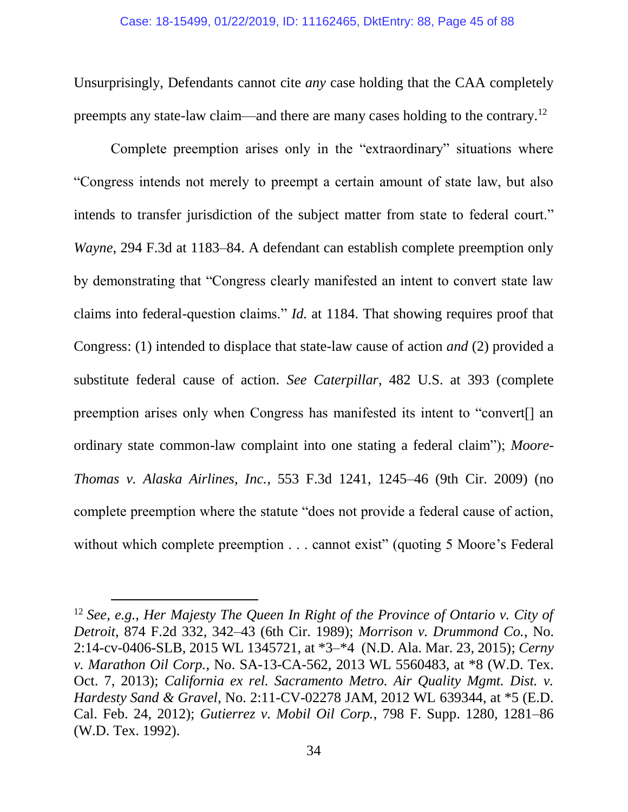Unsurprisingly, Defendants cannot cite *any* case holding that the CAA completely preempts any state-law claim—and there are many cases holding to the contrary.<sup>12</sup>

Complete preemption arises only in the "extraordinary" situations where "Congress intends not merely to preempt a certain amount of state law, but also intends to transfer jurisdiction of the subject matter from state to federal court." *Wayne*, 294 F.3d at 1183–84. A defendant can establish complete preemption only by demonstrating that "Congress clearly manifested an intent to convert state law claims into federal-question claims." *Id.* at 1184. That showing requires proof that Congress: (1) intended to displace that state-law cause of action *and* (2) provided a substitute federal cause of action. *See Caterpillar*, 482 U.S. at 393 (complete preemption arises only when Congress has manifested its intent to "convert[] an ordinary state common-law complaint into one stating a federal claim"); *Moore-Thomas v. Alaska Airlines, Inc.*, 553 F.3d 1241, 1245–46 (9th Cir. 2009) (no complete preemption where the statute "does not provide a federal cause of action, without which complete preemption . . . cannot exist" (quoting 5 Moore's Federal

l

<sup>12</sup> *See, e.g.*, *Her Majesty The Queen In Right of the Province of Ontario v. City of Detroit*, 874 F.2d 332, 342–43 (6th Cir. 1989); *Morrison v. Drummond Co.*, No. 2:14-cv-0406-SLB, 2015 WL 1345721, at \*3–\*4 (N.D. Ala. Mar. 23, 2015); *Cerny v. Marathon Oil Corp.*, No. SA-13-CA-562, 2013 WL 5560483, at \*8 (W.D. Tex. Oct. 7, 2013); *California ex rel. Sacramento Metro. Air Quality Mgmt. Dist. v. Hardesty Sand & Gravel*, No. 2:11-CV-02278 JAM, 2012 WL 639344, at \*5 (E.D. Cal. Feb. 24, 2012); *Gutierrez v. Mobil Oil Corp.*, 798 F. Supp. 1280, 1281–86 (W.D. Tex. 1992).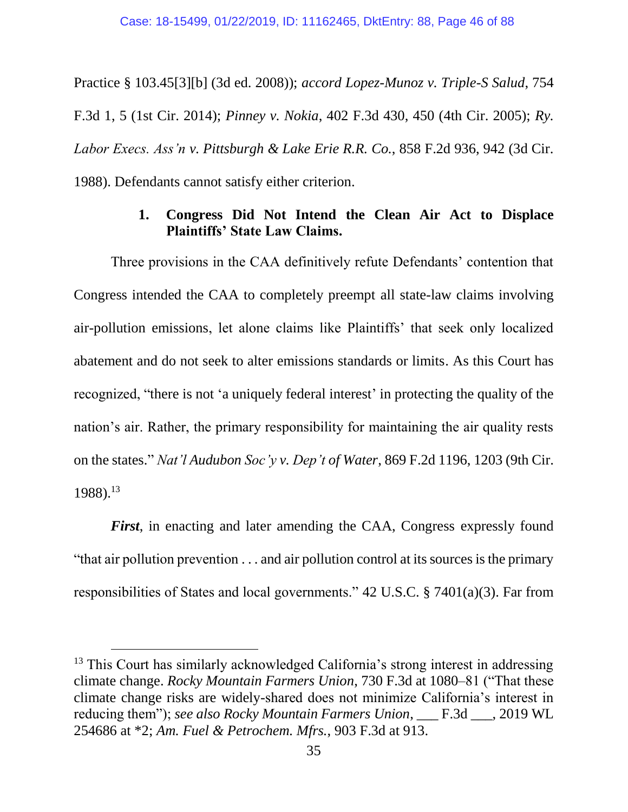Practice § 103.45[3][b] (3d ed. 2008)); *accord Lopez-Munoz v. Triple-S Salud*, 754 F.3d 1, 5 (1st Cir. 2014); *Pinney v. Nokia*, 402 F.3d 430, 450 (4th Cir. 2005); *Ry. Labor Execs. Ass'n v. Pittsburgh & Lake Erie R.R. Co.*, 858 F.2d 936, 942 (3d Cir. 1988). Defendants cannot satisfy either criterion.

## **1. Congress Did Not Intend the Clean Air Act to Displace Plaintiffs' State Law Claims.**

Three provisions in the CAA definitively refute Defendants' contention that Congress intended the CAA to completely preempt all state-law claims involving air-pollution emissions, let alone claims like Plaintiffs' that seek only localized abatement and do not seek to alter emissions standards or limits. As this Court has recognized, "there is not 'a uniquely federal interest' in protecting the quality of the nation's air. Rather, the primary responsibility for maintaining the air quality rests on the states." *Nat'l Audubon Soc'y v. Dep't of Water*, 869 F.2d 1196, 1203 (9th Cir. 1988). 13

*First*, in enacting and later amending the CAA, Congress expressly found "that air pollution prevention . . . and air pollution control at its sources is the primary responsibilities of States and local governments." 42 U.S.C. § 7401(a)(3). Far from

<sup>&</sup>lt;sup>13</sup> This Court has similarly acknowledged California's strong interest in addressing climate change. *Rocky Mountain Farmers Union*, 730 F.3d at 1080–81 ("That these climate change risks are widely-shared does not minimize California's interest in reducing them"); *see also Rocky Mountain Farmers Union*, \_\_\_ F.3d \_\_\_, 2019 WL 254686 at \*2; *Am. Fuel & Petrochem. Mfrs.*, 903 F.3d at 913.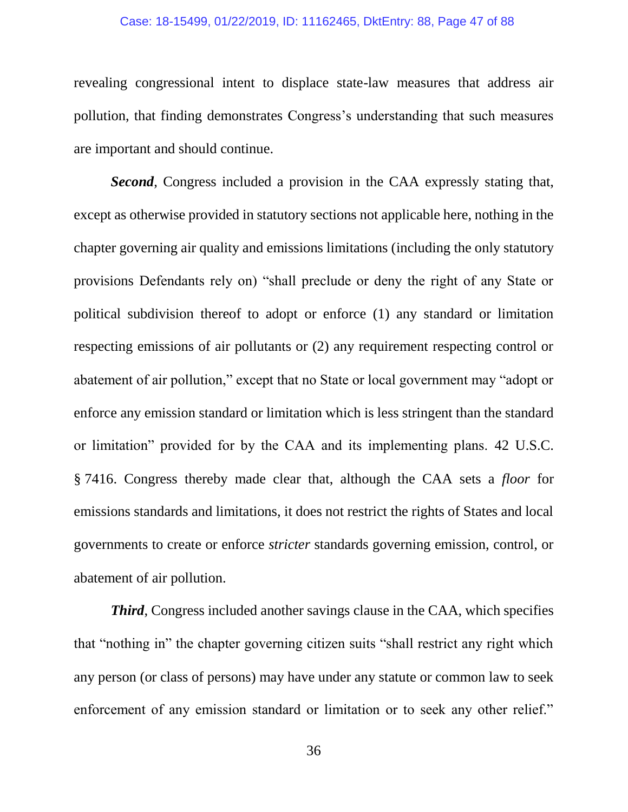#### Case: 18-15499, 01/22/2019, ID: 11162465, DktEntry: 88, Page 47 of 88

revealing congressional intent to displace state-law measures that address air pollution, that finding demonstrates Congress's understanding that such measures are important and should continue.

*Second*, Congress included a provision in the CAA expressly stating that, except as otherwise provided in statutory sections not applicable here, nothing in the chapter governing air quality and emissions limitations (including the only statutory provisions Defendants rely on) "shall preclude or deny the right of any State or political subdivision thereof to adopt or enforce (1) any standard or limitation respecting emissions of air pollutants or (2) any requirement respecting control or abatement of air pollution," except that no State or local government may "adopt or enforce any emission standard or limitation which is less stringent than the standard or limitation" provided for by the CAA and its implementing plans. 42 U.S.C. § 7416. Congress thereby made clear that, although the CAA sets a *floor* for emissions standards and limitations, it does not restrict the rights of States and local governments to create or enforce *stricter* standards governing emission, control, or abatement of air pollution.

*Third*, Congress included another savings clause in the CAA, which specifies that "nothing in" the chapter governing citizen suits "shall restrict any right which any person (or class of persons) may have under any statute or common law to seek enforcement of any emission standard or limitation or to seek any other relief."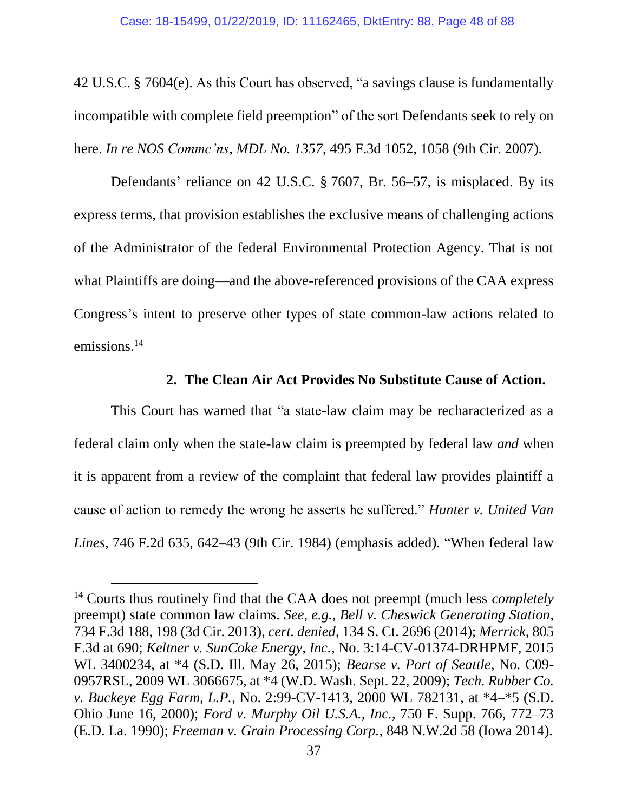42 U.S.C. § 7604(e). As this Court has observed, "a savings clause is fundamentally incompatible with complete field preemption" of the sort Defendants seek to rely on here. *In re NOS Commc'ns, MDL No. 1357*, 495 F.3d 1052, 1058 (9th Cir. 2007).

Defendants' reliance on 42 U.S.C. § 7607, Br. 56–57, is misplaced. By its express terms, that provision establishes the exclusive means of challenging actions of the Administrator of the federal Environmental Protection Agency. That is not what Plaintiffs are doing—and the above-referenced provisions of the CAA express Congress's intent to preserve other types of state common-law actions related to emissions.<sup>14</sup>

#### **2. The Clean Air Act Provides No Substitute Cause of Action.**

This Court has warned that "a state-law claim may be recharacterized as a federal claim only when the state-law claim is preempted by federal law *and* when it is apparent from a review of the complaint that federal law provides plaintiff a cause of action to remedy the wrong he asserts he suffered." *Hunter v. United Van Lines*, 746 F.2d 635, 642–43 (9th Cir. 1984) (emphasis added). "When federal law

<sup>14</sup> Courts thus routinely find that the CAA does not preempt (much less *completely* preempt) state common law claims. *See, e.g.*, *Bell v. Cheswick Generating Station*, 734 F.3d 188, 198 (3d Cir. 2013), *cert. denied*, 134 S. Ct. 2696 (2014); *Merrick*, 805 F.3d at 690; *Keltner v. SunCoke Energy, Inc.*, No. 3:14-CV-01374-DRHPMF, 2015 WL 3400234, at \*4 (S.D. Ill. May 26, 2015); *Bearse v. Port of Seattle*, No. C09- 0957RSL, 2009 WL 3066675, at \*4 (W.D. Wash. Sept. 22, 2009); *Tech. Rubber Co. v. Buckeye Egg Farm, L.P.*, No. 2:99-CV-1413, 2000 WL 782131, at \*4–\*5 (S.D. Ohio June 16, 2000); *Ford v. Murphy Oil U.S.A., Inc.*, 750 F. Supp. 766, 772–73 (E.D. La. 1990); *Freeman v. Grain Processing Corp.*, 848 N.W.2d 58 (Iowa 2014).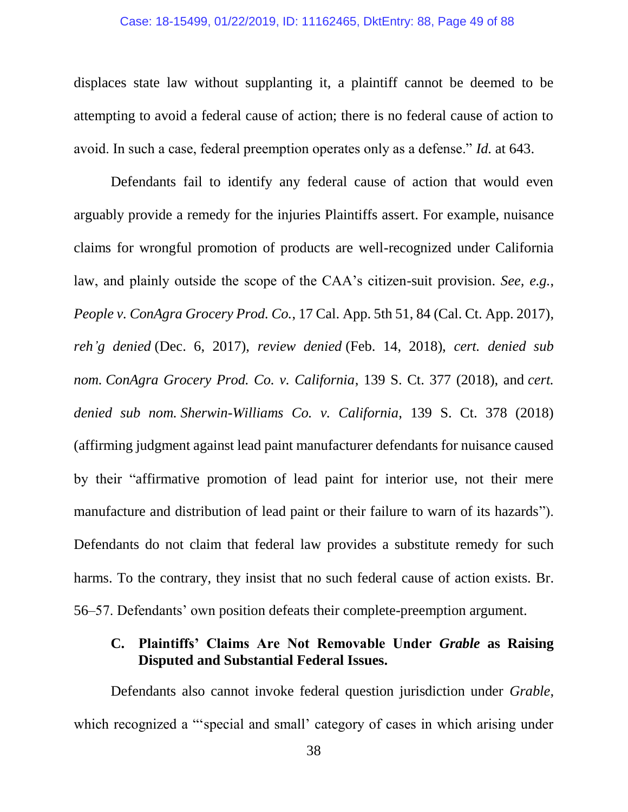#### Case: 18-15499, 01/22/2019, ID: 11162465, DktEntry: 88, Page 49 of 88

displaces state law without supplanting it, a plaintiff cannot be deemed to be attempting to avoid a federal cause of action; there is no federal cause of action to avoid. In such a case, federal preemption operates only as a defense." *Id.* at 643.

Defendants fail to identify any federal cause of action that would even arguably provide a remedy for the injuries Plaintiffs assert. For example, nuisance claims for wrongful promotion of products are well-recognized under California law, and plainly outside the scope of the CAA's citizen-suit provision. *See, e.g.*, *People v. ConAgra Grocery Prod. Co.*, 17 Cal. App. 5th 51, 84 (Cal. Ct. App. 2017), *reh'g denied* (Dec. 6, 2017), *review denied* (Feb. 14, 2018), *cert. denied sub nom. ConAgra Grocery Prod. Co. v. California*, 139 S. Ct. 377 (2018), and *cert. denied sub nom. Sherwin-Williams Co. v. California*, 139 S. Ct. 378 (2018) (affirming judgment against lead paint manufacturer defendants for nuisance caused by their "affirmative promotion of lead paint for interior use, not their mere manufacture and distribution of lead paint or their failure to warn of its hazards"). Defendants do not claim that federal law provides a substitute remedy for such harms. To the contrary, they insist that no such federal cause of action exists. Br. 56–57. Defendants' own position defeats their complete-preemption argument.

## **C. Plaintiffs' Claims Are Not Removable Under** *Grable* **as Raising Disputed and Substantial Federal Issues.**

Defendants also cannot invoke federal question jurisdiction under *Grable*, which recognized a "special and small' category of cases in which arising under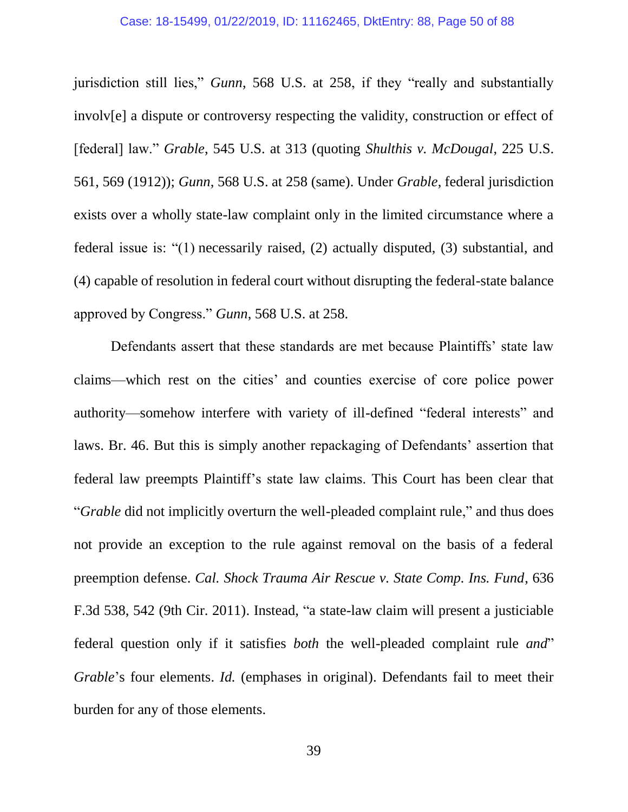jurisdiction still lies," *Gunn*, 568 U.S. at 258, if they "really and substantially involv[e] a dispute or controversy respecting the validity, construction or effect of [federal] law." *Grable*, 545 U.S. at 313 (quoting *Shulthis v. McDougal*, 225 U.S. 561, 569 (1912)); *Gunn*, 568 U.S. at 258 (same). Under *Grable*, federal jurisdiction exists over a wholly state-law complaint only in the limited circumstance where a federal issue is: "(1) necessarily raised, (2) actually disputed, (3) substantial, and (4) capable of resolution in federal court without disrupting the federal-state balance approved by Congress." *Gunn*, 568 U.S. at 258.

Defendants assert that these standards are met because Plaintiffs' state law claims—which rest on the cities' and counties exercise of core police power authority—somehow interfere with variety of ill-defined "federal interests" and laws. Br. 46. But this is simply another repackaging of Defendants' assertion that federal law preempts Plaintiff's state law claims. This Court has been clear that "*Grable* did not implicitly overturn the well-pleaded complaint rule," and thus does not provide an exception to the rule against removal on the basis of a federal preemption defense. *Cal. Shock Trauma Air Rescue v. State Comp. Ins. Fund*, 636 F.3d 538, 542 (9th Cir. 2011). Instead, "a state-law claim will present a justiciable federal question only if it satisfies *both* the well-pleaded complaint rule *and*" *Grable*'s four elements. *Id.* (emphases in original). Defendants fail to meet their burden for any of those elements.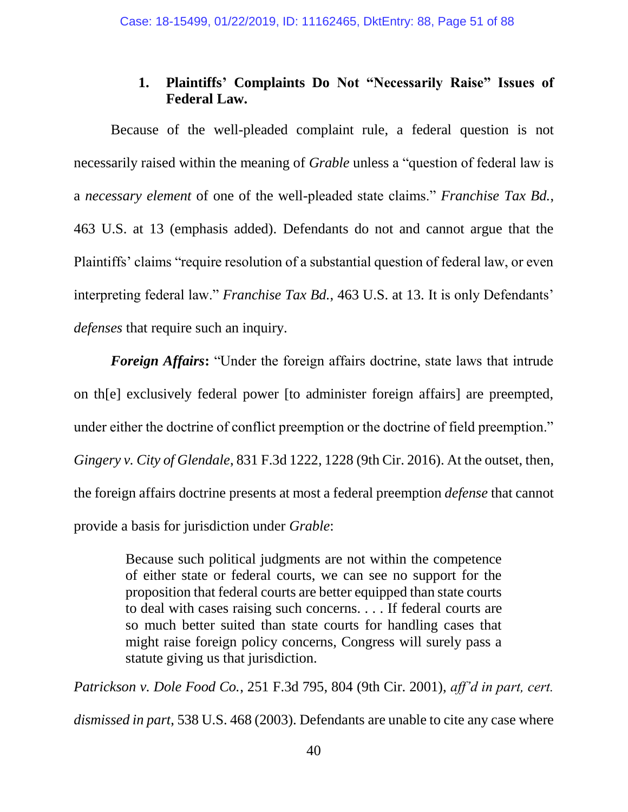## **1. Plaintiffs' Complaints Do Not "Necessarily Raise" Issues of Federal Law.**

Because of the well-pleaded complaint rule, a federal question is not necessarily raised within the meaning of *Grable* unless a "question of federal law is a *necessary element* of one of the well-pleaded state claims." *Franchise Tax Bd.*, 463 U.S. at 13 (emphasis added). Defendants do not and cannot argue that the Plaintiffs' claims "require resolution of a substantial question of federal law, or even interpreting federal law." *Franchise Tax Bd.*, 463 U.S. at 13. It is only Defendants' *defenses* that require such an inquiry.

*Foreign Affairs***:** "Under the foreign affairs doctrine, state laws that intrude on th[e] exclusively federal power [to administer foreign affairs] are preempted, under either the doctrine of conflict preemption or the doctrine of field preemption." *Gingery v. City of Glendale*, 831 F.3d 1222, 1228 (9th Cir. 2016). At the outset, then, the foreign affairs doctrine presents at most a federal preemption *defense* that cannot provide a basis for jurisdiction under *Grable*:

> Because such political judgments are not within the competence of either state or federal courts, we can see no support for the proposition that federal courts are better equipped than state courts to deal with cases raising such concerns. . . . If federal courts are so much better suited than state courts for handling cases that might raise foreign policy concerns, Congress will surely pass a statute giving us that jurisdiction.

*Patrickson v. Dole Food Co.*, 251 F.3d 795, 804 (9th Cir. 2001), *aff'd in part, cert. dismissed in part*, 538 U.S. 468 (2003). Defendants are unable to cite any case where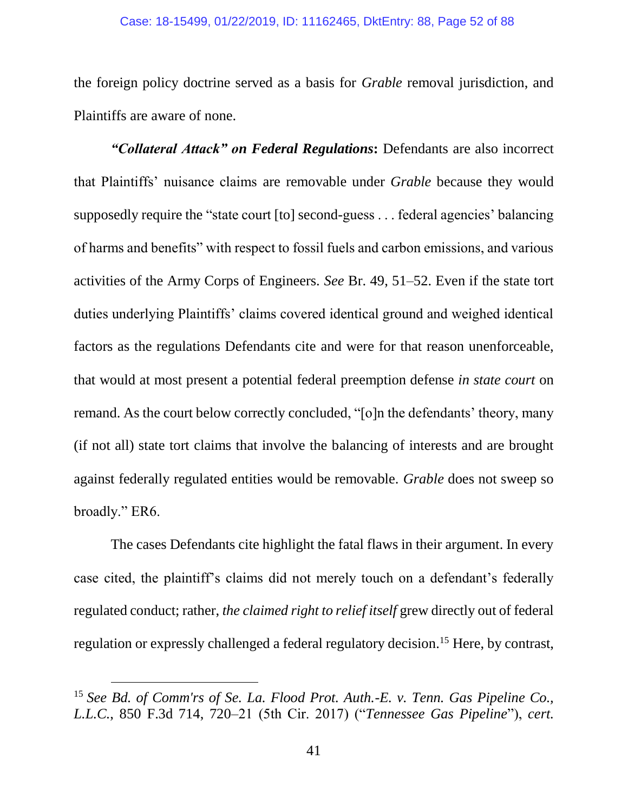the foreign policy doctrine served as a basis for *Grable* removal jurisdiction, and Plaintiffs are aware of none.

*"Collateral Attack" on Federal Regulations***:** Defendants are also incorrect that Plaintiffs' nuisance claims are removable under *Grable* because they would supposedly require the "state court [to] second-guess . . . federal agencies' balancing of harms and benefits" with respect to fossil fuels and carbon emissions, and various activities of the Army Corps of Engineers. *See* Br. 49, 51–52. Even if the state tort duties underlying Plaintiffs' claims covered identical ground and weighed identical factors as the regulations Defendants cite and were for that reason unenforceable, that would at most present a potential federal preemption defense *in state court* on remand. As the court below correctly concluded, "[o]n the defendants' theory, many (if not all) state tort claims that involve the balancing of interests and are brought against federally regulated entities would be removable. *Grable* does not sweep so broadly." ER6.

The cases Defendants cite highlight the fatal flaws in their argument. In every case cited, the plaintiff's claims did not merely touch on a defendant's federally regulated conduct; rather, *the claimed right to relief itself* grew directly out of federal regulation or expressly challenged a federal regulatory decision.<sup>15</sup> Here, by contrast,

<sup>15</sup> *See Bd. of Comm'rs of Se. La. Flood Prot. Auth.-E. v. Tenn. Gas Pipeline Co., L.L.C.*, 850 F.3d 714, 720–21 (5th Cir. 2017) ("*Tennessee Gas Pipeline*"), *cert.*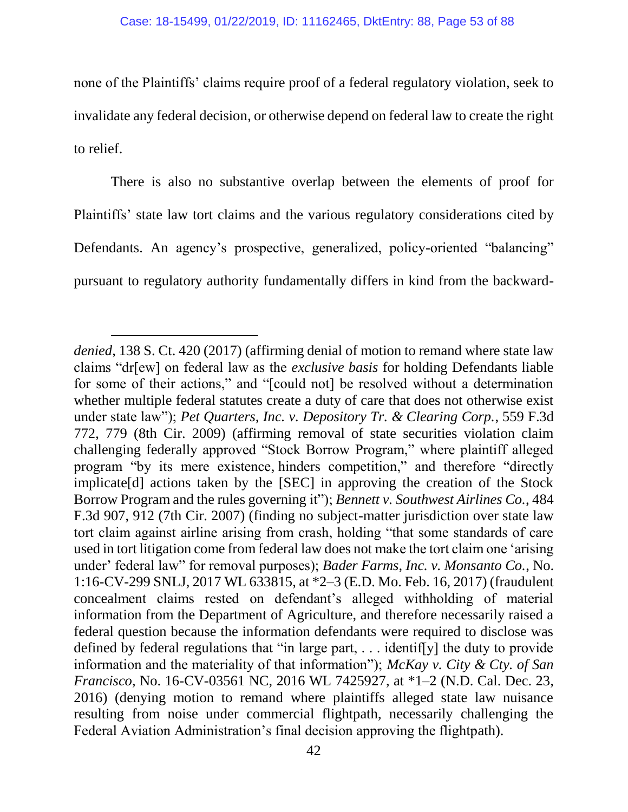none of the Plaintiffs' claims require proof of a federal regulatory violation, seek to invalidate any federal decision, or otherwise depend on federal law to create the right to relief.

There is also no substantive overlap between the elements of proof for Plaintiffs' state law tort claims and the various regulatory considerations cited by Defendants. An agency's prospective, generalized, policy-oriented "balancing" pursuant to regulatory authority fundamentally differs in kind from the backward-

l

*denied*, 138 S. Ct. 420 (2017) (affirming denial of motion to remand where state law claims "dr[ew] on federal law as the *exclusive basis* for holding Defendants liable for some of their actions," and "[could not] be resolved without a determination whether multiple federal statutes create a duty of care that does not otherwise exist under state law"); *Pet Quarters, Inc. v. Depository Tr. & Clearing Corp.*, 559 F.3d 772, 779 (8th Cir. 2009) (affirming removal of state securities violation claim challenging federally approved "Stock Borrow Program," where plaintiff alleged program "by its mere existence*,* hinders competition," and therefore "directly implicate[d] actions taken by the [SEC] in approving the creation of the Stock Borrow Program and the rules governing it"); *Bennett v. Southwest Airlines Co.*, 484 F.3d 907, 912 (7th Cir. 2007) (finding no subject-matter jurisdiction over state law tort claim against airline arising from crash, holding "that some standards of care used in tort litigation come from federal law does not make the tort claim one 'arising under' federal law" for removal purposes); *Bader Farms, Inc. v. Monsanto Co.*, No. 1:16-CV-299 SNLJ, 2017 WL 633815, at \*2–3 (E.D. Mo. Feb. 16, 2017) (fraudulent concealment claims rested on defendant's alleged withholding of material information from the Department of Agriculture, and therefore necessarily raised a federal question because the information defendants were required to disclose was defined by federal regulations that "in large part,  $\dots$  identiffyl the duty to provide information and the materiality of that information"); *McKay v. City & Cty. of San Francisco*, No. 16-CV-03561 NC, 2016 WL 7425927, at \*1–2 (N.D. Cal. Dec. 23, 2016) (denying motion to remand where plaintiffs alleged state law nuisance resulting from noise under commercial flightpath, necessarily challenging the Federal Aviation Administration's final decision approving the flightpath).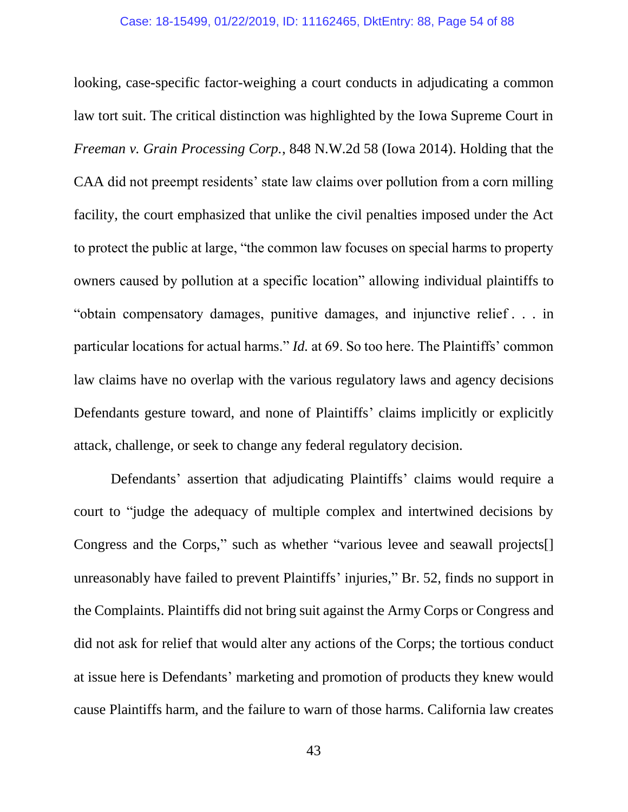looking, case-specific factor-weighing a court conducts in adjudicating a common law tort suit. The critical distinction was highlighted by the Iowa Supreme Court in *Freeman v. Grain Processing Corp.*, 848 N.W.2d 58 (Iowa 2014). Holding that the CAA did not preempt residents' state law claims over pollution from a corn milling facility, the court emphasized that unlike the civil penalties imposed under the Act to protect the public at large, "the common law focuses on special harms to property owners caused by pollution at a specific location" allowing individual plaintiffs to "obtain compensatory damages, punitive damages, and injunctive relief . . . in particular locations for actual harms." *Id.* at 69. So too here. The Plaintiffs' common law claims have no overlap with the various regulatory laws and agency decisions Defendants gesture toward, and none of Plaintiffs' claims implicitly or explicitly attack, challenge, or seek to change any federal regulatory decision.

Defendants' assertion that adjudicating Plaintiffs' claims would require a court to "judge the adequacy of multiple complex and intertwined decisions by Congress and the Corps," such as whether "various levee and seawall projects[] unreasonably have failed to prevent Plaintiffs' injuries," Br. 52, finds no support in the Complaints. Plaintiffs did not bring suit against the Army Corps or Congress and did not ask for relief that would alter any actions of the Corps; the tortious conduct at issue here is Defendants' marketing and promotion of products they knew would cause Plaintiffs harm, and the failure to warn of those harms. California law creates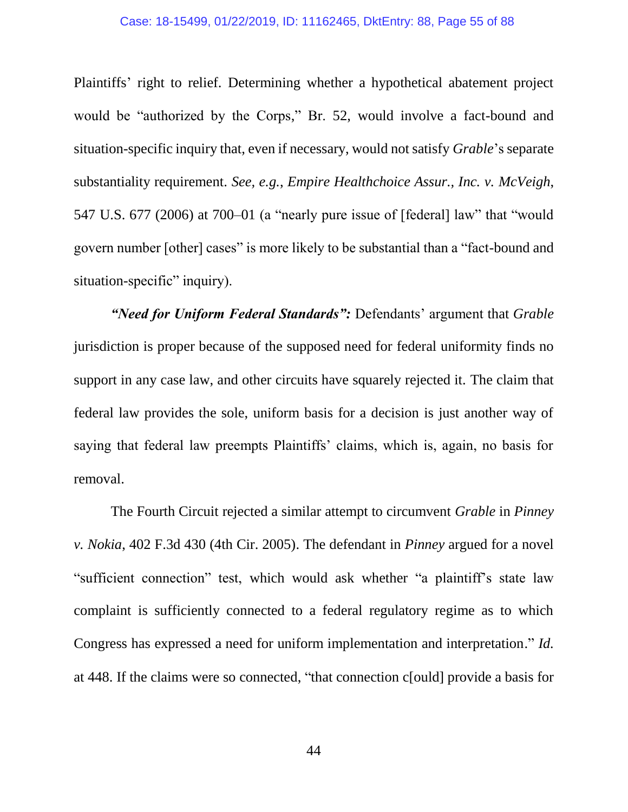Plaintiffs' right to relief. Determining whether a hypothetical abatement project would be "authorized by the Corps," Br. 52, would involve a fact-bound and situation-specific inquiry that, even if necessary, would not satisfy *Grable*'s separate substantiality requirement. *See, e.g.*, *Empire Healthchoice Assur., Inc. v. McVeigh*, 547 U.S. 677 (2006) at 700–01 (a "nearly pure issue of [federal] law" that "would govern number [other] cases" is more likely to be substantial than a "fact-bound and situation-specific" inquiry).

*"Need for Uniform Federal Standards":* Defendants' argument that *Grable*  jurisdiction is proper because of the supposed need for federal uniformity finds no support in any case law, and other circuits have squarely rejected it. The claim that federal law provides the sole, uniform basis for a decision is just another way of saying that federal law preempts Plaintiffs' claims, which is, again, no basis for removal.

The Fourth Circuit rejected a similar attempt to circumvent *Grable* in *Pinney v. Nokia*, 402 F.3d 430 (4th Cir. 2005). The defendant in *Pinney* argued for a novel "sufficient connection" test, which would ask whether "a plaintiff's state law complaint is sufficiently connected to a federal regulatory regime as to which Congress has expressed a need for uniform implementation and interpretation." *Id.* at 448. If the claims were so connected, "that connection c[ould] provide a basis for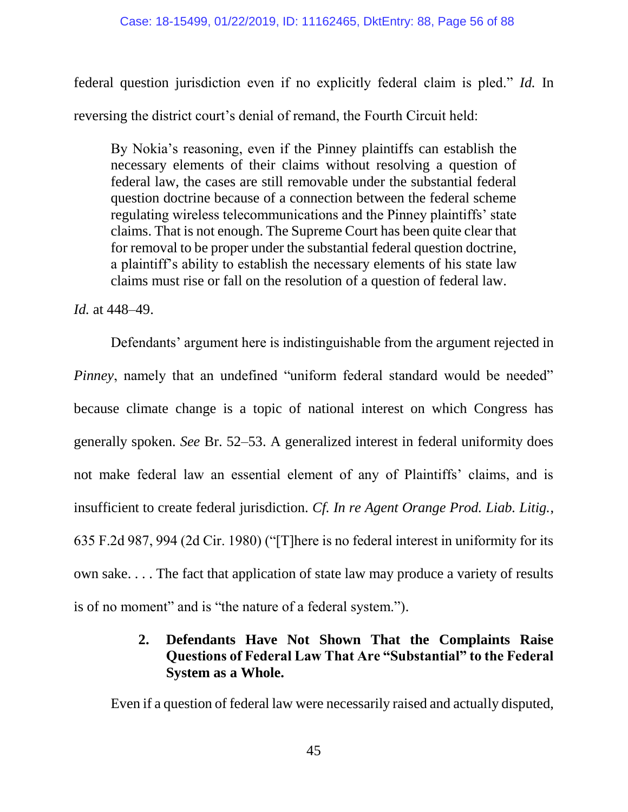federal question jurisdiction even if no explicitly federal claim is pled." *Id.* In reversing the district court's denial of remand, the Fourth Circuit held:

By Nokia's reasoning, even if the Pinney plaintiffs can establish the necessary elements of their claims without resolving a question of federal law, the cases are still removable under the substantial federal question doctrine because of a connection between the federal scheme regulating wireless telecommunications and the Pinney plaintiffs' state claims. That is not enough. The Supreme Court has been quite clear that for removal to be proper under the substantial federal question doctrine, a plaintiff's ability to establish the necessary elements of his state law claims must rise or fall on the resolution of a question of federal law.

*Id.* at 448–49.

Defendants' argument here is indistinguishable from the argument rejected in *Pinney*, namely that an undefined "uniform federal standard would be needed" because climate change is a topic of national interest on which Congress has generally spoken. *See* Br. 52–53. A generalized interest in federal uniformity does not make federal law an essential element of any of Plaintiffs' claims, and is insufficient to create federal jurisdiction. *Cf. In re Agent Orange Prod. Liab. Litig.*, 635 F.2d 987, 994 (2d Cir. 1980) ("[T]here is no federal interest in uniformity for its own sake. . . . The fact that application of state law may produce a variety of results is of no moment" and is "the nature of a federal system.").

# **2. Defendants Have Not Shown That the Complaints Raise Questions of Federal Law That Are "Substantial" to the Federal System as a Whole.**

Even if a question of federal law were necessarily raised and actually disputed,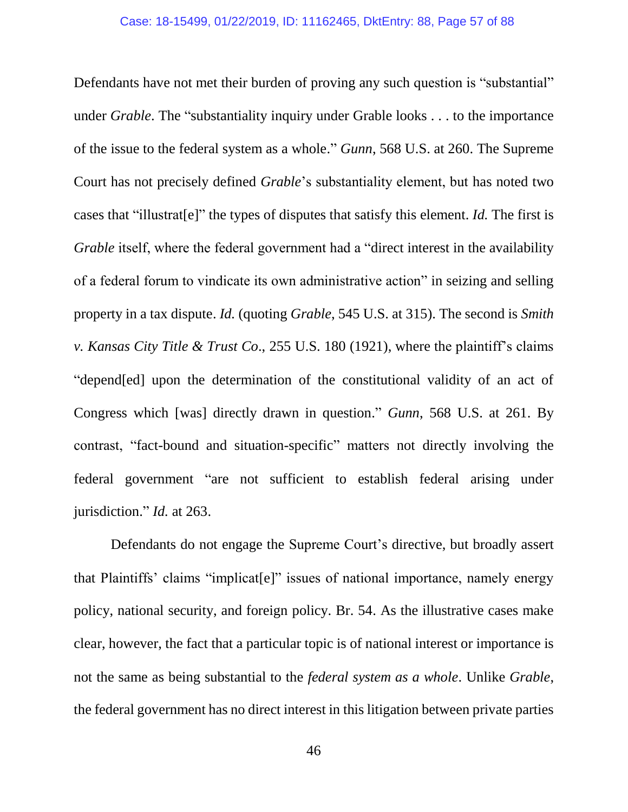Defendants have not met their burden of proving any such question is "substantial" under *Grable*. The "substantiality inquiry under Grable looks . . . to the importance of the issue to the federal system as a whole." *Gunn*, 568 U.S. at 260. The Supreme Court has not precisely defined *Grable*'s substantiality element, but has noted two cases that "illustrat[e]" the types of disputes that satisfy this element. *Id.* The first is *Grable* itself, where the federal government had a "direct interest in the availability of a federal forum to vindicate its own administrative action" in seizing and selling property in a tax dispute. *Id.* (quoting *Grable*, 545 U.S. at 315). The second is *Smith v. Kansas City Title & Trust Co*., 255 U.S. 180 (1921), where the plaintiff's claims "depend[ed] upon the determination of the constitutional validity of an act of Congress which [was] directly drawn in question." *Gunn*, 568 U.S. at 261. By contrast, "fact-bound and situation-specific" matters not directly involving the federal government "are not sufficient to establish federal arising under jurisdiction." *Id.* at 263.

Defendants do not engage the Supreme Court's directive, but broadly assert that Plaintiffs' claims "implicat[e]" issues of national importance, namely energy policy, national security, and foreign policy. Br. 54. As the illustrative cases make clear, however, the fact that a particular topic is of national interest or importance is not the same as being substantial to the *federal system as a whole*. Unlike *Grable*, the federal government has no direct interest in this litigation between private parties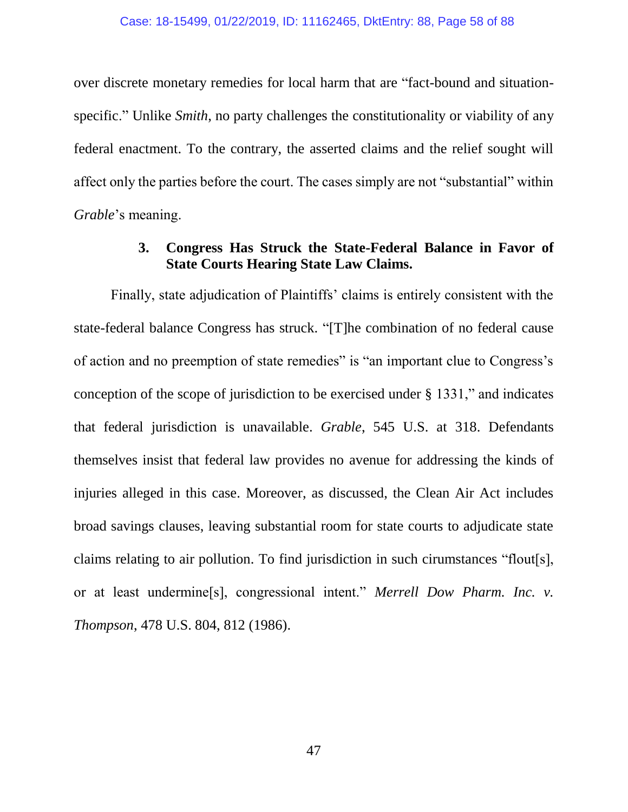over discrete monetary remedies for local harm that are "fact-bound and situationspecific." Unlike *Smith*, no party challenges the constitutionality or viability of any federal enactment. To the contrary, the asserted claims and the relief sought will affect only the parties before the court. The cases simply are not "substantial" within *Grable*'s meaning.

# **3. Congress Has Struck the State-Federal Balance in Favor of State Courts Hearing State Law Claims.**

Finally, state adjudication of Plaintiffs' claims is entirely consistent with the state-federal balance Congress has struck. "[T]he combination of no federal cause of action and no preemption of state remedies" is "an important clue to Congress's conception of the scope of jurisdiction to be exercised under § 1331," and indicates that federal jurisdiction is unavailable. *Grable*, 545 U.S. at 318. Defendants themselves insist that federal law provides no avenue for addressing the kinds of injuries alleged in this case. Moreover, as discussed, the Clean Air Act includes broad savings clauses, leaving substantial room for state courts to adjudicate state claims relating to air pollution. To find jurisdiction in such cirumstances "flout[s], or at least undermine[s], congressional intent." *Merrell Dow Pharm. Inc. v. Thompson*, 478 U.S. 804, 812 (1986).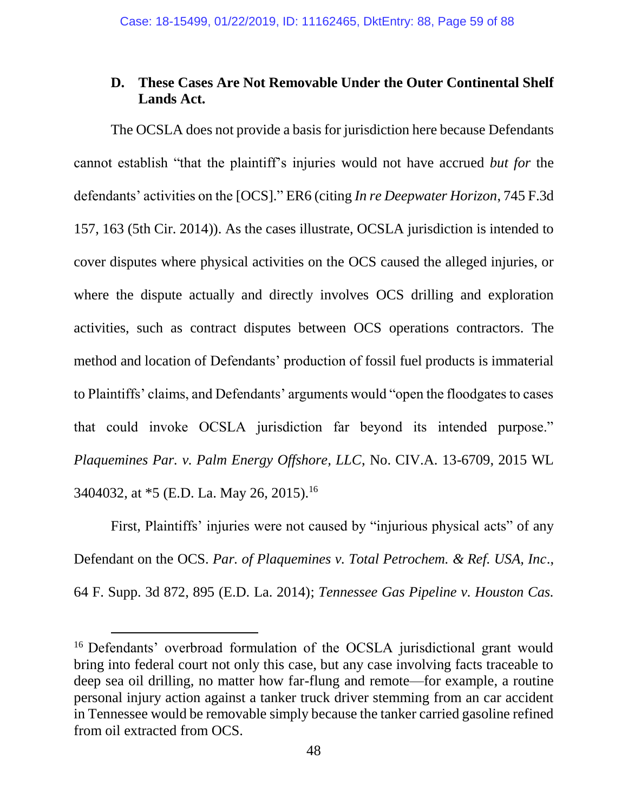## **D. These Cases Are Not Removable Under the Outer Continental Shelf Lands Act.**

The OCSLA does not provide a basis for jurisdiction here because Defendants cannot establish "that the plaintiff's injuries would not have accrued *but for* the defendants' activities on the [OCS]." ER6 (citing *In re Deepwater Horizon*, 745 F.3d 157, 163 (5th Cir. 2014)). As the cases illustrate, OCSLA jurisdiction is intended to cover disputes where physical activities on the OCS caused the alleged injuries, or where the dispute actually and directly involves OCS drilling and exploration activities, such as contract disputes between OCS operations contractors. The method and location of Defendants' production of fossil fuel products is immaterial to Plaintiffs' claims, and Defendants' arguments would "open the floodgates to cases that could invoke OCSLA jurisdiction far beyond its intended purpose." *Plaquemines Par. v. Palm Energy Offshore, LLC*, No. CIV.A. 13-6709, 2015 WL 3404032, at \*5 (E.D. La. May 26, 2015).<sup>16</sup>

First, Plaintiffs' injuries were not caused by "injurious physical acts" of any Defendant on the OCS. *Par. of Plaquemines v. Total Petrochem. & Ref. USA, Inc*., 64 F. Supp. 3d 872, 895 (E.D. La. 2014); *Tennessee Gas Pipeline v. Houston Cas.* 

<sup>&</sup>lt;sup>16</sup> Defendants' overbroad formulation of the OCSLA jurisdictional grant would bring into federal court not only this case, but any case involving facts traceable to deep sea oil drilling, no matter how far-flung and remote—for example, a routine personal injury action against a tanker truck driver stemming from an car accident in Tennessee would be removable simply because the tanker carried gasoline refined from oil extracted from OCS.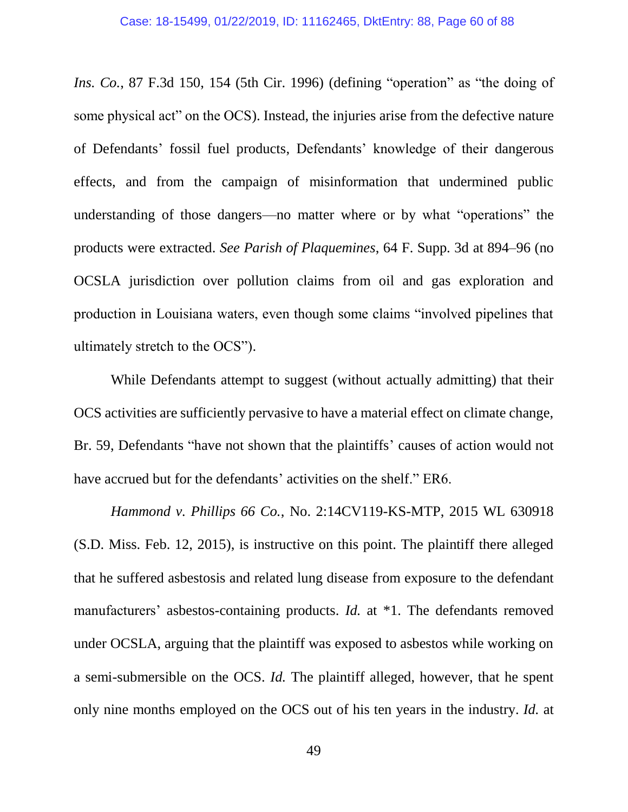*Ins. Co.*, 87 F.3d 150, 154 (5th Cir. 1996) (defining "operation" as "the doing of some physical act" on the OCS). Instead, the injuries arise from the defective nature of Defendants' fossil fuel products, Defendants' knowledge of their dangerous effects, and from the campaign of misinformation that undermined public understanding of those dangers—no matter where or by what "operations" the products were extracted. *See Parish of Plaquemines*, 64 F. Supp. 3d at 894–96 (no OCSLA jurisdiction over pollution claims from oil and gas exploration and production in Louisiana waters, even though some claims "involved pipelines that ultimately stretch to the OCS").

While Defendants attempt to suggest (without actually admitting) that their OCS activities are sufficiently pervasive to have a material effect on climate change, Br. 59, Defendants "have not shown that the plaintiffs' causes of action would not have accrued but for the defendants' activities on the shelf." ER6.

*Hammond v. Phillips 66 Co.*, No. 2:14CV119-KS-MTP, 2015 WL 630918 (S.D. Miss. Feb. 12, 2015), is instructive on this point. The plaintiff there alleged that he suffered asbestosis and related lung disease from exposure to the defendant manufacturers' asbestos-containing products. *Id.* at \*1. The defendants removed under OCSLA, arguing that the plaintiff was exposed to asbestos while working on a semi-submersible on the OCS. *Id.* The plaintiff alleged, however, that he spent only nine months employed on the OCS out of his ten years in the industry. *Id.* at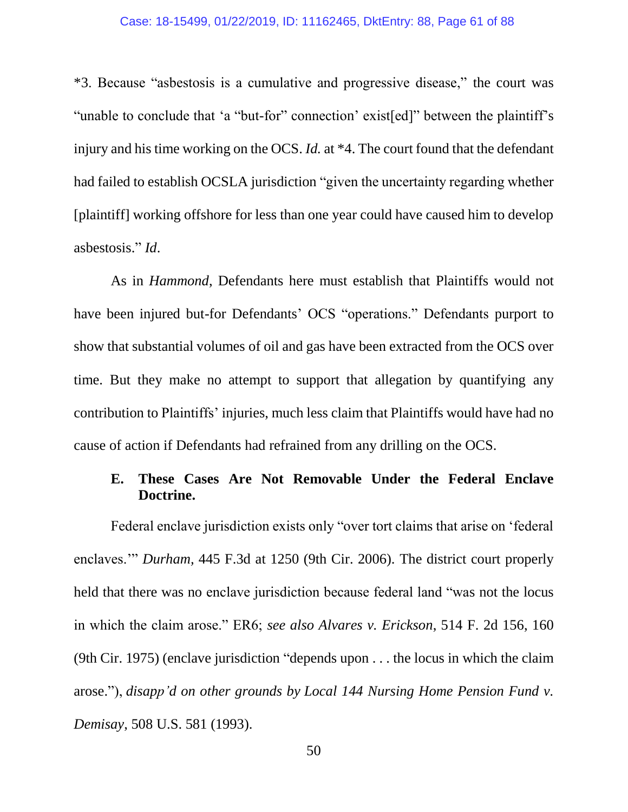#### Case: 18-15499, 01/22/2019, ID: 11162465, DktEntry: 88, Page 61 of 88

\*3. Because "asbestosis is a cumulative and progressive disease," the court was "unable to conclude that 'a "but-for" connection' exist[ed]" between the plaintiff's injury and his time working on the OCS. *Id.* at \*4. The court found that the defendant had failed to establish OCSLA jurisdiction "given the uncertainty regarding whether [plaintiff] working offshore for less than one year could have caused him to develop asbestosis." *Id*.

As in *Hammond*, Defendants here must establish that Plaintiffs would not have been injured but-for Defendants' OCS "operations." Defendants purport to show that substantial volumes of oil and gas have been extracted from the OCS over time. But they make no attempt to support that allegation by quantifying any contribution to Plaintiffs' injuries, much less claim that Plaintiffs would have had no cause of action if Defendants had refrained from any drilling on the OCS.

## **E. These Cases Are Not Removable Under the Federal Enclave Doctrine.**

Federal enclave jurisdiction exists only "over tort claims that arise on 'federal enclaves.'" *Durham,* 445 F.3d at 1250 (9th Cir. 2006). The district court properly held that there was no enclave jurisdiction because federal land "was not the locus in which the claim arose." ER6; *see also Alvares v. Erickson*, 514 F. 2d 156, 160 (9th Cir. 1975) (enclave jurisdiction "depends upon . . . the locus in which the claim arose."), *disapp'd on other grounds by Local 144 Nursing Home Pension Fund v. Demisay*, 508 U.S. 581 (1993).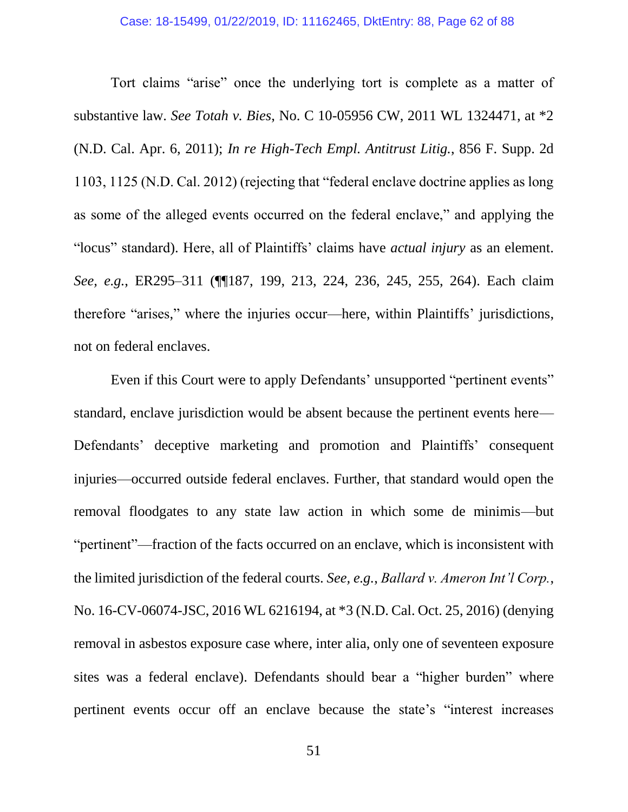Tort claims "arise" once the underlying tort is complete as a matter of substantive law. *See Totah v. Bies*, No. C 10-05956 CW, 2011 WL 1324471, at \*2 (N.D. Cal. Apr. 6, 2011); *In re High-Tech Empl. Antitrust Litig.*, 856 F. Supp. 2d 1103, 1125 (N.D. Cal. 2012) (rejecting that "federal enclave doctrine applies as long as some of the alleged events occurred on the federal enclave," and applying the "locus" standard). Here, all of Plaintiffs' claims have *actual injury* as an element. *See, e.g.*, ER295–311 (¶¶187, 199, 213, 224, 236, 245, 255, 264). Each claim therefore "arises," where the injuries occur—here, within Plaintiffs' jurisdictions, not on federal enclaves.

Even if this Court were to apply Defendants' unsupported "pertinent events" standard, enclave jurisdiction would be absent because the pertinent events here— Defendants' deceptive marketing and promotion and Plaintiffs' consequent injuries—occurred outside federal enclaves. Further, that standard would open the removal floodgates to any state law action in which some de minimis—but "pertinent"—fraction of the facts occurred on an enclave, which is inconsistent with the limited jurisdiction of the federal courts. *See, e.g.*, *Ballard v. Ameron Int'l Corp.*, No. 16-CV-06074-JSC, 2016 WL 6216194, at \*3 (N.D. Cal. Oct. 25, 2016) (denying removal in asbestos exposure case where, inter alia, only one of seventeen exposure sites was a federal enclave). Defendants should bear a "higher burden" where pertinent events occur off an enclave because the state's "interest increases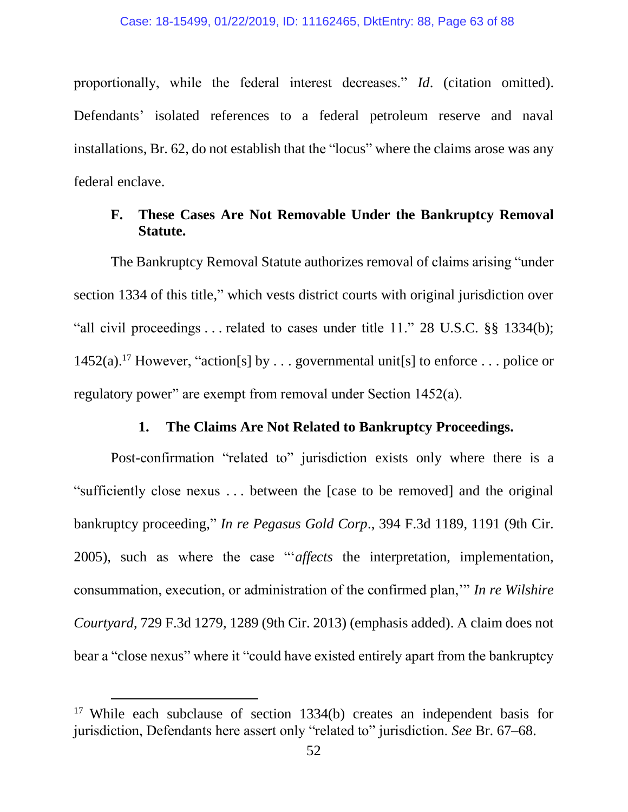proportionally, while the federal interest decreases." *Id*. (citation omitted). Defendants' isolated references to a federal petroleum reserve and naval installations, Br. 62, do not establish that the "locus" where the claims arose was any federal enclave.

### **F. These Cases Are Not Removable Under the Bankruptcy Removal Statute.**

The Bankruptcy Removal Statute authorizes removal of claims arising "under section 1334 of this title," which vests district courts with original jurisdiction over "all civil proceedings . . . related to cases under title 11." 28 U.S.C. §§ 1334(b); 1452(a).<sup>17</sup> However, "action[s] by . . . governmental unit[s] to enforce . . . police or regulatory power" are exempt from removal under Section 1452(a).

#### **1. The Claims Are Not Related to Bankruptcy Proceedings.**

Post-confirmation "related to" jurisdiction exists only where there is a "sufficiently close nexus . . . between the [case to be removed] and the original bankruptcy proceeding," *In re Pegasus Gold Corp*., 394 F.3d 1189, 1191 (9th Cir. 2005), such as where the case "'*affects* the interpretation, implementation, consummation, execution, or administration of the confirmed plan,'" *In re Wilshire Courtyard*, 729 F.3d 1279, 1289 (9th Cir. 2013) (emphasis added). A claim does not bear a "close nexus" where it "could have existed entirely apart from the bankruptcy

<sup>&</sup>lt;sup>17</sup> While each subclause of section 1334(b) creates an independent basis for jurisdiction, Defendants here assert only "related to" jurisdiction. *See* Br. 67–68.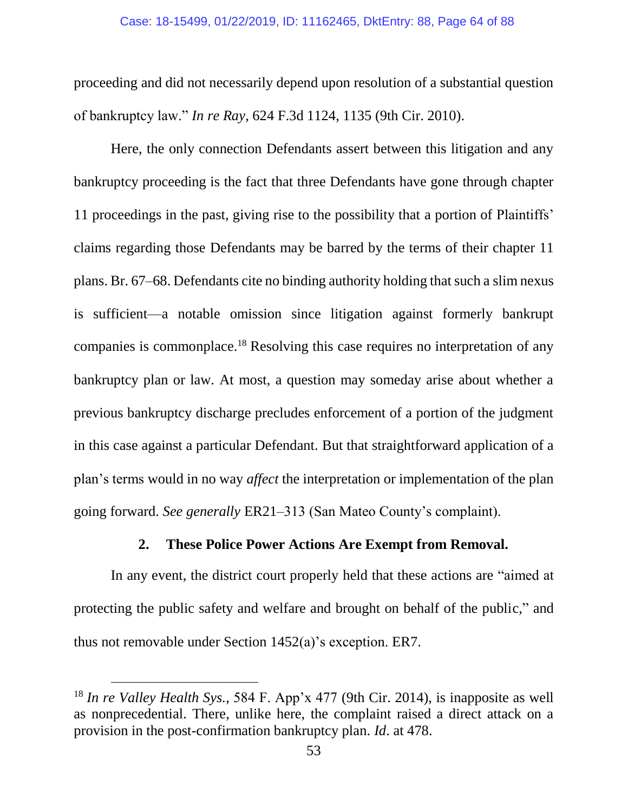proceeding and did not necessarily depend upon resolution of a substantial question of bankruptcy law." *In re Ray*, 624 F.3d 1124, 1135 (9th Cir. 2010).

Here, the only connection Defendants assert between this litigation and any bankruptcy proceeding is the fact that three Defendants have gone through chapter 11 proceedings in the past, giving rise to the possibility that a portion of Plaintiffs' claims regarding those Defendants may be barred by the terms of their chapter 11 plans. Br. 67–68. Defendants cite no binding authority holding that such a slim nexus is sufficient—a notable omission since litigation against formerly bankrupt companies is commonplace.<sup>18</sup> Resolving this case requires no interpretation of any bankruptcy plan or law. At most, a question may someday arise about whether a previous bankruptcy discharge precludes enforcement of a portion of the judgment in this case against a particular Defendant. But that straightforward application of a plan's terms would in no way *affect* the interpretation or implementation of the plan going forward. *See generally* ER21–313 (San Mateo County's complaint).

#### **2. These Police Power Actions Are Exempt from Removal.**

In any event, the district court properly held that these actions are "aimed at protecting the public safety and welfare and brought on behalf of the public," and thus not removable under Section 1452(a)'s exception. ER7.

<sup>18</sup> *In re Valley Health Sys.*, 584 F. App'x 477 (9th Cir. 2014), is inapposite as well as nonprecedential. There, unlike here, the complaint raised a direct attack on a provision in the post-confirmation bankruptcy plan. *Id*. at 478.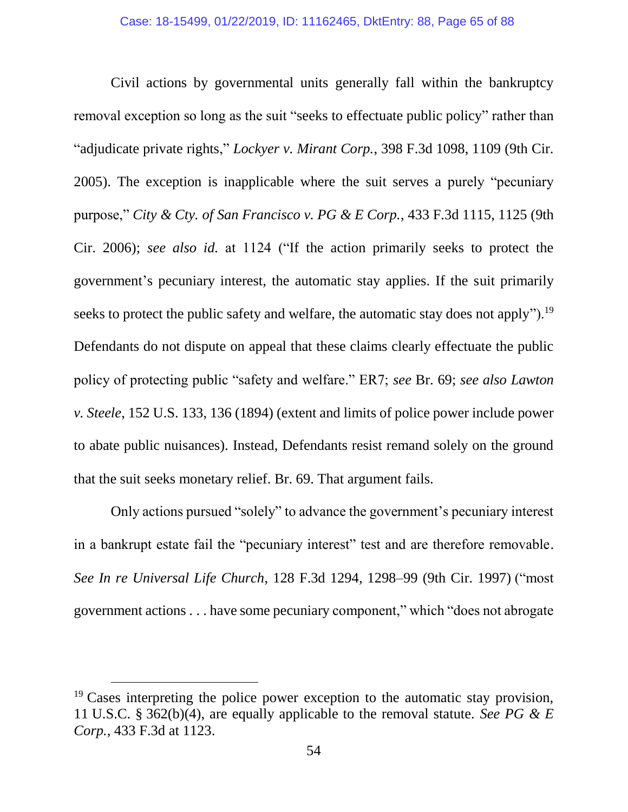Civil actions by governmental units generally fall within the bankruptcy removal exception so long as the suit "seeks to effectuate public policy" rather than "adjudicate private rights," *Lockyer v. Mirant Corp.*, 398 F.3d 1098, 1109 (9th Cir. 2005). The exception is inapplicable where the suit serves a purely "pecuniary purpose," *City & Cty. of San Francisco v. PG & E Corp.*, 433 F.3d 1115, 1125 (9th Cir. 2006); *see also id.* at 1124 ("If the action primarily seeks to protect the government's pecuniary interest, the automatic stay applies. If the suit primarily seeks to protect the public safety and welfare, the automatic stay does not apply").<sup>19</sup> Defendants do not dispute on appeal that these claims clearly effectuate the public policy of protecting public "safety and welfare." ER7; *see* Br. 69; *see also Lawton v. Steele*, 152 U.S. 133, 136 (1894) (extent and limits of police power include power to abate public nuisances). Instead, Defendants resist remand solely on the ground that the suit seeks monetary relief. Br. 69. That argument fails.

Only actions pursued "solely" to advance the government's pecuniary interest in a bankrupt estate fail the "pecuniary interest" test and are therefore removable. *See In re Universal Life Church*, 128 F.3d 1294, 1298–99 (9th Cir. 1997) ("most government actions . . . have some pecuniary component," which "does not abrogate

 $19$  Cases interpreting the police power exception to the automatic stay provision, 11 U.S.C. § 362(b)(4), are equally applicable to the removal statute. *See PG & E Corp.*, 433 F.3d at 1123.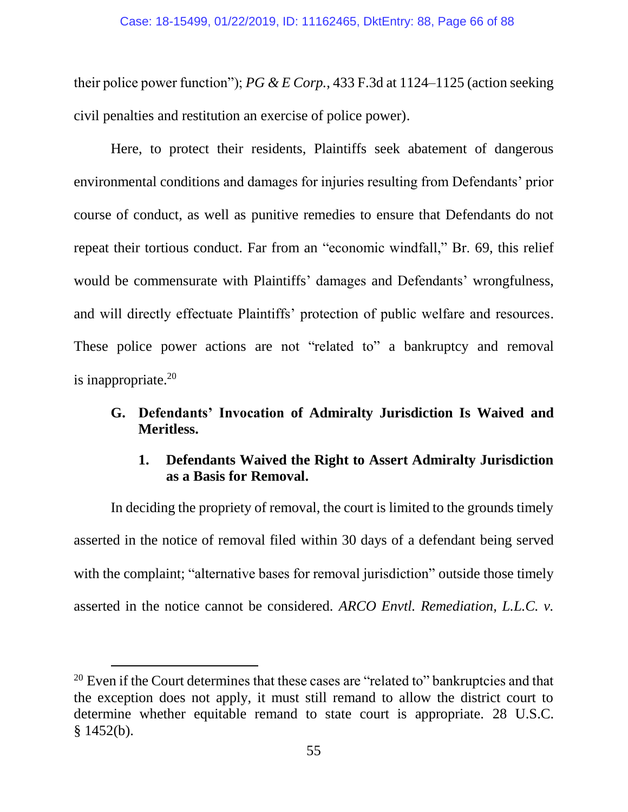their police power function"); *PG & E Corp.*, 433 F.3d at 1124–1125 (action seeking civil penalties and restitution an exercise of police power).

Here, to protect their residents, Plaintiffs seek abatement of dangerous environmental conditions and damages for injuries resulting from Defendants' prior course of conduct, as well as punitive remedies to ensure that Defendants do not repeat their tortious conduct. Far from an "economic windfall," Br. 69, this relief would be commensurate with Plaintiffs' damages and Defendants' wrongfulness, and will directly effectuate Plaintiffs' protection of public welfare and resources. These police power actions are not "related to" a bankruptcy and removal is inappropriate. $20$ 

## **G. Defendants' Invocation of Admiralty Jurisdiction Is Waived and Meritless.**

## **1. Defendants Waived the Right to Assert Admiralty Jurisdiction as a Basis for Removal.**

In deciding the propriety of removal, the court is limited to the grounds timely asserted in the notice of removal filed within 30 days of a defendant being served with the complaint; "alternative bases for removal jurisdiction" outside those timely asserted in the notice cannot be considered. *ARCO Envtl. Remediation, L.L.C. v.* 

<sup>&</sup>lt;sup>20</sup> Even if the Court determines that these cases are "related to" bankruptcies and that the exception does not apply, it must still remand to allow the district court to determine whether equitable remand to state court is appropriate. 28 U.S.C.  $§$  1452(b).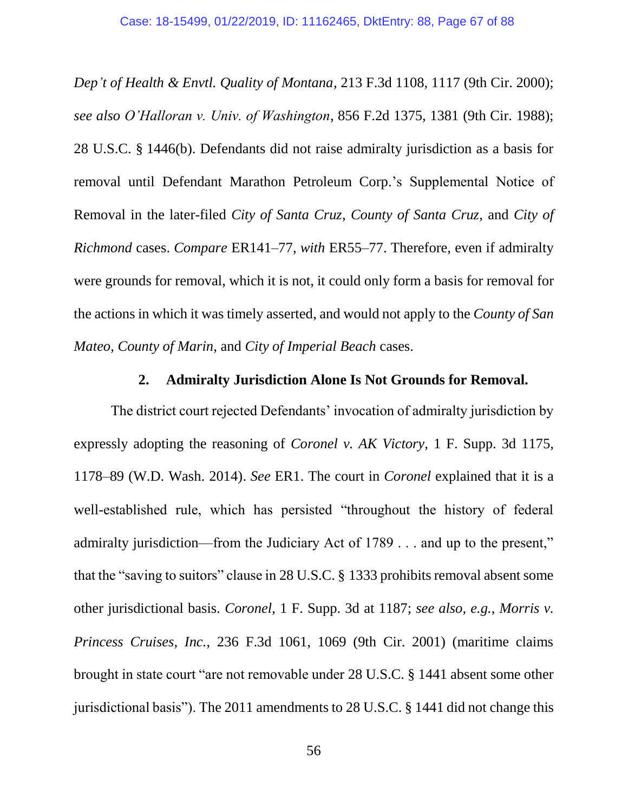*Dep't of Health & Envtl. Quality of Montana*, 213 F.3d 1108, 1117 (9th Cir. 2000); *see also O'Halloran v. Univ. of Washington*, 856 F.2d 1375, 1381 (9th Cir. 1988); 28 U.S.C. § 1446(b). Defendants did not raise admiralty jurisdiction as a basis for removal until Defendant Marathon Petroleum Corp.'s Supplemental Notice of Removal in the later-filed *City of Santa Cruz*, *County of Santa Cruz*, and *City of Richmond* cases. *Compare* ER141–77, *with* ER55–77. Therefore, even if admiralty were grounds for removal, which it is not, it could only form a basis for removal for the actions in which it was timely asserted, and would not apply to the *County of San Mateo*, *County of Marin*, and *City of Imperial Beach* cases.

## **2. Admiralty Jurisdiction Alone Is Not Grounds for Removal.**

The district court rejected Defendants' invocation of admiralty jurisdiction by expressly adopting the reasoning of *Coronel v. AK Victory*, 1 F. Supp. 3d 1175, 1178–89 (W.D. Wash. 2014). *See* ER1. The court in *Coronel* explained that it is a well-established rule, which has persisted "throughout the history of federal admiralty jurisdiction—from the Judiciary Act of 1789 . . . and up to the present," that the "saving to suitors" clause in 28 U.S.C. § 1333 prohibits removal absent some other jurisdictional basis. *Coronel*, 1 F. Supp. 3d at 1187; *see also, e.g.*, *Morris v. Princess Cruises, Inc.*, 236 F.3d 1061, 1069 (9th Cir. 2001) (maritime claims brought in state court "are not removable under 28 U.S.C. § 1441 absent some other jurisdictional basis"). The 2011 amendments to 28 U.S.C. § 1441 did not change this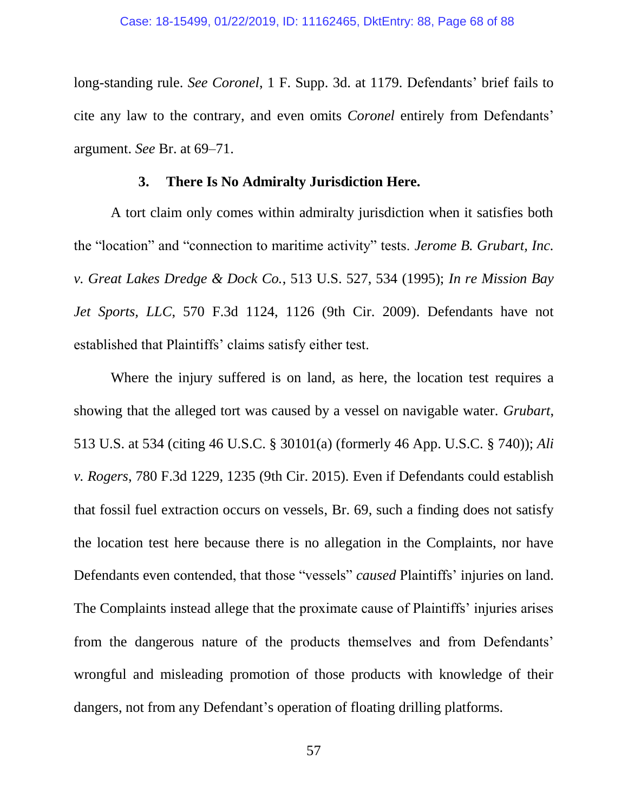long-standing rule. *See Coronel*, 1 F. Supp. 3d. at 1179. Defendants' brief fails to cite any law to the contrary, and even omits *Coronel* entirely from Defendants' argument. *See* Br. at 69–71.

#### **3. There Is No Admiralty Jurisdiction Here.**

A tort claim only comes within admiralty jurisdiction when it satisfies both the "location" and "connection to maritime activity" tests. *Jerome B. Grubart, Inc. v. Great Lakes Dredge & Dock Co.*, 513 U.S. 527, 534 (1995); *In re Mission Bay Jet Sports, LLC*, 570 F.3d 1124, 1126 (9th Cir. 2009). Defendants have not established that Plaintiffs' claims satisfy either test.

Where the injury suffered is on land, as here, the location test requires a showing that the alleged tort was caused by a vessel on navigable water. *Grubart*, 513 U.S. at 534 (citing 46 U.S.C. § 30101(a) (formerly 46 App. U.S.C. § 740)); *Ali v. Rogers*, 780 F.3d 1229, 1235 (9th Cir. 2015). Even if Defendants could establish that fossil fuel extraction occurs on vessels, Br. 69, such a finding does not satisfy the location test here because there is no allegation in the Complaints, nor have Defendants even contended, that those "vessels" *caused* Plaintiffs' injuries on land. The Complaints instead allege that the proximate cause of Plaintiffs' injuries arises from the dangerous nature of the products themselves and from Defendants' wrongful and misleading promotion of those products with knowledge of their dangers, not from any Defendant's operation of floating drilling platforms.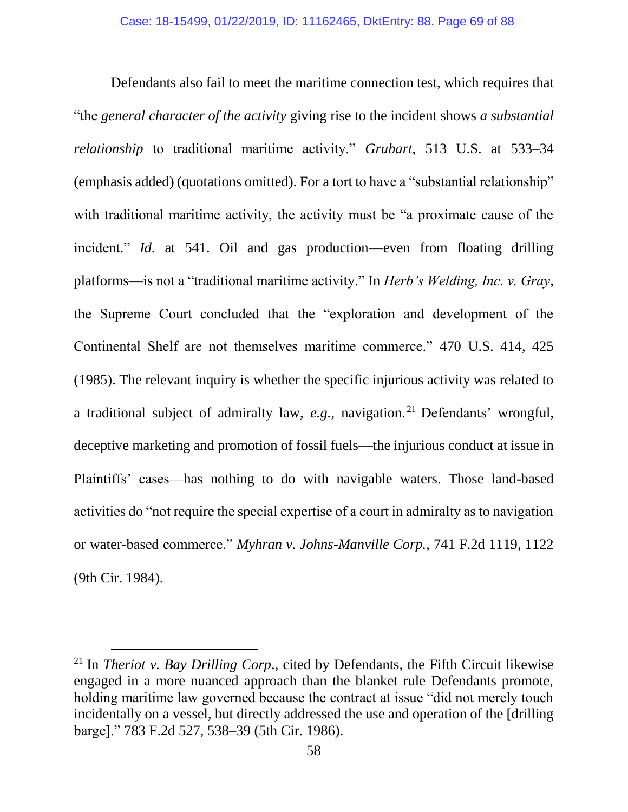Defendants also fail to meet the maritime connection test, which requires that "the *general character of the activity* giving rise to the incident shows *a substantial relationship* to traditional maritime activity." *Grubart*, 513 U.S. at 533–34 (emphasis added) (quotations omitted). For a tort to have a "substantial relationship" with traditional maritime activity, the activity must be "a proximate cause of the incident." *Id.* at 541. Oil and gas production—even from floating drilling platforms—is not a "traditional maritime activity." In *Herb's Welding, Inc. v. Gray*, the Supreme Court concluded that the "exploration and development of the Continental Shelf are not themselves maritime commerce." 470 U.S. 414, 425 (1985). The relevant inquiry is whether the specific injurious activity was related to a traditional subject of admiralty law, *e.g.*, navigation. <sup>21</sup> Defendants' wrongful, deceptive marketing and promotion of fossil fuels—the injurious conduct at issue in Plaintiffs' cases—has nothing to do with navigable waters. Those land-based activities do "not require the special expertise of a court in admiralty as to navigation or water-based commerce." *Myhran v. Johns-Manville Corp.*, 741 F.2d 1119, 1122 (9th Cir. 1984).

<sup>21</sup> In *Theriot v. Bay Drilling Corp*., cited by Defendants, the Fifth Circuit likewise engaged in a more nuanced approach than the blanket rule Defendants promote, holding maritime law governed because the contract at issue "did not merely touch incidentally on a vessel, but directly addressed the use and operation of the [drilling barge]." 783 F.2d 527, 538–39 (5th Cir. 1986).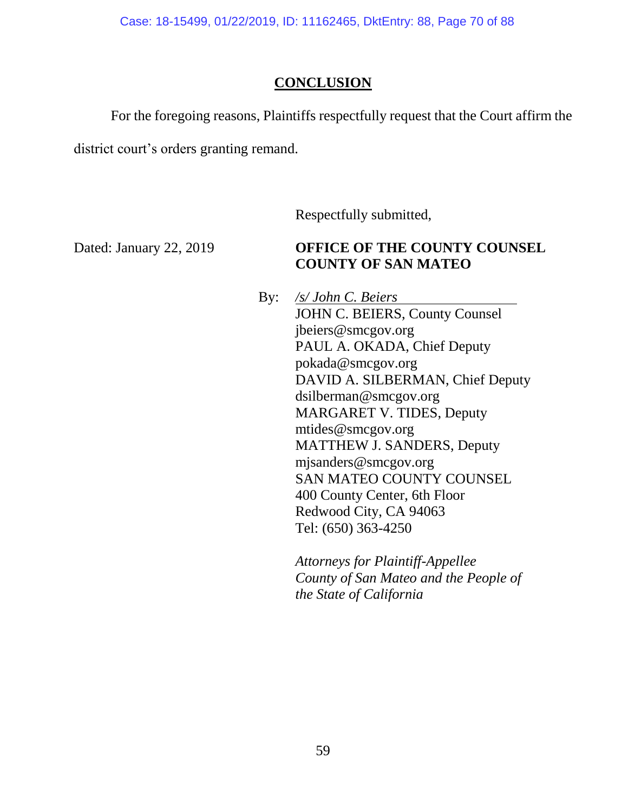Case: 18-15499, 01/22/2019, ID: 11162465, DktEntry: 88, Page 70 of 88

### **CONCLUSION**

For the foregoing reasons, Plaintiffs respectfully request that the Court affirm the district court's orders granting remand.

Respectfully submitted,

# Dated: January 22, 2019 **OFFICE OF THE COUNTY COUNSEL COUNTY OF SAN MATEO**

By: */s/ John C. Beiers* JOHN C. BEIERS, County Counsel jbeiers@smcgov.org PAUL A. OKADA, Chief Deputy pokada@smcgov.org DAVID A. SILBERMAN, Chief Deputy dsilberman@smcgov.org MARGARET V. TIDES, Deputy mtides@smcgov.org MATTHEW J. SANDERS, Deputy mjsanders@smcgov.org SAN MATEO COUNTY COUNSEL 400 County Center, 6th Floor Redwood City, CA 94063 Tel: (650) 363-4250

> *Attorneys for Plaintiff-Appellee County of San Mateo and the People of the State of California*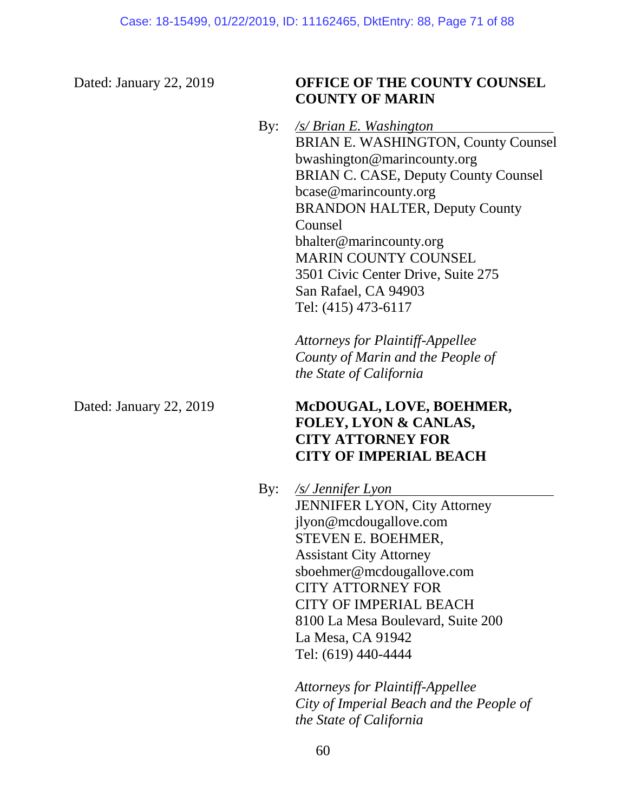# Dated: January 22, 2019 **OFFICE OF THE COUNTY COUNSEL COUNTY OF MARIN**

By: */s/ Brian E. Washington* BRIAN E. WASHINGTON, County Counsel bwashington@marincounty.org BRIAN C. CASE, Deputy County Counsel bcase@marincounty.org BRANDON HALTER, Deputy County Counsel bhalter@marincounty.org MARIN COUNTY COUNSEL 3501 Civic Center Drive, Suite 275 San Rafael, CA 94903 Tel: (415) 473-6117

> *Attorneys for Plaintiff-Appellee County of Marin and the People of the State of California*

## Dated: January 22, 2019 **McDOUGAL, LOVE, BOEHMER, FOLEY, LYON & CANLAS, CITY ATTORNEY FOR CITY OF IMPERIAL BEACH**

By: */s/ Jennifer Lyon* JENNIFER LYON, City Attorney jlyon@mcdougallove.com STEVEN E. BOEHMER, Assistant City Attorney sboehmer@mcdougallove.com CITY ATTORNEY FOR CITY OF IMPERIAL BEACH 8100 La Mesa Boulevard, Suite 200 La Mesa, CA 91942 Tel: (619) 440-4444

> *Attorneys for Plaintiff-Appellee City of Imperial Beach and the People of the State of California*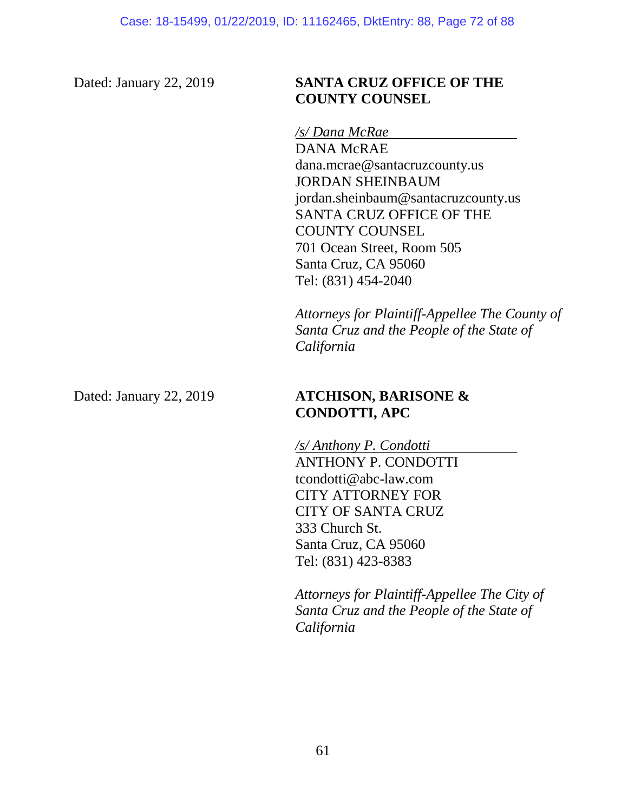# Dated: January 22, 2019 **SANTA CRUZ OFFICE OF THE COUNTY COUNSEL**

*/s/ Dana McRae*

DANA McRAE dana.mcrae@santacruzcounty.us JORDAN SHEINBAUM jordan.sheinbaum@santacruzcounty.us SANTA CRUZ OFFICE OF THE COUNTY COUNSEL 701 Ocean Street, Room 505 Santa Cruz, CA 95060 Tel: (831) 454-2040

*Attorneys for Plaintiff-Appellee The County of Santa Cruz and the People of the State of California*

# Dated: January 22, 2019 **ATCHISON, BARISONE & CONDOTTI, APC**

*/s/ Anthony P. Condotti* ANTHONY P. CONDOTTI tcondotti@abc-law.com CITY ATTORNEY FOR CITY OF SANTA CRUZ 333 Church St. Santa Cruz, CA 95060 Tel: (831) 423-8383

*Attorneys for Plaintiff-Appellee The City of Santa Cruz and the People of the State of California*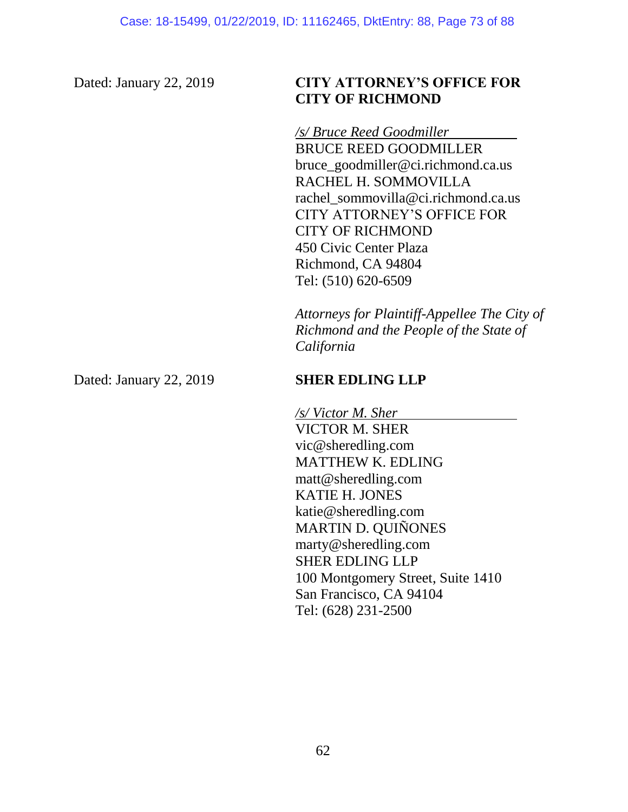## Dated: January 22, 2019 **CITY ATTORNEY'S OFFICE FOR CITY OF RICHMOND**

*/s/ Bruce Reed Goodmiller*

BRUCE REED GOODMILLER bruce\_goodmiller@ci.richmond.ca.us RACHEL H. SOMMOVILLA rachel\_sommovilla@ci.richmond.ca.us CITY ATTORNEY'S OFFICE FOR CITY OF RICHMOND 450 Civic Center Plaza Richmond, CA 94804 Tel: (510) 620-6509

*Attorneys for Plaintiff-Appellee The City of Richmond and the People of the State of California*

Dated: January 22, 2019 **SHER EDLING LLP** 

*/s/ Victor M. Sher* VICTOR M. SHER vic@sheredling.com MATTHEW K. EDLING matt@sheredling.com KATIE H. JONES katie@sheredling.com MARTIN D. QUIÑONES marty@sheredling.com SHER EDLING LLP 100 Montgomery Street, Suite 1410 San Francisco, CA 94104 Tel: (628) 231-2500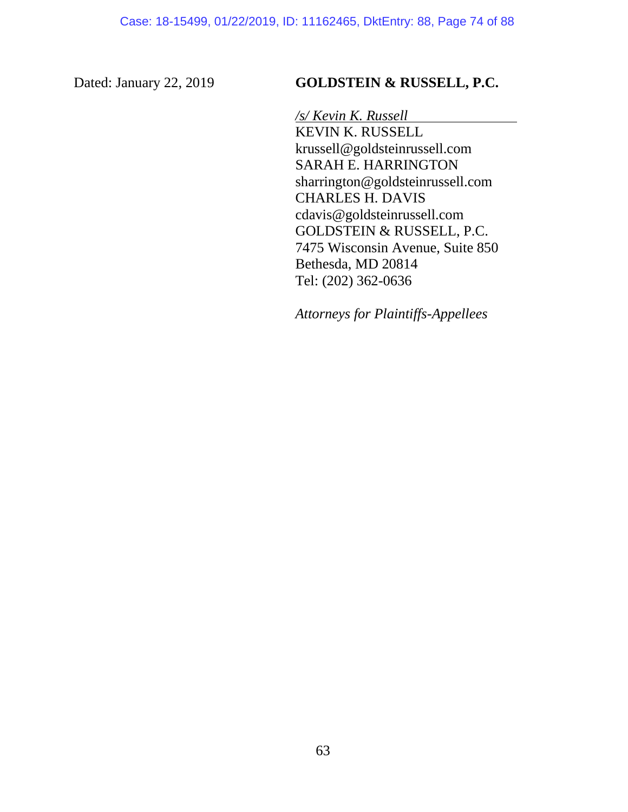#### Dated: January 22, 2019 **GOLDSTEIN & RUSSELL, P.C.**

*/s/ Kevin K. Russell* KEVIN K. RUSSELL krussell@goldsteinrussell.com SARAH E. HARRINGTON sharrington@goldsteinrussell.com CHARLES H. DAVIS cdavis@goldsteinrussell.com GOLDSTEIN & RUSSELL, P.C. 7475 Wisconsin Avenue, Suite 850 Bethesda, MD 20814 Tel: (202) 362-0636

*Attorneys for Plaintiffs-Appellees*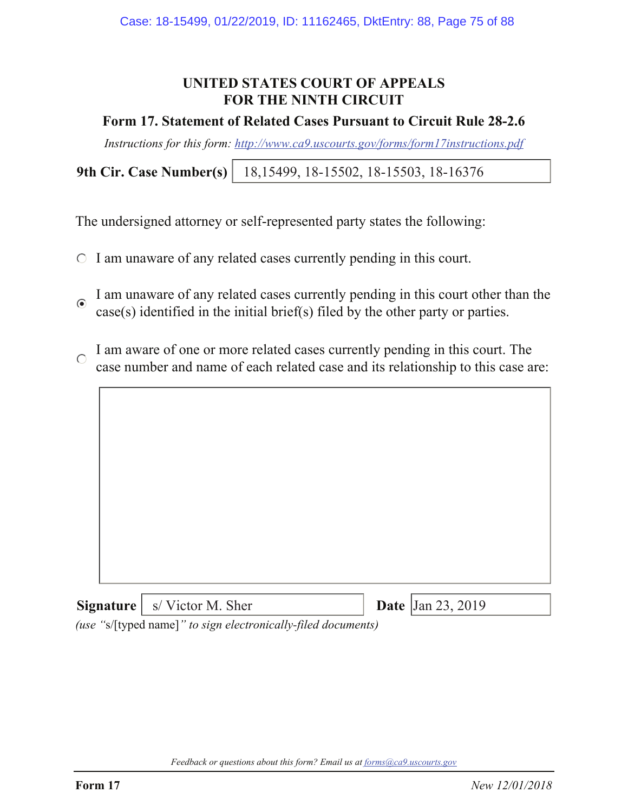### **UNITED STATES COURT OF APPEALS FOR THE NINTH CIRCUIT**

#### **Form 17. Statement of Related Cases Pursuant to Circuit Rule 28-2.6**

*Instructions for this form: http://www.ca9.uscourts.gov/forms/form17instructions.pdf*

**9th Cir. Case Number(s)** 18,15499, 18-15502, 18-15503, 18-16376

The undersigned attorney or self-represented party states the following:

- $\circ$  I am unaware of any related cases currently pending in this court.
- I am unaware of any related cases currently pending in this court other than the  $\odot$ case(s) identified in the initial brief(s) filed by the other party or parties.
- I am aware of one or more related cases currently pending in this court. The  $\bigcap$ case number and name of each related case and its relationship to this case are:



*(use "*s/[typed name]*" to sign electronically-filed documents)*

*Feedback or questions about this form? Email us at forms@ca9.uscourts.gov*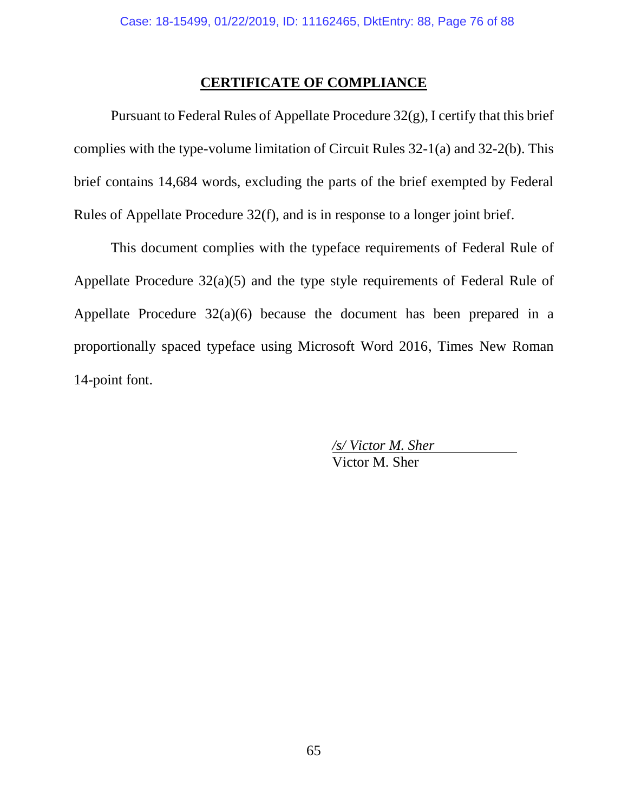#### **CERTIFICATE OF COMPLIANCE**

Pursuant to Federal Rules of Appellate Procedure 32(g), I certify that this brief complies with the type-volume limitation of Circuit Rules 32-1(a) and 32-2(b). This brief contains 14,684 words, excluding the parts of the brief exempted by Federal Rules of Appellate Procedure 32(f), and is in response to a longer joint brief.

This document complies with the typeface requirements of Federal Rule of Appellate Procedure 32(a)(5) and the type style requirements of Federal Rule of Appellate Procedure 32(a)(6) because the document has been prepared in a proportionally spaced typeface using Microsoft Word 2016, Times New Roman 14-point font.

> */s/ Victor M. Sher* Victor M. Sher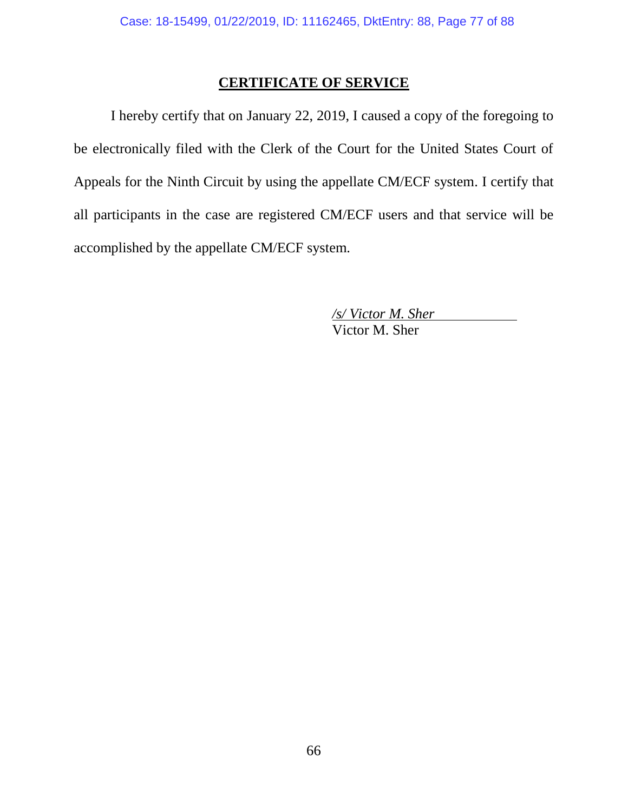#### **CERTIFICATE OF SERVICE**

I hereby certify that on January 22, 2019, I caused a copy of the foregoing to be electronically filed with the Clerk of the Court for the United States Court of Appeals for the Ninth Circuit by using the appellate CM/ECF system. I certify that all participants in the case are registered CM/ECF users and that service will be accomplished by the appellate CM/ECF system.

> */s/ Victor M. Sher* Victor M. Sher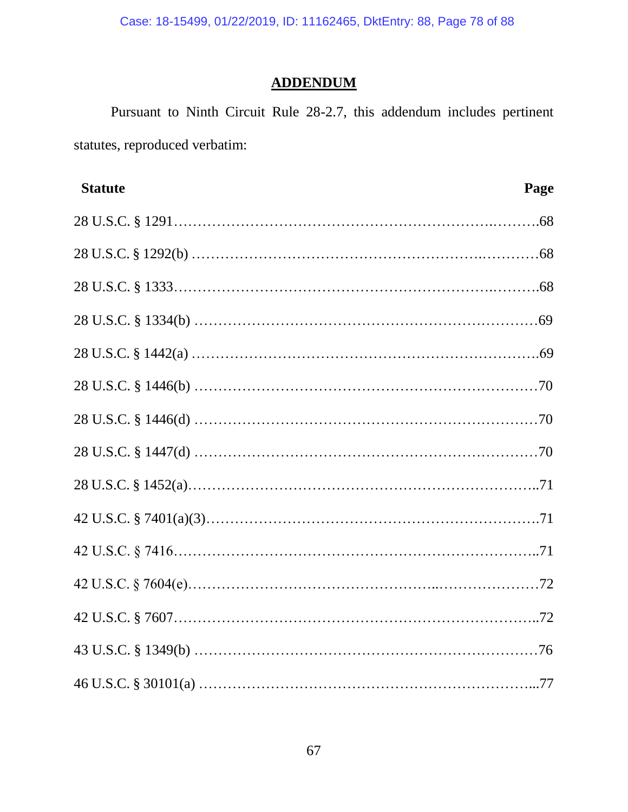Case: 18-15499, 01/22/2019, ID: 11162465, DktEntry: 88, Page 78 of 88

# **ADDENDUM**

Pursuant to Ninth Circuit Rule 28-2.7, this addendum includes pertinent statutes, reproduced verbatim:

| <b>Statute</b> | Page |
|----------------|------|
|                |      |
|                |      |
|                |      |
|                |      |
|                |      |
|                |      |
|                |      |
|                |      |
|                |      |
|                |      |
|                |      |
|                |      |
|                |      |
|                |      |
|                |      |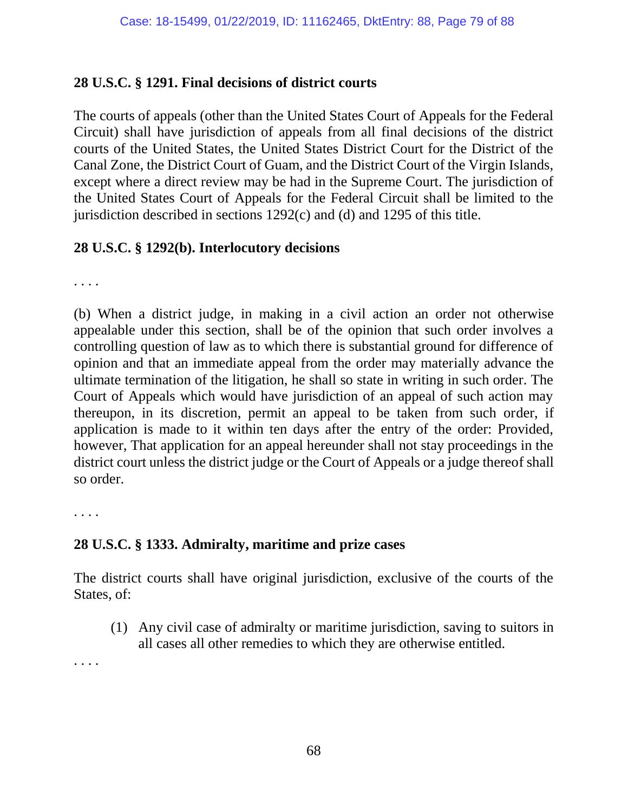#### **28 U.S.C. § 1291. Final decisions of district courts**

The courts of appeals (other than the United States Court of Appeals for the Federal Circuit) shall have jurisdiction of appeals from all final decisions of the district courts of the United States, the United States District Court for the District of the Canal Zone, the District Court of Guam, and the District Court of the Virgin Islands, except where a direct review may be had in the Supreme Court. The jurisdiction of the United States Court of Appeals for the Federal Circuit shall be limited to the jurisdiction described in sections 1292(c) and (d) and 1295 of this title.

#### **28 U.S.C. § 1292(b). Interlocutory decisions**

. . . .

(b) When a district judge, in making in a civil action an order not otherwise appealable under this section, shall be of the opinion that such order involves a controlling question of law as to which there is substantial ground for difference of opinion and that an immediate appeal from the order may materially advance the ultimate termination of the litigation, he shall so state in writing in such order. The Court of Appeals which would have jurisdiction of an appeal of such action may thereupon, in its discretion, permit an appeal to be taken from such order, if application is made to it within ten days after the entry of the order: Provided, however, That application for an appeal hereunder shall not stay proceedings in the district court unless the district judge or the Court of Appeals or a judge thereof shall so order.

. . . .

#### **28 U.S.C. § 1333. Admiralty, maritime and prize cases**

The district courts shall have original jurisdiction, exclusive of the courts of the States, of:

(1) Any civil case of admiralty or maritime jurisdiction, saving to suitors in all cases all other remedies to which they are otherwise entitled.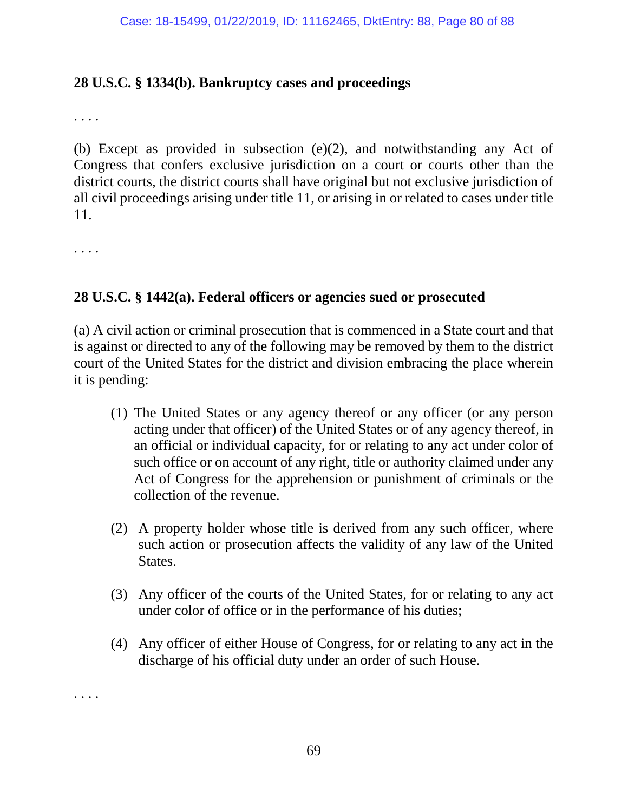#### **28 U.S.C. § 1334(b). Bankruptcy cases and proceedings**

. . . .

(b) Except as provided in subsection (e)(2), and notwithstanding any Act of Congress that confers exclusive jurisdiction on a court or courts other than the district courts, the district courts shall have original but not exclusive jurisdiction of all civil proceedings arising under title 11, or arising in or related to cases under title 11.

. . . .

#### **28 U.S.C. § 1442(a). Federal officers or agencies sued or prosecuted**

(a) A civil action or criminal prosecution that is commenced in a State court and that is against or directed to any of the following may be removed by them to the district court of the United States for the district and division embracing the place wherein it is pending:

- (1) The United States or any agency thereof or any officer (or any person acting under that officer) of the United States or of any agency thereof, in an official or individual capacity, for or relating to any act under color of such office or on account of any right, title or authority claimed under any Act of Congress for the apprehension or punishment of criminals or the collection of the revenue.
- (2) A property holder whose title is derived from any such officer, where such action or prosecution affects the validity of any law of the United States.
- (3) Any officer of the courts of the United States, for or relating to any act under color of office or in the performance of his duties;
- (4) Any officer of either House of Congress, for or relating to any act in the discharge of his official duty under an order of such House.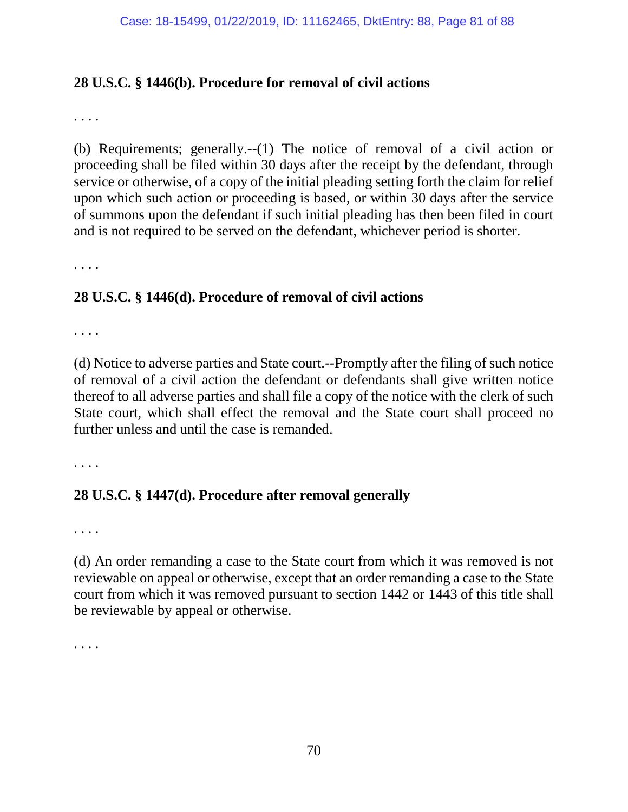#### **28 U.S.C. § 1446(b). Procedure for removal of civil actions**

. . . .

(b) Requirements; generally.--(1) The notice of removal of a civil action or proceeding shall be filed within 30 days after the receipt by the defendant, through service or otherwise, of a copy of the initial pleading setting forth the claim for relief upon which such action or proceeding is based, or within 30 days after the service of summons upon the defendant if such initial pleading has then been filed in court and is not required to be served on the defendant, whichever period is shorter.

. . . .

#### **28 U.S.C. § 1446(d). Procedure of removal of civil actions**

. . . .

(d) Notice to adverse parties and State court.--Promptly after the filing of such notice of removal of a civil action the defendant or defendants shall give written notice thereof to all adverse parties and shall file a copy of the notice with the clerk of such State court, which shall effect the removal and the State court shall proceed no further unless and until the case is remanded.

. . . .

#### **28 U.S.C. § 1447(d). Procedure after removal generally**

. . . .

(d) An order remanding a case to the State court from which it was removed is not reviewable on appeal or otherwise, except that an order remanding a case to the State court from which it was removed pursuant to section 1442 or 1443 of this title shall be reviewable by appeal or otherwise.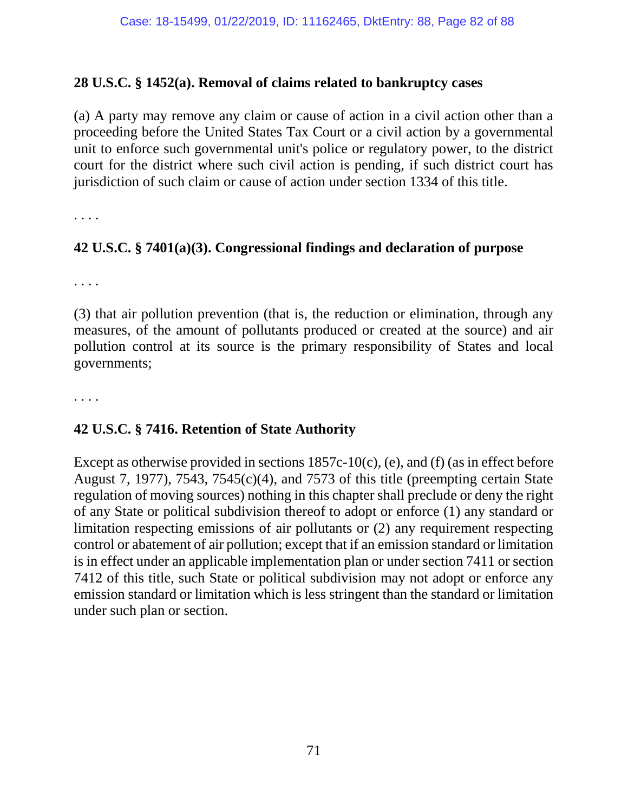#### **28 U.S.C. § 1452(a). Removal of claims related to bankruptcy cases**

(a) A party may remove any claim or cause of action in a civil action other than a proceeding before the United States Tax Court or a civil action by a governmental unit to enforce such governmental unit's police or regulatory power, to the district court for the district where such civil action is pending, if such district court has jurisdiction of such claim or cause of action under section 1334 of this title.

. . . .

#### **42 U.S.C. § 7401(a)(3). Congressional findings and declaration of purpose**

. . . .

(3) that air pollution prevention (that is, the reduction or elimination, through any measures, of the amount of pollutants produced or created at the source) and air pollution control at its source is the primary responsibility of States and local governments;

. . . .

#### **42 U.S.C. § 7416. Retention of State Authority**

Except as otherwise provided in sections 1857c-10(c), (e), and (f) (as in effect before August 7, 1977), 7543, 7545(c)(4), and 7573 of this title (preempting certain State regulation of moving sources) nothing in this chapter shall preclude or deny the right of any State or political subdivision thereof to adopt or enforce (1) any standard or limitation respecting emissions of air pollutants or (2) any requirement respecting control or abatement of air pollution; except that if an emission standard or limitation is in effect under an applicable implementation plan or under section 7411 or section 7412 of this title, such State or political subdivision may not adopt or enforce any emission standard or limitation which is less stringent than the standard or limitation under such plan or section.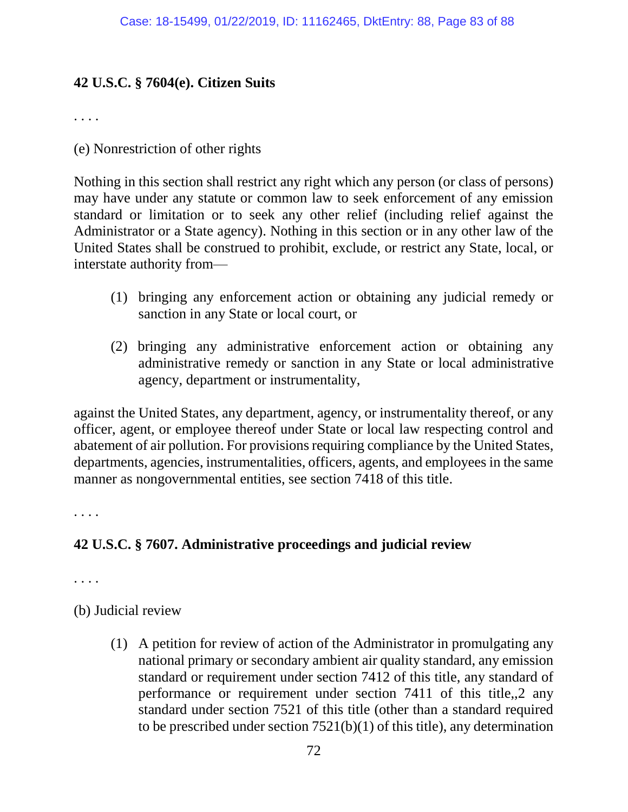## **42 U.S.C. § 7604(e). Citizen Suits**

. . . .

(e) Nonrestriction of other rights

Nothing in this section shall restrict any right which any person (or class of persons) may have under any statute or common law to seek enforcement of any emission standard or limitation or to seek any other relief (including relief against the Administrator or a State agency). Nothing in this section or in any other law of the United States shall be construed to prohibit, exclude, or restrict any State, local, or interstate authority from—

- (1) bringing any enforcement action or obtaining any judicial remedy or sanction in any State or local court, or
- (2) bringing any administrative enforcement action or obtaining any administrative remedy or sanction in any State or local administrative agency, department or instrumentality,

against the United States, any department, agency, or instrumentality thereof, or any officer, agent, or employee thereof under State or local law respecting control and abatement of air pollution. For provisions requiring compliance by the United States, departments, agencies, instrumentalities, officers, agents, and employees in the same manner as nongovernmental entities, see section 7418 of this title.

. . . .

#### **42 U.S.C. § 7607. Administrative proceedings and judicial review**

. . . .

(b) Judicial review

(1) A petition for review of action of the Administrator in promulgating any national primary or secondary ambient air quality standard, any emission standard or requirement under section 7412 of this title, any standard of performance or requirement under section 7411 of this title,,2 any standard under section 7521 of this title (other than a standard required to be prescribed under section  $7521(b)(1)$  of this title), any determination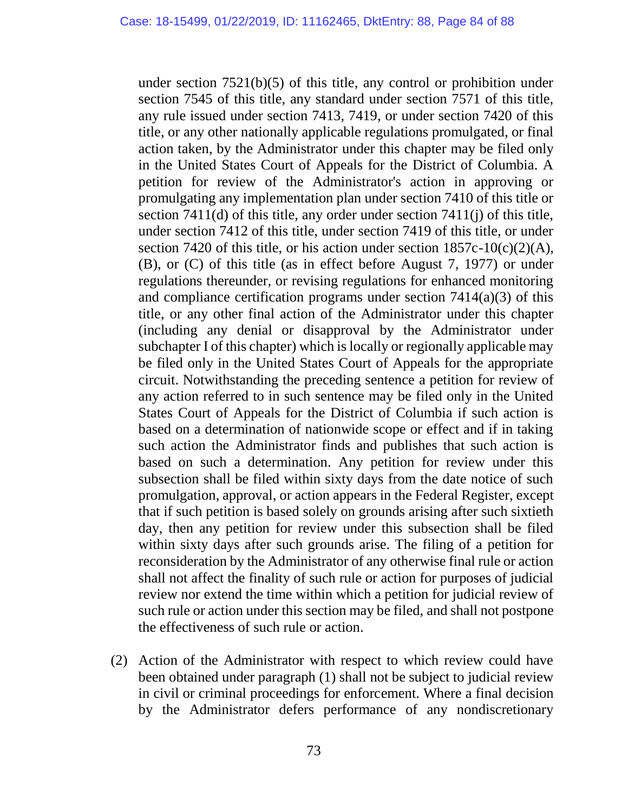under section 7521(b)(5) of this title, any control or prohibition under section 7545 of this title, any standard under section 7571 of this title, any rule issued under section 7413, 7419, or under section 7420 of this title, or any other nationally applicable regulations promulgated, or final action taken, by the Administrator under this chapter may be filed only in the United States Court of Appeals for the District of Columbia. A petition for review of the Administrator's action in approving or promulgating any implementation plan under section 7410 of this title or section 7411(d) of this title, any order under section 7411(j) of this title, under section 7412 of this title, under section 7419 of this title, or under section 7420 of this title, or his action under section  $1857c-10(c)(2)(A)$ , (B), or (C) of this title (as in effect before August 7, 1977) or under regulations thereunder, or revising regulations for enhanced monitoring and compliance certification programs under section  $7414(a)(3)$  of this title, or any other final action of the Administrator under this chapter (including any denial or disapproval by the Administrator under subchapter I of this chapter) which is locally or regionally applicable may be filed only in the United States Court of Appeals for the appropriate circuit. Notwithstanding the preceding sentence a petition for review of any action referred to in such sentence may be filed only in the United States Court of Appeals for the District of Columbia if such action is based on a determination of nationwide scope or effect and if in taking such action the Administrator finds and publishes that such action is based on such a determination. Any petition for review under this subsection shall be filed within sixty days from the date notice of such promulgation, approval, or action appears in the Federal Register, except that if such petition is based solely on grounds arising after such sixtieth day, then any petition for review under this subsection shall be filed within sixty days after such grounds arise. The filing of a petition for reconsideration by the Administrator of any otherwise final rule or action shall not affect the finality of such rule or action for purposes of judicial review nor extend the time within which a petition for judicial review of such rule or action under this section may be filed, and shall not postpone the effectiveness of such rule or action.

(2) Action of the Administrator with respect to which review could have been obtained under paragraph (1) shall not be subject to judicial review in civil or criminal proceedings for enforcement. Where a final decision by the Administrator defers performance of any nondiscretionary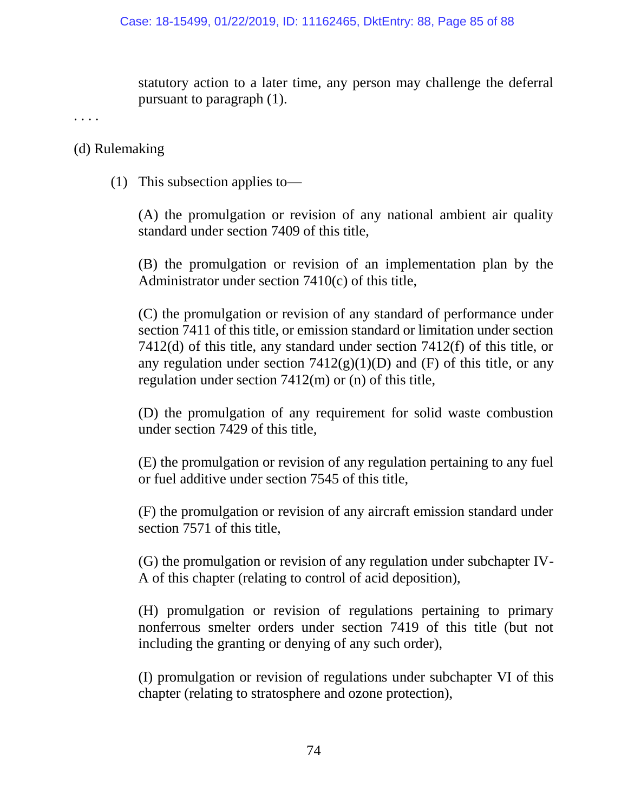statutory action to a later time, any person may challenge the deferral pursuant to paragraph (1).

. . . .

#### (d) Rulemaking

(1) This subsection applies to—

(A) the promulgation or revision of any national ambient air quality standard under section 7409 of this title,

(B) the promulgation or revision of an implementation plan by the Administrator under section 7410(c) of this title,

(C) the promulgation or revision of any standard of performance under section 7411 of this title, or emission standard or limitation under section 7412(d) of this title, any standard under section 7412(f) of this title, or any regulation under section  $7412(g)(1)(D)$  and (F) of this title, or any regulation under section 7412(m) or (n) of this title,

(D) the promulgation of any requirement for solid waste combustion under section 7429 of this title,

(E) the promulgation or revision of any regulation pertaining to any fuel or fuel additive under section 7545 of this title,

(F) the promulgation or revision of any aircraft emission standard under section 7571 of this title,

(G) the promulgation or revision of any regulation under subchapter IV-A of this chapter (relating to control of acid deposition),

(H) promulgation or revision of regulations pertaining to primary nonferrous smelter orders under section 7419 of this title (but not including the granting or denying of any such order),

(I) promulgation or revision of regulations under subchapter VI of this chapter (relating to stratosphere and ozone protection),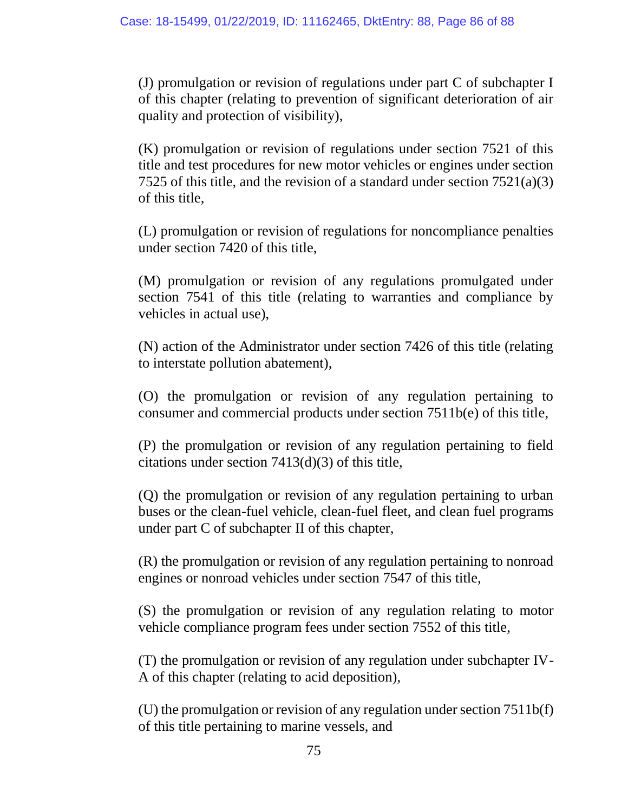(J) promulgation or revision of regulations under part C of subchapter I of this chapter (relating to prevention of significant deterioration of air quality and protection of visibility),

(K) promulgation or revision of regulations under section 7521 of this title and test procedures for new motor vehicles or engines under section 7525 of this title, and the revision of a standard under section 7521(a)(3) of this title,

(L) promulgation or revision of regulations for noncompliance penalties under section 7420 of this title,

(M) promulgation or revision of any regulations promulgated under section 7541 of this title (relating to warranties and compliance by vehicles in actual use),

(N) action of the Administrator under section 7426 of this title (relating to interstate pollution abatement),

(O) the promulgation or revision of any regulation pertaining to consumer and commercial products under section 7511b(e) of this title,

(P) the promulgation or revision of any regulation pertaining to field citations under section 7413(d)(3) of this title,

(Q) the promulgation or revision of any regulation pertaining to urban buses or the clean-fuel vehicle, clean-fuel fleet, and clean fuel programs under part C of subchapter II of this chapter,

(R) the promulgation or revision of any regulation pertaining to nonroad engines or nonroad vehicles under section 7547 of this title,

(S) the promulgation or revision of any regulation relating to motor vehicle compliance program fees under section 7552 of this title,

(T) the promulgation or revision of any regulation under subchapter IV-A of this chapter (relating to acid deposition),

(U) the promulgation or revision of any regulation under section 7511b(f) of this title pertaining to marine vessels, and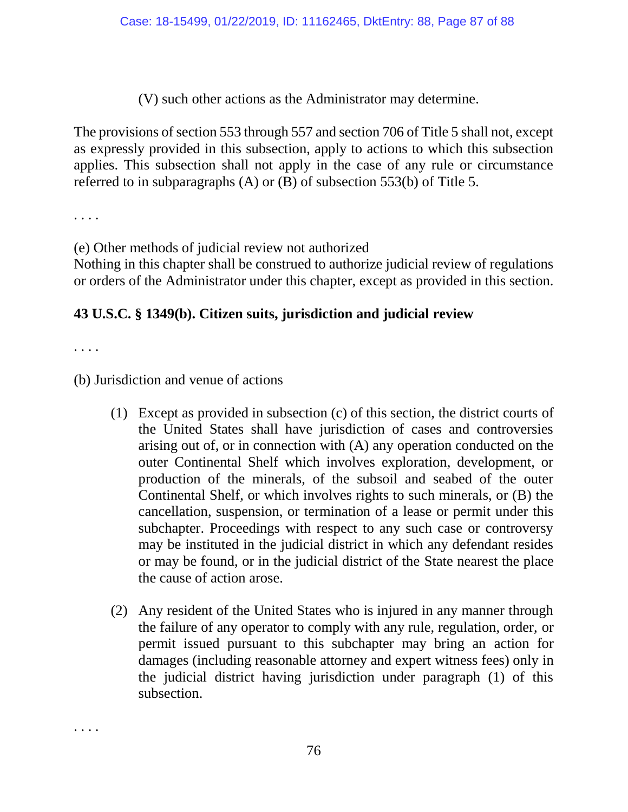(V) such other actions as the Administrator may determine.

The provisions of section 553 through 557 and section 706 of Title 5 shall not, except as expressly provided in this subsection, apply to actions to which this subsection applies. This subsection shall not apply in the case of any rule or circumstance referred to in subparagraphs (A) or (B) of subsection 553(b) of Title 5.

. . . .

(e) Other methods of judicial review not authorized

Nothing in this chapter shall be construed to authorize judicial review of regulations or orders of the Administrator under this chapter, except as provided in this section.

# **43 U.S.C. § 1349(b). Citizen suits, jurisdiction and judicial review**

. . . .

. . . .

(b) Jurisdiction and venue of actions

- (1) Except as provided in subsection (c) of this section, the district courts of the United States shall have jurisdiction of cases and controversies arising out of, or in connection with (A) any operation conducted on the outer Continental Shelf which involves exploration, development, or production of the minerals, of the subsoil and seabed of the outer Continental Shelf, or which involves rights to such minerals, or (B) the cancellation, suspension, or termination of a lease or permit under this subchapter. Proceedings with respect to any such case or controversy may be instituted in the judicial district in which any defendant resides or may be found, or in the judicial district of the State nearest the place the cause of action arose.
- (2) Any resident of the United States who is injured in any manner through the failure of any operator to comply with any rule, regulation, order, or permit issued pursuant to this subchapter may bring an action for damages (including reasonable attorney and expert witness fees) only in the judicial district having jurisdiction under paragraph (1) of this subsection.